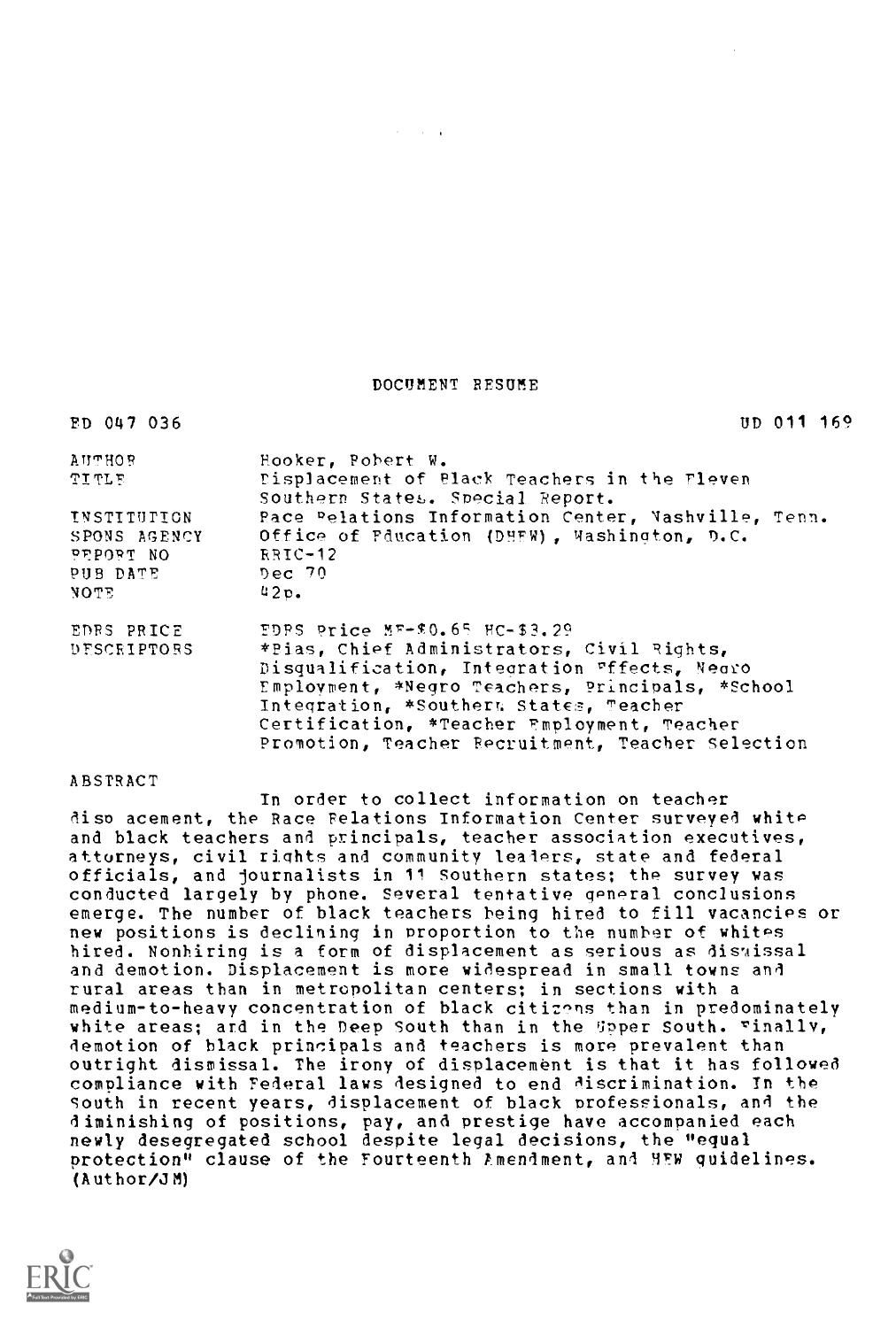DOCUMENT RESUME

 $\mathcal{A}=\mathcal{A}+\mathcal{A}$ 

| ED 047 036                               | $UD$ 011 169                                                                                                                                                                                                               |
|------------------------------------------|----------------------------------------------------------------------------------------------------------------------------------------------------------------------------------------------------------------------------|
| <b>AUTHOR</b>                            | Hooker, Pobert W.                                                                                                                                                                                                          |
| ግፗጥጊኮ                                    | Displacement of Black Teachers in the Fleven<br>Southern States. Special Report.                                                                                                                                           |
| INSTITUTION<br>SPONS AGENCY<br>PEPORT NO | Pace Pelations Information Center, Nashville, Tenn.<br>Office of Fducation (DHEW), Washington, D.C.<br>RRIC-12                                                                                                             |
| PUB DATE<br>NOTE                         | Dec~70<br>42 <sub>D</sub>                                                                                                                                                                                                  |
| EDRS PRICE<br>DESCRIPTORS                | EDPS Price MF-\$0.65 HC-\$3.29<br>*Pias, Chief Administrators, Civil Rights,<br>Disqualification, Integration Fffects, Negro<br>Employment, *Negro Teachers, Principals, *School<br>Integration, *Southers States, Teacher |
|                                          | Certification, *Teacher Employment, Teacher<br>Promotion, Teacher Recruitment, Teacher Selection                                                                                                                           |

# ABSTRACT

In order to collect information on teacher diso acement, the Race Relations Information Center surveyed white and black teachers and principals, teacher association executives, attorneys, civil rights and community leaders, state and federal officials, and journalists in 11 Southern states; the survey was conducted largely by phone. Several tentative general conclusions emerge. The number of black teachers being hired to fill vacancies or new positions is declining in proportion to the number of whites hired. Nonhiring is a form of displacement as serious as dismissal and demotion. Displacement is more widespread in small towns and rural areas than in metropolitan centers; in sections with a medium-to-heavy concentration of black citizens than in predominately white areas; and in the Deep South than in the Upper South. Finally, demotion of black principals and teachers is more prevalent than outright dismissal. The irony of displacement is that it has followed compliance with Federal laws designed to end discrimination. In the South in recent years, displacement of black professionals, and the diminishing of positions, pay, and prestige have accompanied each newly desegregated school despite legal decisions, the "equal protection" clause of the Fourteenth Amendment, and 4FW guidelines. (Author/OM)

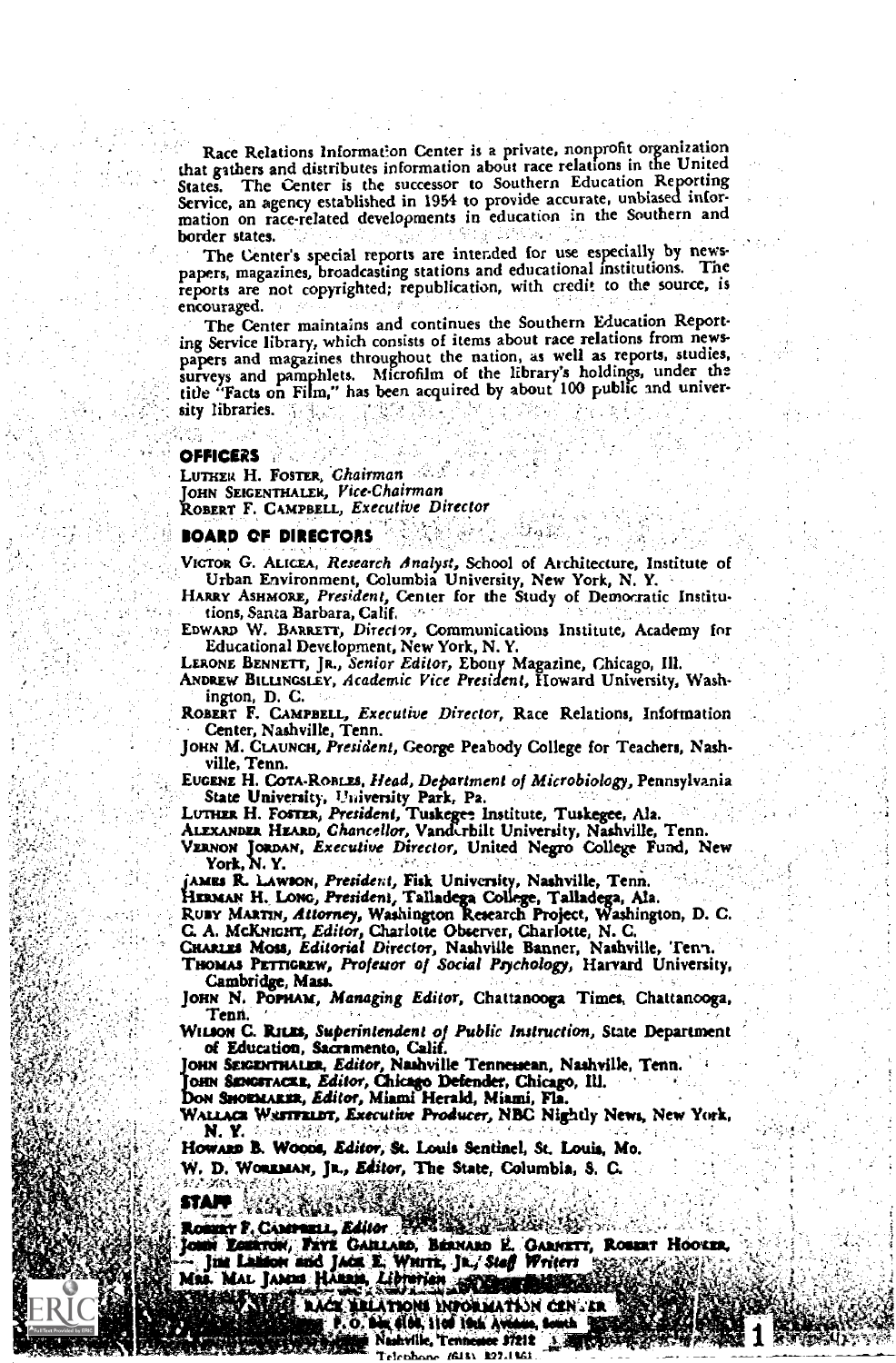Race Relations Information Center is a private, nonprofit organization that gathers and distributes information about race relations in the United States. The Center is the successor to Southern Education Reporting Service, an agency established in 1954 to provide accurate, unbiased information on race-related developments in education in the Southern and border states.

The Center's special reports are intended for use especially by newspapers, magazines, broadcasting stations and educational institutions. The reports are not copyrighted; republication, with credit to the source, is encouraged.

The Center maintains and continues the Southern Education Reporting Service library, which consists of items about race relations from newspapers and magazines throughout the nation, as well as reports, studies, surveys and pamphlets. Microfilm of the library's holdings, under the title "Facts on Film," has been acquired by about 100 public and university libraries.

#### **OFFICERS**

LUTHER H. FOSTER, Chairman OHN SEIGENTHALEK, Vice-Chairman OBERT F. CAMPBELL, Executive Director

#### BOARD OF DIRECTORS

VICTOR G. ALICEA, Research Analyst, School of Architecture, Institute of Urban Environment, Columbia University, New York, N. Y.

HARRY ASHMORE, President, Center for the Study of Democratic Institutions, Santa Barbara, Calif,

EDWARD W. BARRETT, Director, Communications Institute, Academy for Educational Development, New York, N. Y.

LERONE BENNETT, JR., Senior Editor, Ebony Magazine, Chicago, Ill.

ANDREW BILLINGSLEY, Academic Vice President, Howard University, Washington, D. C.

ROBERT F. CAMPBELL, Executive Director, Race Relations, Information Center, Nashville, Tenn.

JOHN M. CLAUNCH, President, George Peabody College for Teachers, Nashville, Tenn.

EUGENE H. COTA-ROBLES, Head, Department of Microbiology, Pennsylvania State University, University Park, Pa.

LUTHER H. FOSTER, President, Tuskegee- Institute, Tuskegee, Ala. Communistic Ala. Communistic Ala. Chancellor, Vanderbilt University, Nashville, Tenn.

ALF-xmanatt HEARD, Chancellor, Vandu-bilt University, Nashville, Tenn. \rump; Joamtr, Executive Director, United Negro College Fund, New

"Ames R. LAWSON, President, Fisk University, Nashville, Tenn,

Hzaswt H. LONG, President, Talladega College, Talladega, Ala. Talladega

RUBY MARTIN, Attorney, Washington Research Project, Washington, D. C. C. A. MCKNIGHT, Editor, Charlotte Observer, Charlotte, N. C.

CHARLES Moss, Editorial Director, Nashville Banner, Nashville, Tent.

THOMAS PETTIGREW, Professor of Social Psychology, Harvard University, Cambridge, Mass.

JOHN N. POPHAM, Managing Editor, Chattanooga Times, Chattanooga, Tenn.

WILSON C. RILES, Superintendent of Public Instruction, State Department of Education, Sacramento, Calif.

OHN SEIGENTHALER, Editor, Nashville Tennessean, Nashville, Tenn. OMN SINGSTAC&R, Editor, Chicago Defender, Chicago, Ill. Don Smontanux, Editor, Miami Herald, Miami, Fla.

WALLACE WAFTFELDT, Executive Producer, NBC Nightly News, New York,<br>W. Y. Anne Warms: New York, New York, New York, New York,

Howarn B. Woons, Editor, St. Louis Sentinel, St. Louis, Mo.

W. D. Woaxman, Jr., Editor, The State, Columbia, S. C.

 $\mathbf{S}$ tan  $\mathbb{R}^{n\times n}$ 

Rossay F. Communi, Editor 1988 Yourrow, Fave Gahrano, Bernand E. Garnett, Rosent Hoover, Aparticulary Jim Landon and JACA.E.; WHITE, JR., Steff Writert .

Mar. MAL. JAMES HAMBER, Albiertien auf Dieser

kto and the thorm differential can its **E.O. Disk 6100, 11cd 19th Avenue, Scotch**<br>**Sydney** Nashville, Tennessee 97212 上述的选择 Trichhane 16181 227.1161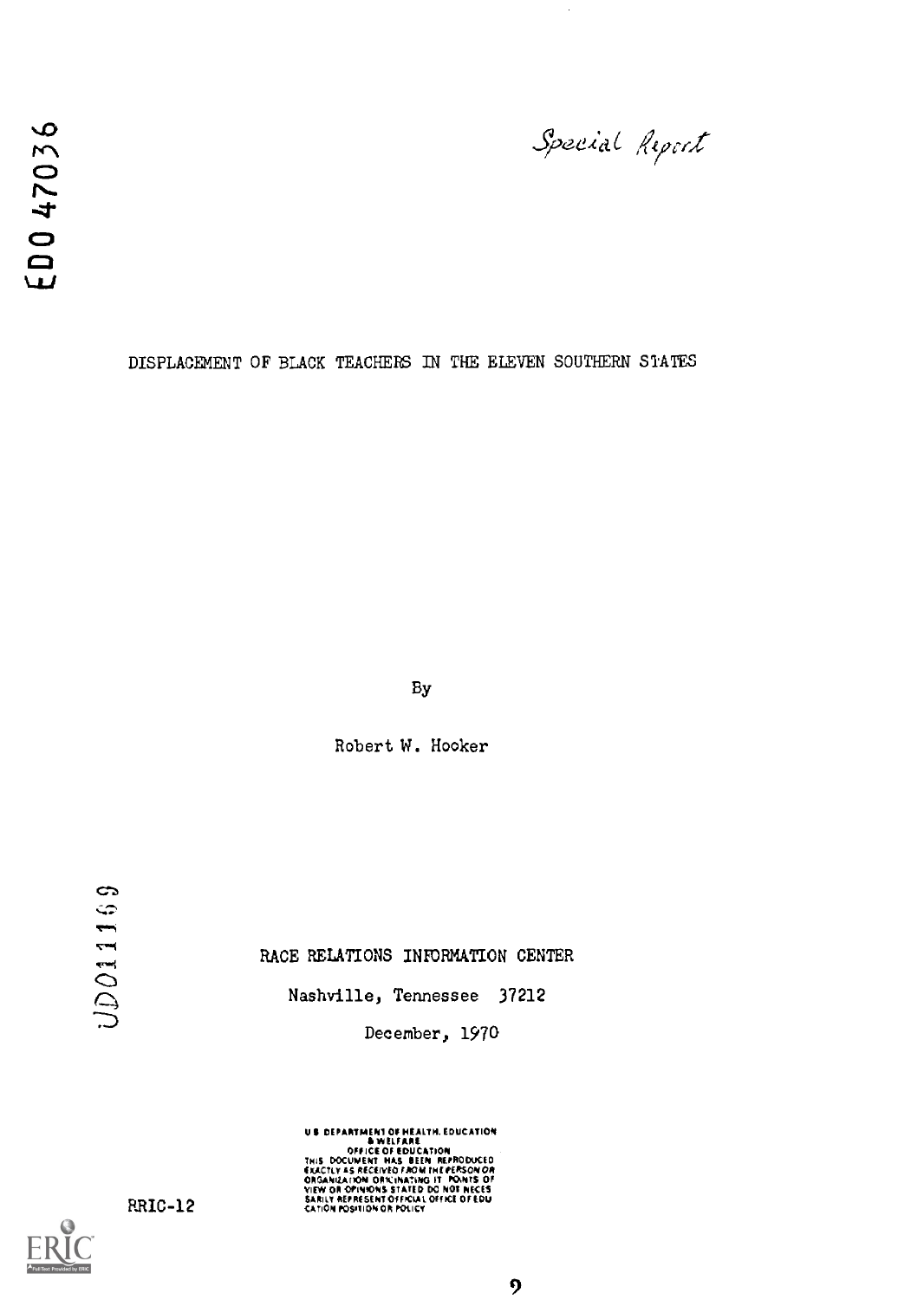ED047036

Special Report

DISPLACEMENT OF BLACK TEACHERS IN THE ELEVEN SOUTHERN STATES

By

Robert W. Hooker

UD011169

RACE RELATIONS INFORMATION CENTER

Nashville, Tennessee 37212

December, 1970

US DEPARTMENT OF HEALTH, EDUCATION<br>- B WELFARE<br>THIS DOCUMENT HAS BEEN REPRODUCED<br>THIS DOCUMENT HAS BEEN REPRODUCED<br>ORGANIZATION ORNINATION IT FONTS OF<br>ORGANIZATION OR PRESSING AT THE OR NECES<br>SARILY AREPRESSING OR POLICY<br>C

RR1C-12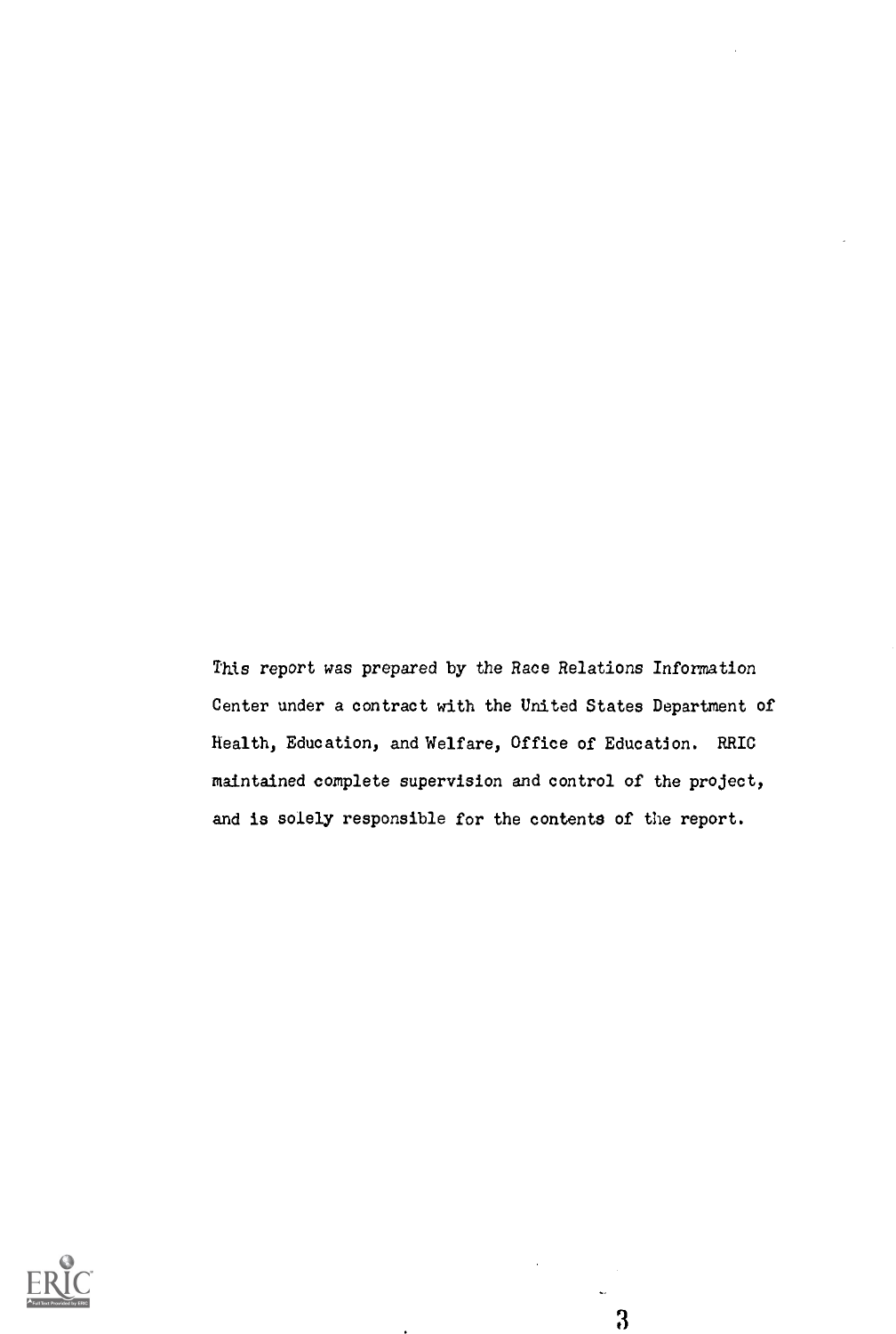This report was prepared by the Race Relations Information Center under a contract with the United States Department of Health, Education, and Welfare, Office of Education. RRIC maintained complete supervision and control of the project, and is solely responsible for the contents of the report.

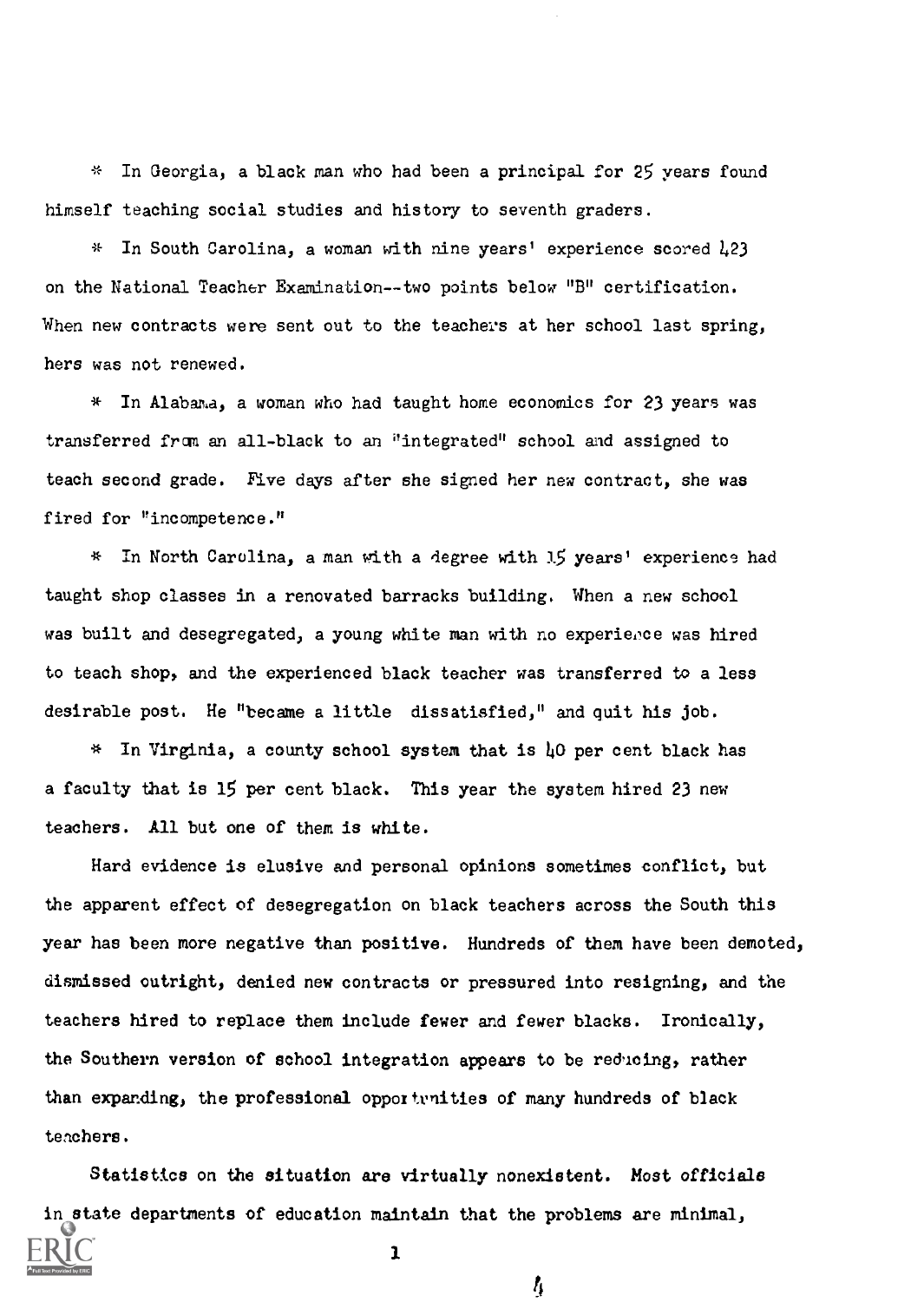In Georgia, a black man who had been a principal for 25 years found himself teaching social studies and history to seventh graders.

 $*$  In South Carolina, a woman with nine years' experience scored  $1.23$ on the National Teacher Examination--two points below "B" certification. When new contracts were sent out to the teachers at her school last spring, hers was not renewed.

 $*$  In Alabama, a woman who had taught home economics for 23 years was transferred from an all-black to an 'integrated" school and assigned to teach second grade. Five days after she signed her new contract, she was fired for "incompetence."

\* in North Carolina, a man with a degree with 15 years' experience had taught shop classes in a renovated barracks building. When a new school was built and desegregated, a young white man with no experierce was hired to teach shop, and the experienced black teacher was transferred to a less desirable post. He "became a little dissatisfied," and quit his job.

 $*$  In Virginia, a county school system that is  $\mu$ O per cent black has a faculty that is 15 per cent black. This year the system hired 23 new teachers. All but one of them is white.

Hard evidence is elusive and personal opinions sometimes conflict, but the apparent effect of desegregation on black teachers across the South this year has been more negative than positive. Hundreds of them have been demoted, dismissed outright, denied new contracts or pressured into resigning, and the teachers hired to replace them include fewer and fewer blacks. Ironically, the Southern version of school integration appears to be reducing, rather than expanding, the professional oppoitvnities of many hundreds of black tenchers.

Statistics on the situation are virtually nonexistent. Most officials in state departments of education maintain that the problems are minimal, 1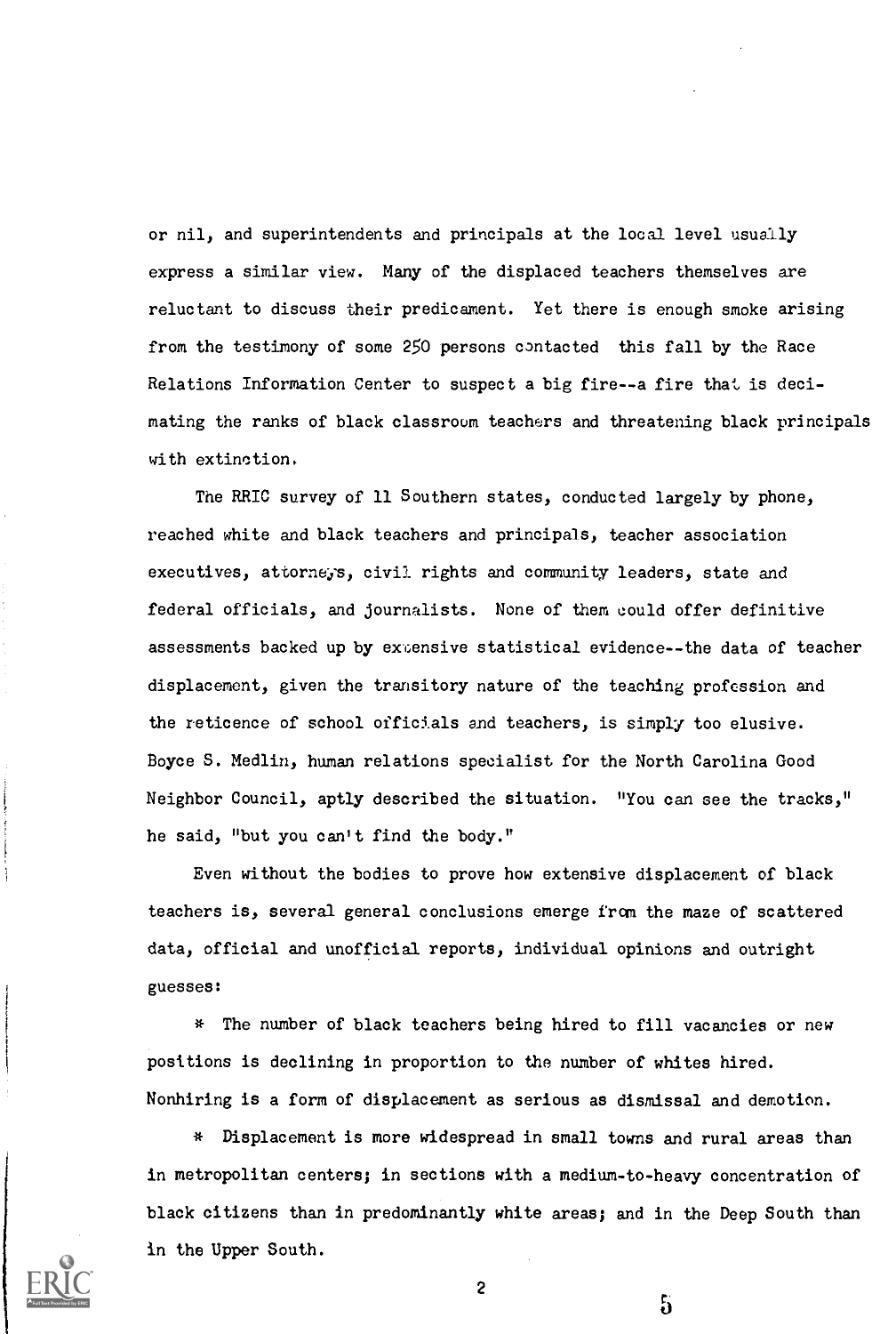or nil, and superintendents and principals at the local level usually express a similar view. Many of the displaced teachers themselves are reluctant to discuss their predicament. Yet there is enough smoke arising from the testimony of some 250 persons contacted this fall by the Race Relations Information Center to suspect a big fire--a fire that is decimating the ranks of black classroom teachers and threatening black principals with extinction.

The RRIC survey of 11 Southern states, conducted largely by phone, reached white and black teachers and principals, teacher association executives, attorneys, civil rights and community leaders, state and federal officials, and journalists. None of them could offer definitive assessments backed up by extensive statistical evidence--the data of teacher displacement, given the transitory nature of the teaching profession and the reticence of school officials and teachers, is simply too elusive. Boyce S. Medlin, human relations specialist for the North Carolina Good Neighbor Council, aptly described the situation. "You can see the tracks," he said, "but you can't find the body."

Even without the bodies to prove how extensive displacement of black teachers is, several general conclusions emerge from the maze of scattered data, official and unofficial reports, individual opinions and outright guesses:

\* The number of black teachers being hired to fill vacancies or new positions is declining in proportion to the number of whites hired. Nonhiring is a form of displacement as serious as dismissal and demotion.

\* Displacement is more widespread in small towns and rural areas than in metropolitan centers; in sections with a medium-to-heavy concentration of black citizens than in predominantly white areas; and in the Deep South than in the Upper South.



2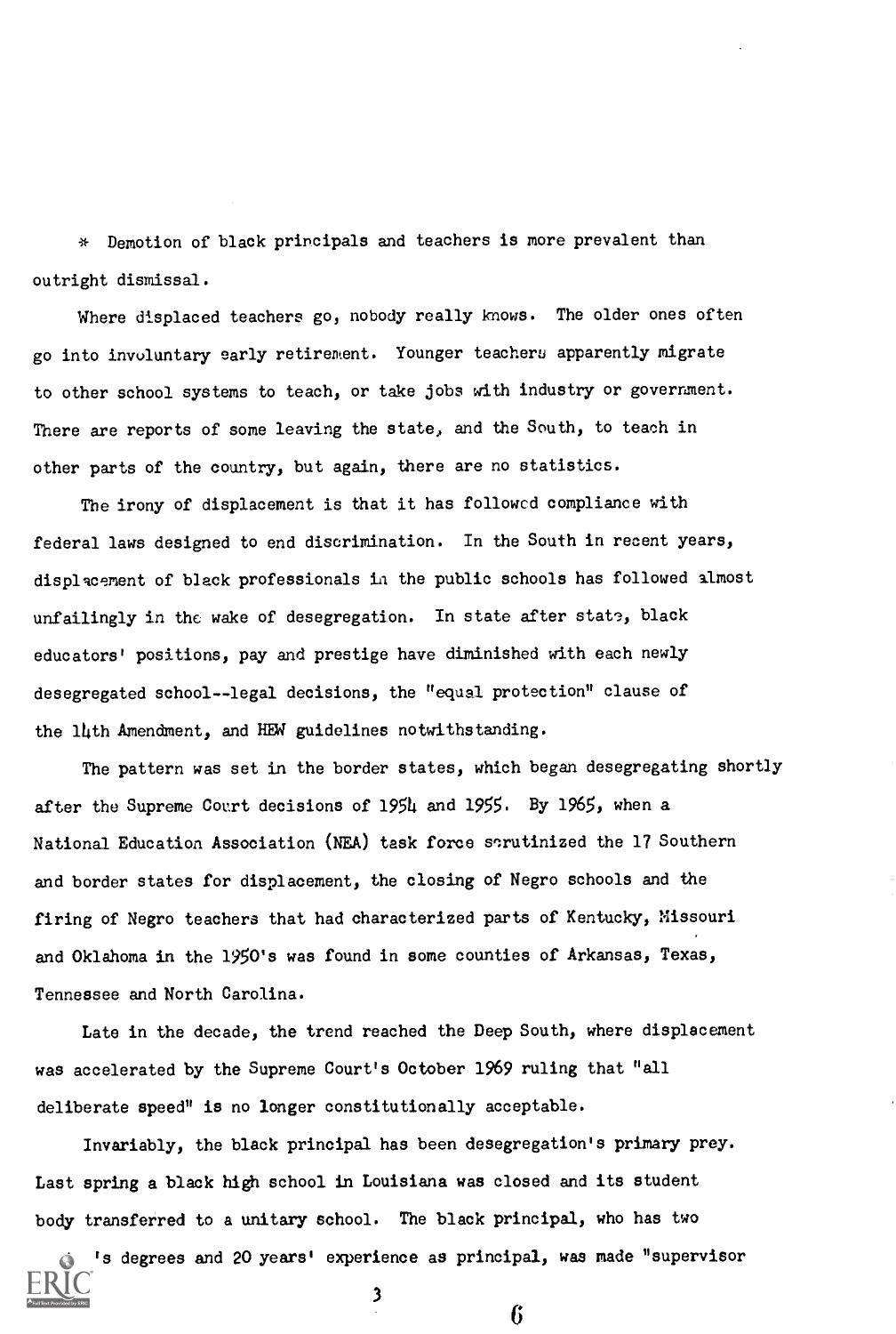\* Demotion of black principals and teachers is more prevalent than outright dismissal.

Where displaced teachers go, nobody really knows. The older ones often go into involuntary early retirement. Younger teachers apparently migrate to other school systems to teach, or take jobs with industry or government. There are reports of some leaving the state, and the South, to teach in other parts of the country, but again, there are no statistics.

The irony of displacement is that it has followed compliance with federal laws designed to end discrimination. In the South in recent years, displacement of black professionals in the public schools has followed almost unfailingly in the wake of desegregation. In state after state, black educators' positions, pay and prestige have diminished with each newly desegregated school--legal decisions, the "equal protection" clause of the 14th Amendment, and HEW guidelines notwithstanding.

The pattern was set in the border states, which began desegregating shortly after the Supreme Court decisions of 1954 and 1955. By 1965, when a National Education Association (NEA) task force scrutinized the 17 Southern and border states for displacement, the closing of Negro schools and the firing of Negro teachers that had characterized parts of Kentucky, Missouri and Oklahoma in the 1950's was found in some counties of Arkansas, Texas, Tennessee and North Carolina.

Late in the decade, the trend reached the Deep South, where displacement was accelerated by the Supreme Court's October 1969 ruling that "all deliberate speed" is no longer constitutionally acceptable.

Invariably, the black principal has been desegregation's primary prey. Last spring a black high school in Louisiana was closed and its student body transferred to a unitary school. The black principal, who has two

's degrees and 20 years' experience as principal, was made "supervisor 3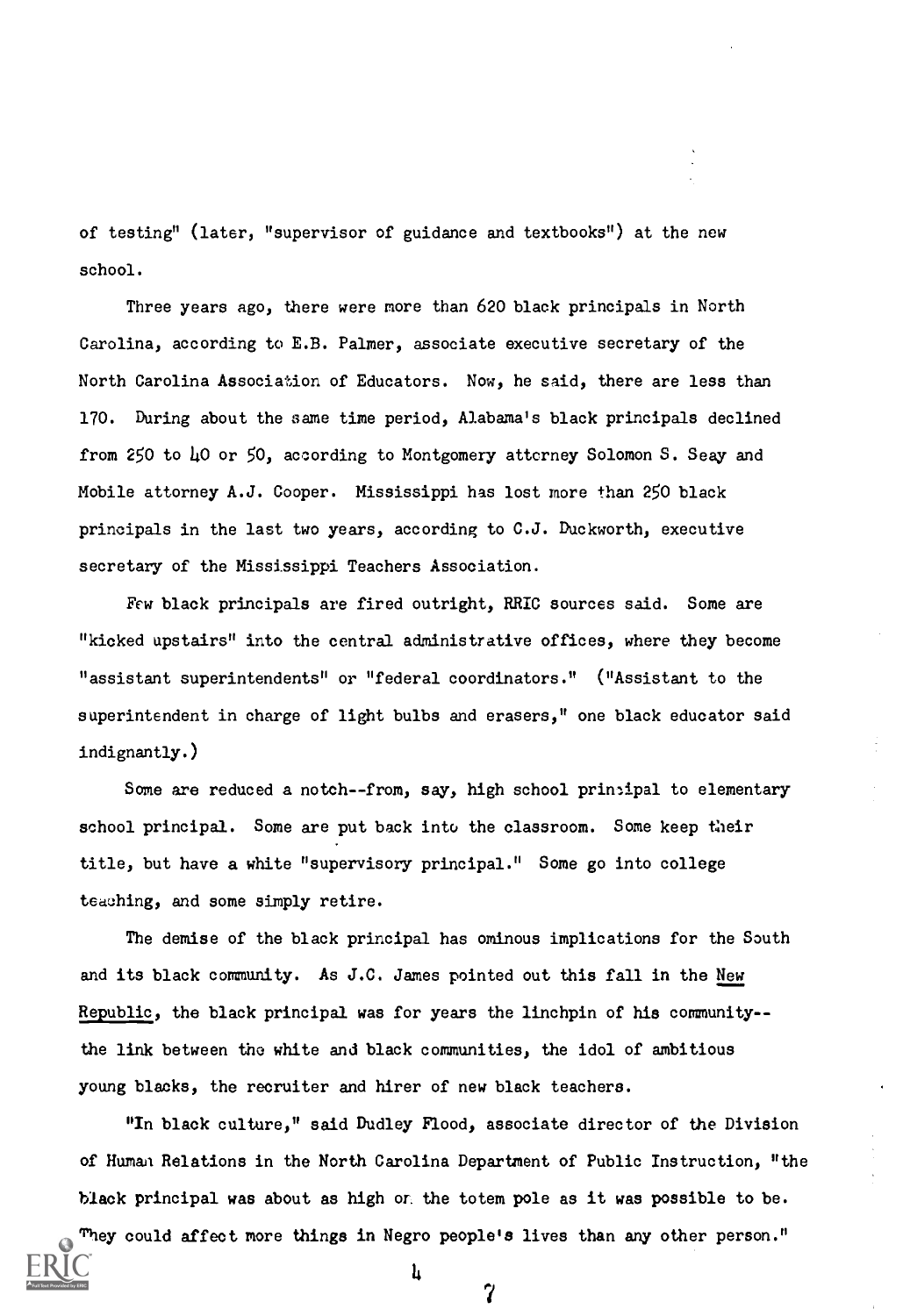of testing" (later, "supervisor of guidance and textbooks") at the new school.

Three years ago, there were more than 620 black principals in North Carolina, according to E.B. Palmer, associate executive secretary of the North Carolina Association of Educators. Now, he said, there are less than 170. During about the same time period, Alabama's black principals declined from 250 to 10 or 50, according to Montgomery attorney Solomon S. Seay and Mobile attorney A.J. Cooper. Mississippi has lost more than 250 black principals in the last two years, according to C.J. Duckworth, executive secretary of the Mississippi Teachers Association.

Few black principals are fired outright, RRIC sources said. Some are "kicked upstairs" into the central administrative offices, where they become "assistant superintendents" or "federal coordinators." ("Assistant to the superintendent in charge of light bulbs and erasers," one black educator said indignantly.)

Some are reduced a notch--from, say, high school principal to elementary school principal. Some are put back into the classroom. Some keep their title, but have a white "supervisory principal." Some go into college teaching, and some simply retire.

The demise of the black principal has ominous implications for the South and its black community. As J.C. James pointed out this fall in the New Republic, the black principal was for years the linchpin of his community- the link between the white and black communities, the idol of ambitious young blacks, the recruiter and hirer of new black teachers.

"In black culture," said Dudley Flood, associate director of the Division of Human Relations in the North Carolina Department of Public Instruction, "the black principal was about as high or. the totem pole as it was possible to be.

They could affect more things in Negro people's lives than any other person." 4 7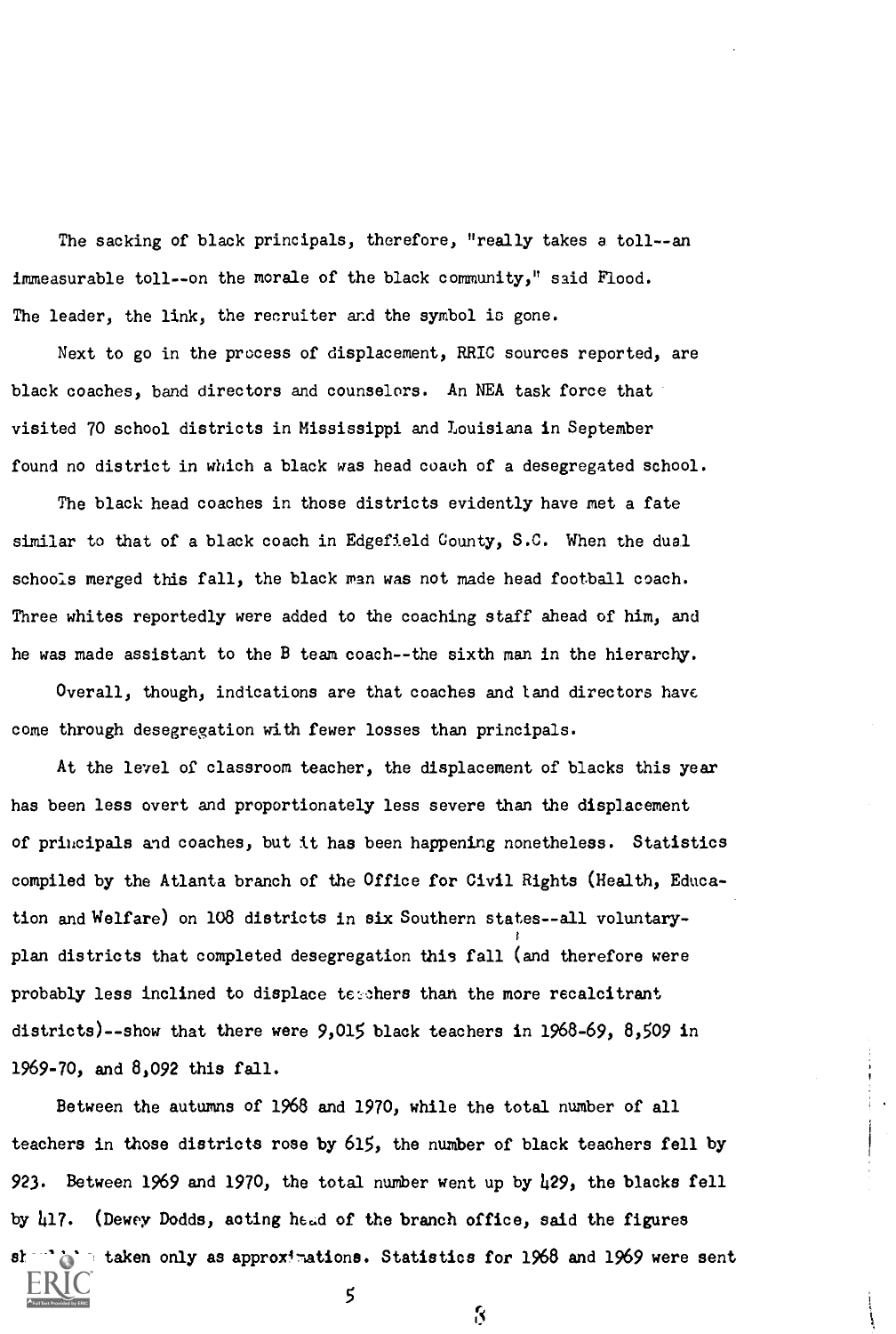The sacking of black principals, therefore, "really takes a toll--an immeasurable toll--on the morale of the black community," said Flood. The leader, the link, the recruiter and the symbol is gone.

Next to go in the process of displacement, RRIC sources reported, are black coaches, band directors and counselors. An NEA task force that visited 70 school districts in Mississippi and Louisiana in September found no district in which a black was head coach of a desegregated school.

The black head coaches in those districts evidently have met a fate similar to that of a black coach in Edgefield County, S.C. When the dual schools merged this fall, the black man was not made head football coach. Three whites reportedly were added to the coaching staff ahead of him, and he was made assistant to the B team coach--the sixth man in the hierarchy.

Overall, though, indications are that coaches and land directors have come through desegregation with fewer losses than principals.

At the level of classroom teacher, the displacement of blacks this year has been less overt and proportionately less severe than the displacement of principals and coaches, but it has been happening nonetheless. Statistics compiled by the Atlanta branch of the Office for Civil Rights (Health, Education and Welfare) on 108 districts in six Southern states--all voluntarYr i plan districts that completed desegregation this fall (and therefore were probably less inclined to displace terchers than the more recalcitrant districts)--show that there were 9,015 black teachers in 1968-69, 8,509 in 1969-70, and 8,092 this fall.

Between the autumns of 1968 and 1970, while the total number of all teachers in those districts rose by 615, the number of black teachers fell by 923. Between 1969 and 1970, the total number went up by 429, the blacks fell by 417. (Dewey Dodds, acting head of the branch office, said the figures should be taken only as approximations. Statistics for 1968 and 1969 were sent

5

ri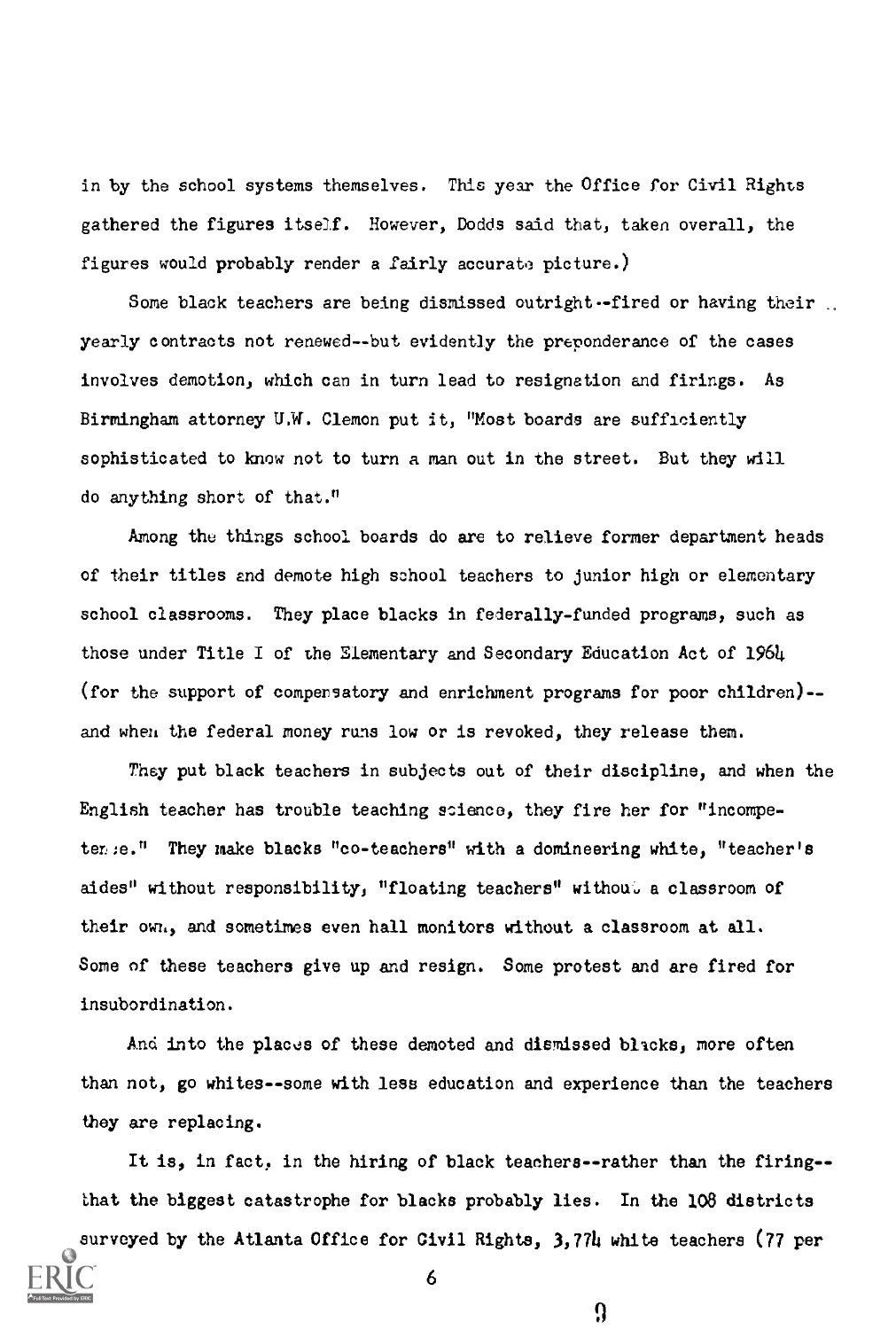in by the school systems themselves. This year the Office for Civil Rights gathered the figures itself. However, Dodds said that, taken overall, the figures would probably render a fairly accurata picture.)

Some black teachers are being dismissed outright--fired or having their. yearly contracts not renewed--but evidently the preponderance of the cases involves demotion, which can in turn lead to resignation and firings. As Birmingham attorney UM. Clemon put it, "Most boards are sufficiently sophisticated to know not to turn a man out in the street. But they will do anything short of that."

Among the things school boards do are to relieve former department heads of their titles and demote high school teachers to junior high or elementary school classrooms. They place blacks in federally-funded programs, such as those under Title I of the Elementary and Secondary Education Act of 1964 (for the support of compensatory and enrichment programs for poor children)- and when the federal money runs low or is revoked, they release them.

They put black teachers in subjects out of their discipline, and when the English teacher has trouble teaching science, they fire her for "incompeten:e." They make blacks "co-teachers" with a domineering white, "teacher's aides" without responsibility, "floating teachers" withou, a classroom of their own, and sometimes even hall monitors without a classroom at all. Some of these teachers give up and resign. Some protest and are fired for insubordination.

And into the places of these demoted and dismissed blacks, more often than not, go whites- -some with less education and experience than the teachers they are replacing.

It is, in fact, in the hiring of black teachers -- rather than the firing- that the biggest catastrophe for blacks probably lies. In the 108 districts surveyed by the Atlanta Office for Civil Rights, 3,774 white teachers (77 per

6

Ω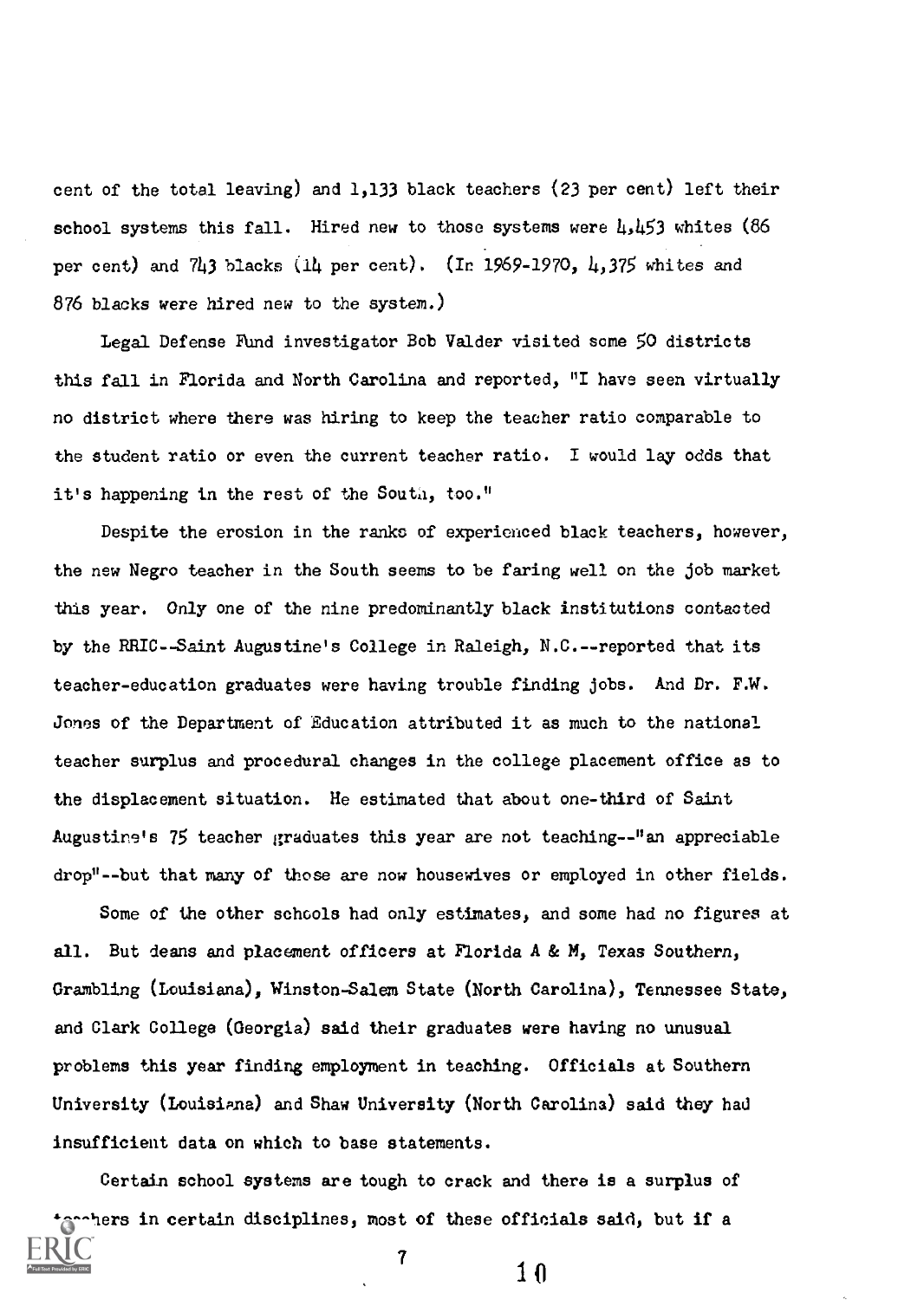cent of the total leaving) and 1,133 black teachers (23 per cent) left their school systems this fall. Hired new to those systems were  $\mu, \mu$ 53 whites (86 per cent) and 743 blacks (14 per cent). (In 1969-1970, 4,375 whites and 876 blacks were hired new to the system.)

Legal Defense Fund investigator Bob Valder visited some 50 districts this fall in Florida and North Carolina and reported, "I have seen virtually no district where there was hiring to keep the teacher ratio comparable to the student ratio or even the current teacher ratio. I would lay odds that it's happening in the rest of the Souti, too."

Despite the erosion in the ranks of experienced black teachers, however, the new Negro teacher in the South seems to be faring well on the job market this year. Only one of the nine predominantly black institutions contacted by the RRIC--Saint Augustine's College in Raleigh, N.C.--reported that its teacher-education graduates were having trouble finding jobs. And Dr. F.W. Jones of the Department of Education attributed it as much to the national teacher surplus and procedural changes in the college placement office as to the displacement situation. He estimated that about one-third of Saint Augustine's 75 teacher graduates this year are not teaching--"an appreciable drop"--but that many of those are now housewives or employed in other fields.

Some of the other schools had only estimates, and some had no figures at all. But deans and placement officers at Florida A & M, Texas Southern, Grambling (Louisiana), Winston-Salem State (North Carolina), Tennessee State, and Clark College (Georgia) said their graduates were having no unusual problems this year finding employment in teaching. Officials at Southern University (Louisiana) and Shaw University (North Carolina) said they had insufficient data on which to base statements.

Certain school systems are tough to crack and there is a surplus of terchers in certain disciplines, most of these officials said, but if a

 $\frac{7}{10}$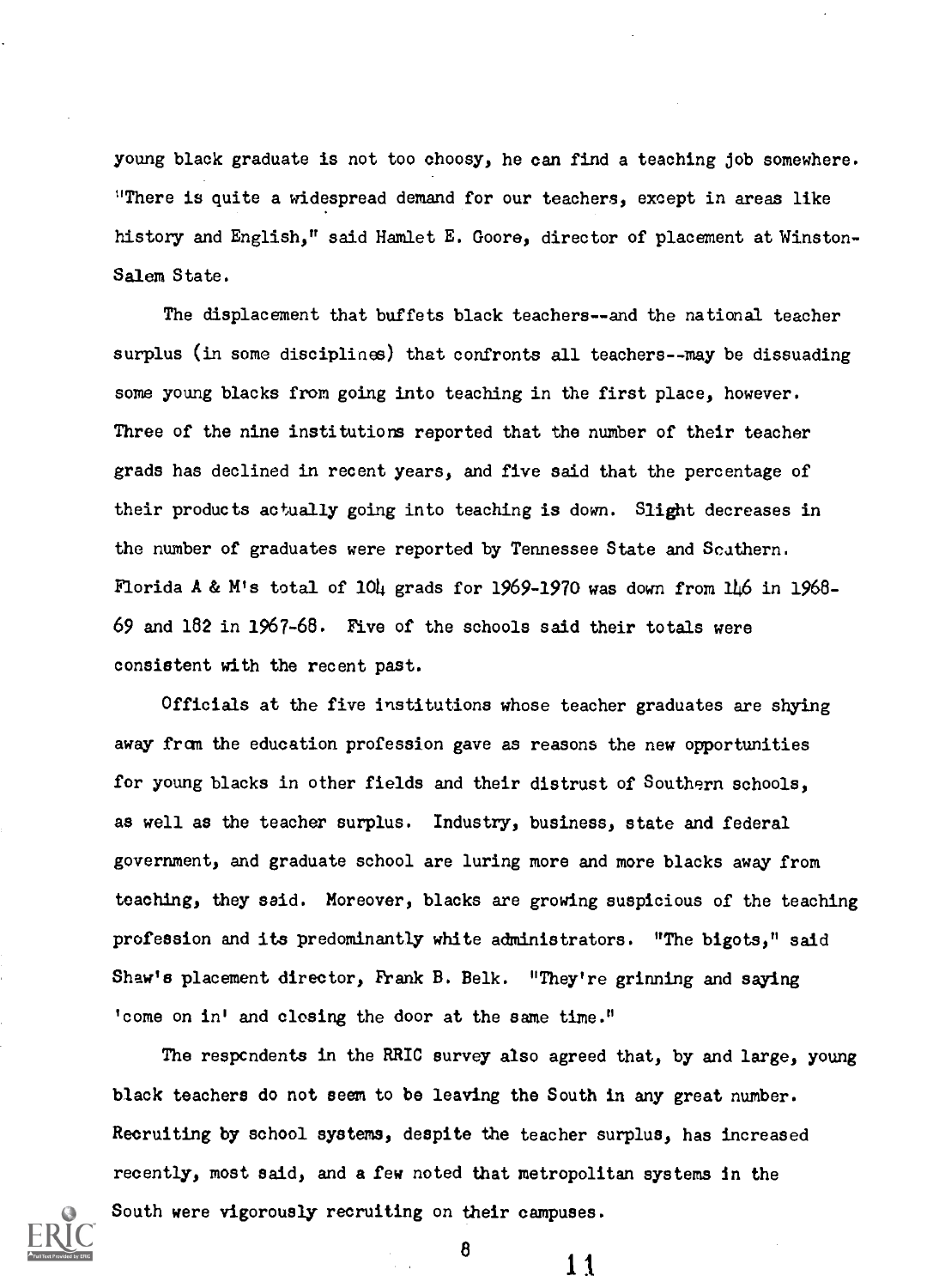young black graduate is not too choosy, he can find a teaching job somewhere. "There is quite a widespread demand for our teachers, except in areas like history and English," said Hamlet E. Goore, director of placement at Winston-Salem State.

The displacement that buffets black teachers--and the national teacher surplus (in some disciplines) that confronts all teachers--may be dissuading SOME young blacks from going into teaching in the first place, however. Three of the nine institutions reported that the number of their teacher grads has declined in recent years, and five said that the percentage of their products actually going into teaching is down. Slight decreases in the number of graduates were reported by Tennessee State and Scathern. Florida A & M's total of 104 grads for 1969-1970 was down from 146 in 1968- 69 and 182 in 1967-68. Five of the schools said their totals were consistent with the recent past.

Officials at the five institutions whose teacher graduates are shying away from the education profession gave as reasons the new opportunities for young blacks in other fields and their distrust of Southern schools, as well as the teacher surplus. Industry, business, state and federal government, and graduate school are luring more and more blacks away from teaching, they said. Moreover, blacks are growing suspicious of the teaching profession and its predominantly white administrators. "The bigots," said Shaw's placement director, Frank B. Belk. "They're grinning and saying 'come on in' and closing the door at the same time."

The respcndents in the RRIC survey also agreed that, by and large, young black teachers do not seem to be leaving the South in any great number. Recruiting by school systems, despite the teacher surplus, has increased recently, most said, and a few noted that metropolitan systems in the South were vigorously recruiting on their campuses.



8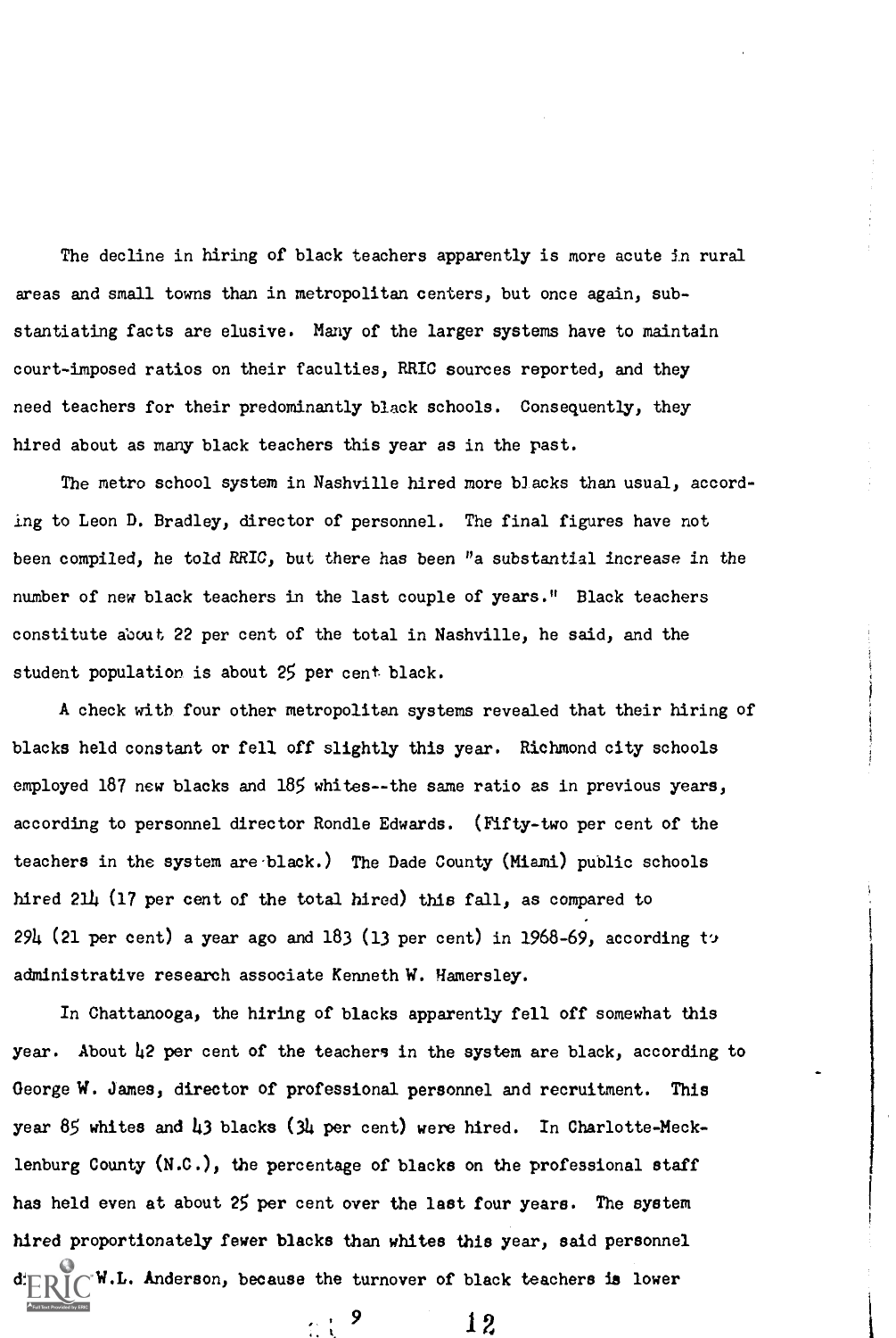The decline in hiring of black teachers apparently is more acute in rural areas and small towns than in metropolitan centers, but once again, substantiating facts are elusive. Many of the larger systems have to maintain court-imposed ratios on their faculties, RRIC sources reported, and they need teachers for their predominantly black schools. Consequently, they hired about as many black teachers this year as in the past.

The metro school system in Nashville hired more blacks than usual, according to Leon D. Bradley, director of personnel. The final figures have not been compiled, he told RRIC, but there has been "a substantial increase in the number of new black teachers in the last couple of years." Black teachers constitute about 22 per cent of the total in Nashville, he said, and the student population is about 25 per cent black.

A check with four other metropolitan systems revealed that their hiring of blacks held constant or fell off slightly this year. Richmond city schools employed 187 new blacks and 185 whites--the same ratio as in previous years, according to personnel director Rondle Edwards. (Fifty-two per cent of the teachers in the system are black.) The Dade County (Miami) public schools hired 214 (17 per cent of the total hired) this fall, as compared to  $294$  (21 per cent) a year ago and 183 (13 per cent) in 1968-69, according to administrative research associate Kenneth W. Hamersley.

In Chattanooga, the hiring of blacks apparently fell off somewhat this year. About  $\mu$ 2 per cent of the teachers in the system are black, according to George W. James, director of professional personnel and recruitment. This year 85 whites and 143 blacks (34 per cent) were hired. In Charlotte-Mecklenburg County (N.C.), the percentage of blacks on the professional staff has held even at about 25 per cent over the last four years. The system hired proportionately fewer blacks than whites this year, said personnel W.L. Anderson, because the turnover of black teachers is lower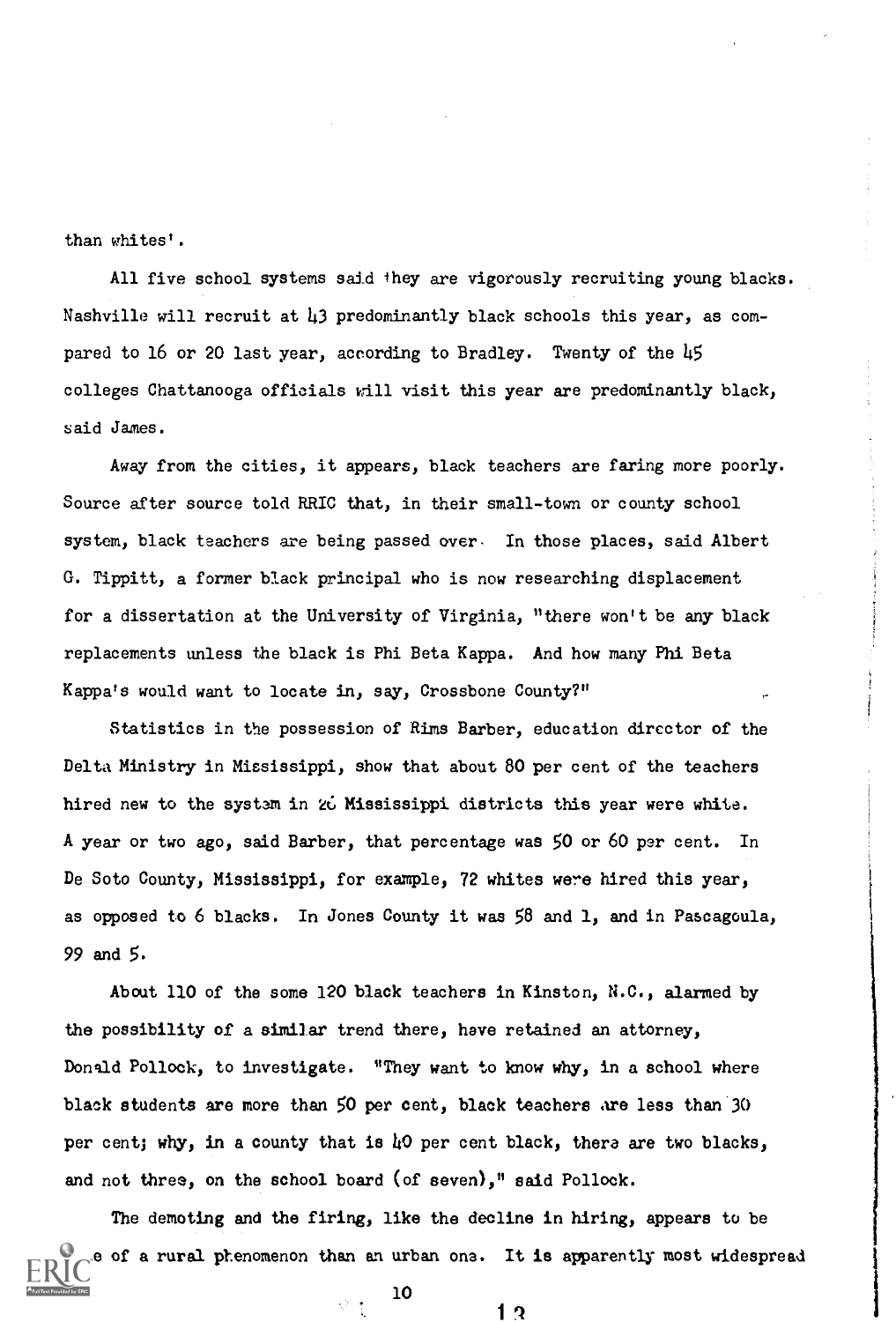than whites'.

All five school systems said they are vigorously recruiting young blacks. Nashville will recruit at 43 predominantly black schools this year, as compared to 16 or 20 last year, according to Bradley. Twenty of the 45 colleges Chattanooga officials will visit this year are predominantly black, said James.

Away from the cities, it appears, black teachers are faring more poorly. Source after source told RRIC that, in their small-town or county school system, black teachers are being passed over. In those places, said Albert G. Tippitt, a former black principal who is now researching displacement for a dissertation at the University of Virginia, "there won't be any black replacements unless the black is Phi Beta Kappa. And how many Phi Beta Kappa's would want to locate in, say, Crossbone County?"

Statistics in the possession of Rims Barber, education director of the Delta Ministry in Mississippi, show that about 80 per cent of the teachers hired new to the system in 26 Mississippi districts this year were white. A year or two ago, said Barber, that percentage was 50 or 60 per cent. In De Soto County, Mississippi, for example, 72 whites were hired this year, as opposed to 6 blacks. In Jones County it was 58 and 1, and in Pascagoula, 99 and 5.

About 110 of the some 120 black teachers in Kinston, N.C., alarmed by the possibility of a similar trend there, have retained an attorney, Donald Pollock, to investigate. "They want to know why, in a school where black students are more than 50 per cent, black teachers are less than 30 per cent; why, in a county that is 40 per cent black, thera are two blacks, and not three, on the school board (of seven)," said Pollock.

The demoting and the firing, like the decline in hiring, appears to be of a rural phenomenon than an urban one. It is apparently most widespread

10

 $1.3$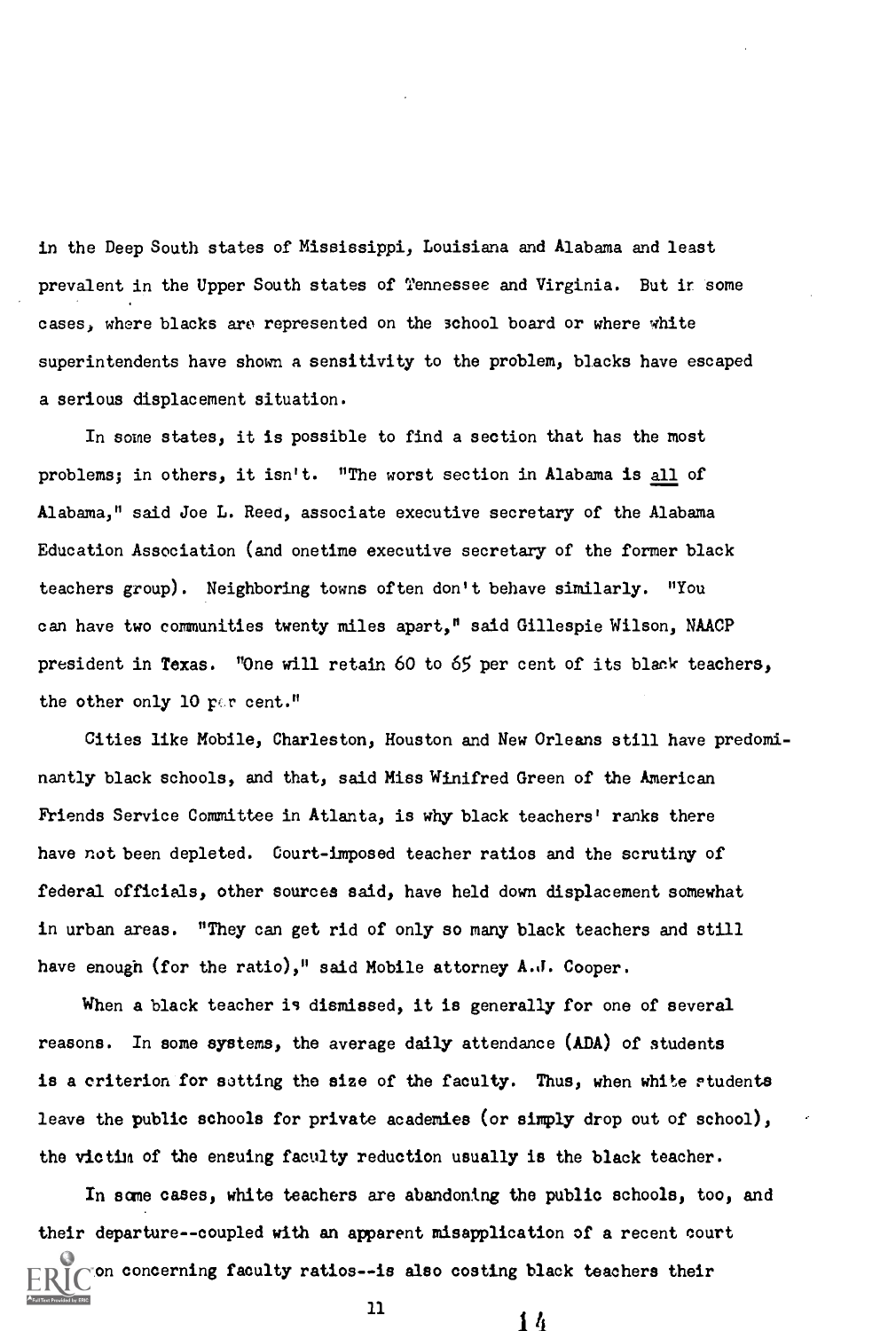in the Deep South states of Mississippi, Louisiana and Alabama and least prevalent in the Upper South states of Tennessee and Virginia. But it some cases, where blacks are represented on the school board or where white superintendents have shown a sensitivity to the problem, blacks have escaped a serious displacement situation.

In some states, it is possible to find a section that has the most problems; in others, it isn't. "The worst section in Alabama is all of Alabama," said Joe L. Reed, associate executive secretary of the Alabama Education Association (and onetime executive secretary of the former black teachers group). Neighboring towns often don't behave similarly. "You can have two communities twenty miles apart," said Gillespie Wilson, NAACP president in Texas. "One will retain 60 to 65 per cent of its blank teachers, the other only 10  $r \in \mathfrak{r}$  cent."

Cities like Mobile, Charleston, Houston and New Orleans still have predominantly black schools, and that, said Miss Winifred Green of the American Friends Service Committee in Atlanta, is why black teachers' ranks there have not been depleted. Court-imposed teacher ratios and the scrutiny of federal officials, other sources said, have held down displacement somewhat in urban areas. "They can get rid of only so many black teachers and still have enough (for the ratio)," said Mobile attorney A.J. Cooper.

When a black teacher is dismissed, it is generally for one of several reasons. In some systems, the average daily attendance (ADA) of students is a criterion for setting the size of the faculty. Thus, when white students leave the public schools for private academies (or simply drop out of school), the victim of the ensuing faculty reduction usually is the black teacher.

In acme cases, white teachers are abandoning the public schools, too, and their departure--coupled with an apparent misapplication of a recent court on concerning faculty ratios--is also costing black teachers their

 $\frac{11}{14}$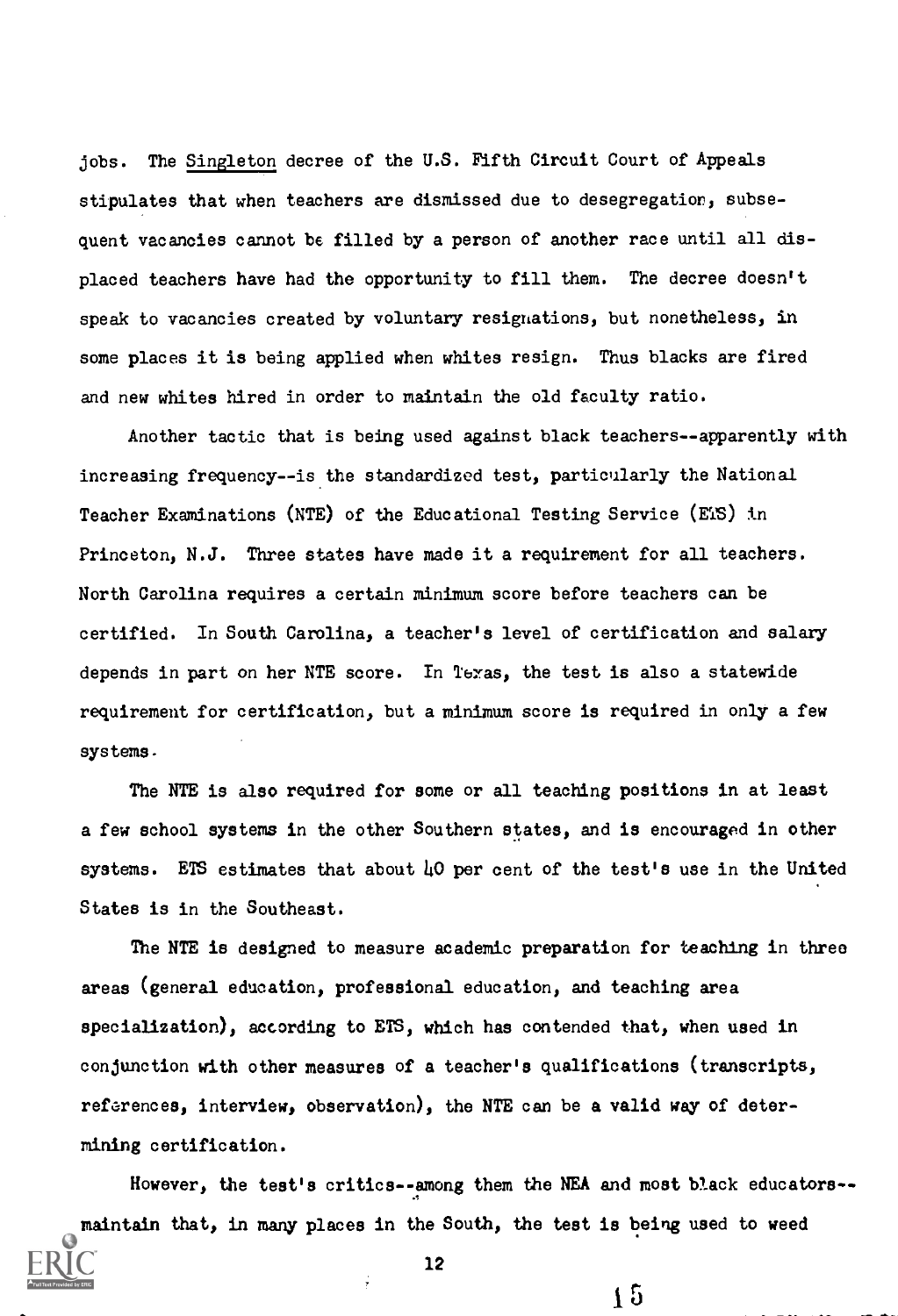jobs. The Singleton decree of the U.S. Fifth Circuit Court of Appeals stipulates that when teachers are dismissed due to desegregation, subsequent vacancies cannot be filled by a person of another race until all displaced teachers have had the opportunity to fill them. The decree doesn't speak to vacancies created by voluntary resignations, but nonetheless, in some places it is being applied when whites resign. Thus blacks are fired and new whites hired in order to maintain the old faculty ratio.

Another tactic that is being used against black teachers--apparently with increasing frequency--is the standardized test, particularly the National Teacher Examinations (NTE) of the Educational Testing Service (ETS) in Princeton, N.J. Three states have made it a requirement for all teachers. North Carolina requires a certain minimum score before teachers can be certified. In South Carolina, a teacher's level of certification and salary depends in part on her NTE score. In Texas, the test is also a statewide requirement for certification, but a minimum score is required in only a few systems.

The NTE is also required for some or all teaching positions in at least a few school systems in the other Southern states, and is encouraged in other systems. ETS estimates that about 40 per cent of the test's use in the United States is in the Southeast.

The NTE is designed to measure academic preparation for teaching in three areas (general education, professional education, and teaching area specialization), according to ETS, which has contended that, when used in conjunction with other measures of a teacher's qualifications (transcripts, references, interview, observation), the NTE can be a valid way of determining certification.

However, the test's critics--among them the NEA and most black educators- maintain that, in many places in the South, the test is being used to weed

 $15$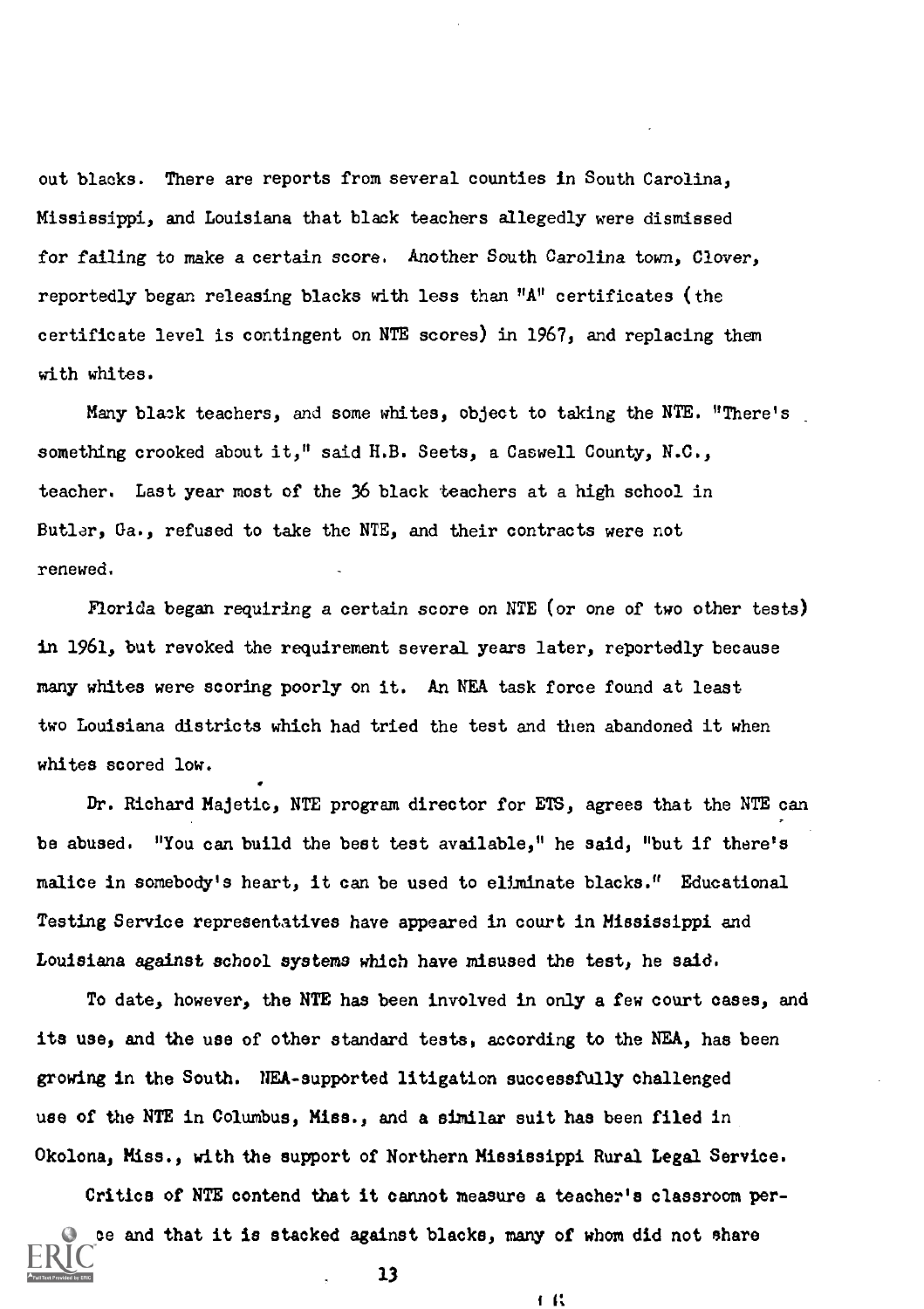out blacks. There are reports from several counties in South Carolina, Mississippi, and Louisiana that black teachers allegedly were dismissed for failing to make a certain score. Another South Carolina town, Clover, reportedly began releasing blacks with less than "A" certificates (the certificate level is contingent on NTE scores) in 1967, and replacing them with whites.

Many black teachers, and some whites, object to taking the NTE. "There's something crooked about it," said H.B. Seets, a Caswell County, N.C., teacher. Last year most of the 36 black teachers at a high school in Butlar, Ga., refused to take the NTE, and their contracts were not renewed.

Florida began requiring a certain score on NTE (or one of two other tests) in 1961, but revoked the requirement several years later, reportedly because many whites were scoring poorly on it. An NEA task force found at least two Louisiana districts which had tried the test and then abandoned it when whites scored low.

Dr. Richard Majetic, NTE program director for ETS, agrees that the NTE can be abused. "You can build the best test available," he said, "but if there's malice in somebody's heart, it can be used to eliminate blacks." Educational Testing Service representatives have appeared in court in Mississippi and Louisiana against school systems which have misused the test, he said.

To date, however, the NTE has been involved in only a few court cases, and its use, and the use of other standard tests, according to the NEA, has been growing in the South. NEA-supported litigation successfully challenged use of the NTE in Columbus, Miss., and a similar suit has been filed in Okolona, Miss., with the support of Northern Mississippi Rural Legal Service.

Critics of NTE contend that it cannot measure a teacher's classroom perce and that it is stacked against blacks, many of whom did not share 13

I 11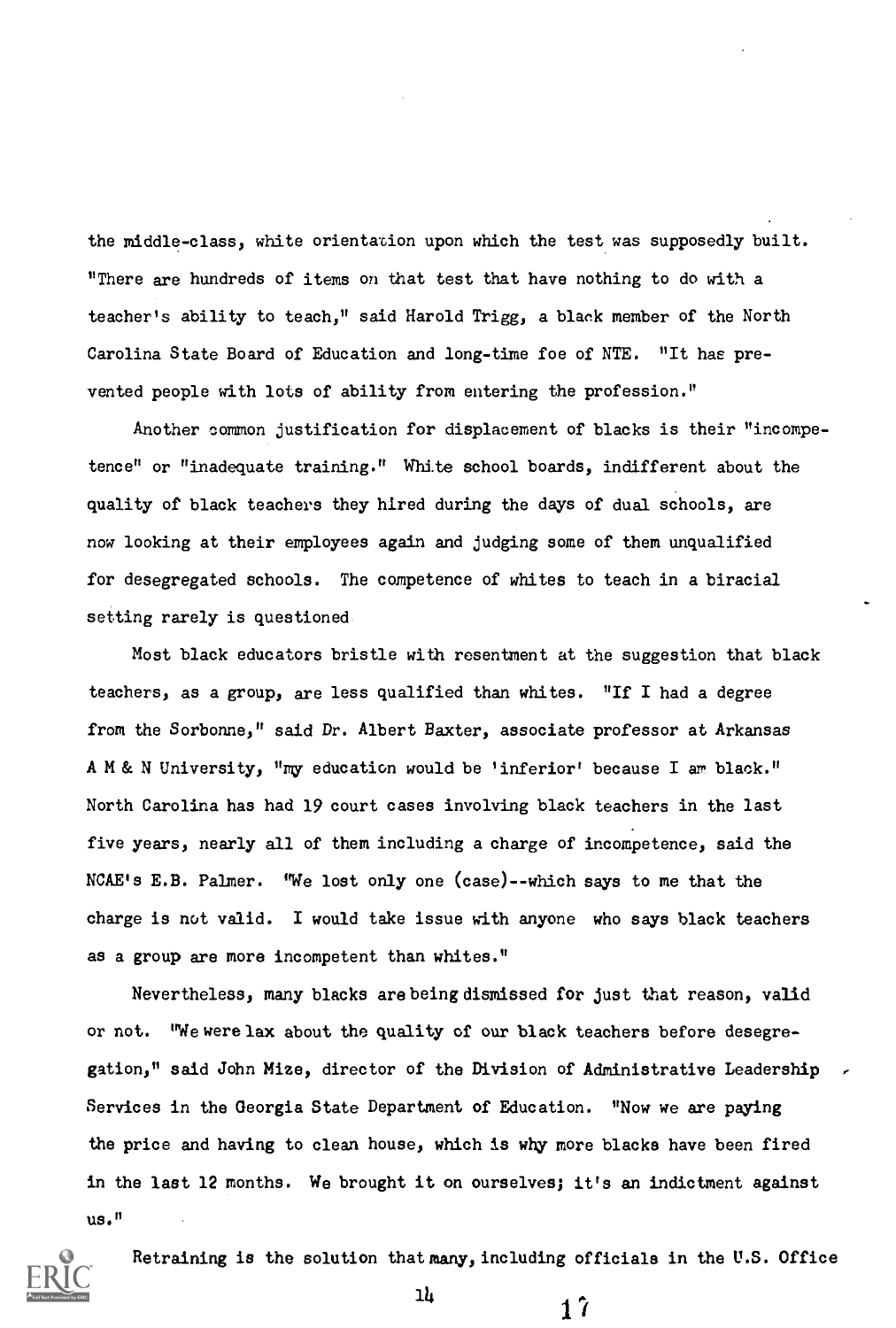the middle-class, white orientation upon which the test was supposedly built. "There are hundreds of items on that test that have nothing to do with a teacher's ability to teach," said Harold Trigg, a black member of the North Carolina State Board of Education and long-time foe of NTE. "It has prevented people with lots of ability from entering the profession."

Another common justification for displacement of blacks is their "incompetence" or "inadequate training." White school boards, indifferent about the quality of black teachers they hired during the days of dual schools, are now looking at their employees again and judging some of them unqualified for desegregated schools. The competence of whites to teach in a biracial setting rarely is questioned

Most black educators bristle with resentment at the suggestion that black teachers, as a group, are less qualified than whites. "If I had a degree from the Sorbonne," said Dr. Albert Baxter, associate professor at Arkansas A M & N University, "my education would be 'inferior' because I am black." North Carolina has had 19 court cases involving black teachers in the last five years, nearly all of them including a charge of incompetence, said the NCAE's E.B. Palmer. "We lost only one (case)--which says to me that the charge is not valid. I would take issue with anyone who says black teachers as a group are more incompetent than whites."

Nevertheless, many blacks arebeingdismissed for just that reason, valid or not. "We were lax about the quality of our black teachers before desegregation," said John Mize, director of the Division of Administrative Leadership Services in the Georgia State Department of Education. "Now we are paying the price and having to clean house, which is why more blacks have been fired in the last 12 months. We brought it on ourselves; it's an indictment against us."



Retraining is the solution that many, including officials in the U.S. Office

 $17$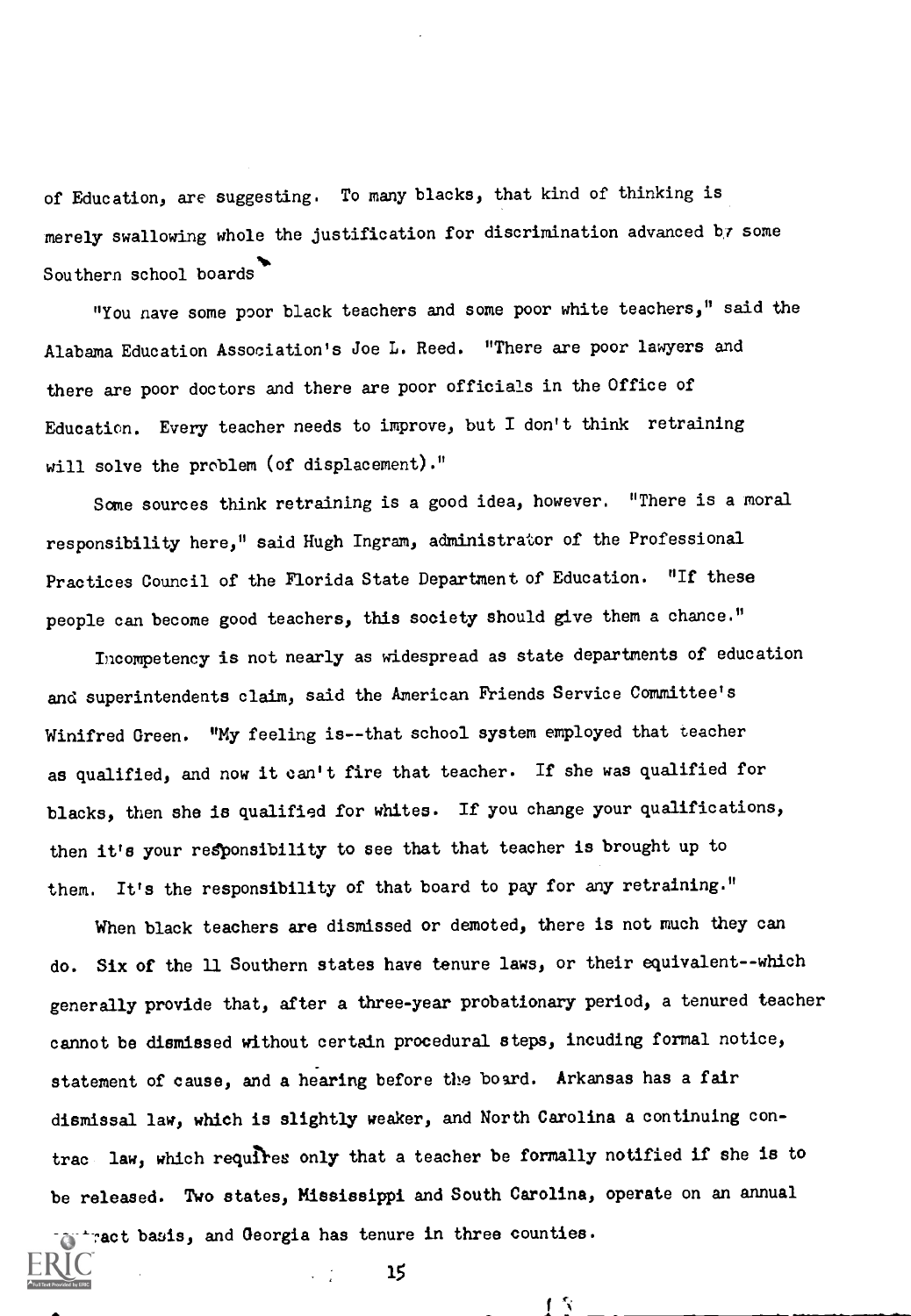of Education, are suggesting. To many blacks, that kind of thinking is merely swallowing whole the justification for discrimination advanced br some  $\mathbf{S}$  and  $\mathbf{S}$  and  $\mathbf{S}$ Southern school boards

"You nave some poor black teachers and some poor white teachers," said the Alabama Education Association's Joe L. Reed. "There are poor lawyers and there are poor doctors and there are poor officials in the Office of Education. Every teacher needs to improve, but I don't think retraining will solve the problem (of displacement)."

Some sources think retraining is a good idea, however. "There is a moral responsibility here," said Hugh Ingram, administrator of the Professional Practices Council of the Florida State Department of Education. "If these people can become good teachers, this society should give them a chance."

Incompetency is not nearly as widespread as state departments of education and superintendents claim, said the American Friends Service Committee's Winifred Green. "My feeling is--that school system employed that teacher as qualified, and now it can't fire that teacher. If she was qualified for blacks, then she is qualified for whites. If you change your qualifications, then it's your responsibility to see that that teacher is brought up to them. It's the responsibility of that board to pay for any retraining."

When black teachers are dismissed or demoted, there is not much they can do. Six of the 11 Southern states have tenure laws, or their equivalent--which generally provide that, after a three-year probationary period, a tenured teacher cannot be dismissed without certain procedural steps, incuding formal notice, statement of cause, and a hearing before the board. Arkansas has a fair dismissal law, which is slightly weaker, and North Carolina a continuing contrac law, which requires only that a teacher be formally notified if she is to be released. Two states, Mississippi and South Carolina, operate on an annual

子々

contract basis, and Georgia has tenure in three counties.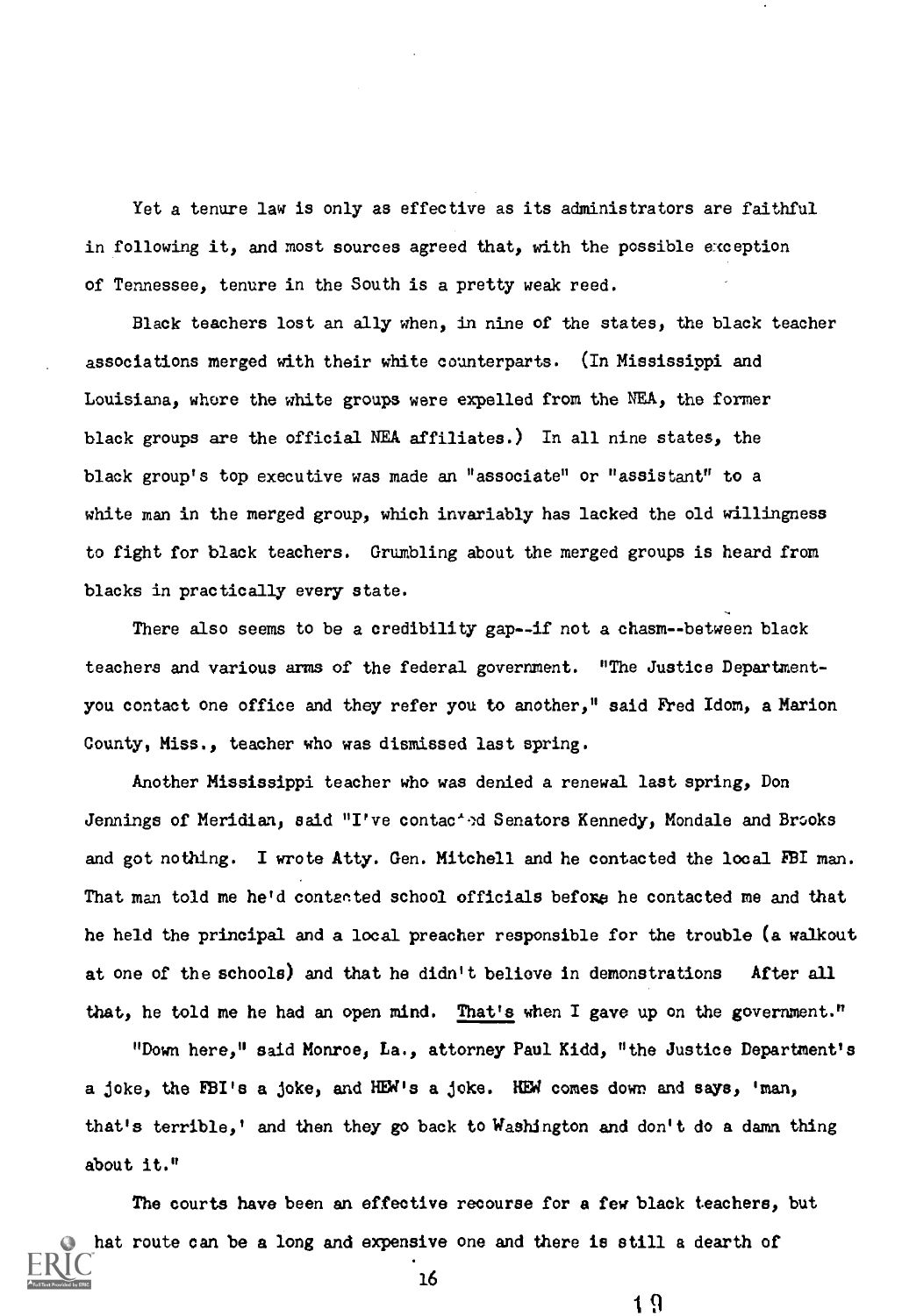Yet a tenure law is only as effective as its administrators are faithful in following it, and most sources agreed that, with the possible exception of Tennessee, tenure in the South is a pretty weak reed.

Black teachers lost an ally when, in nine of the states, the black teacher associations merged with their white counterparts. (In Mississippi and Louisiana, where the white groups were expelled from the NEA, the former black groups are the official NEA affiliates.) In all nine states, the black group's top executive was made an "associate" or "assistant" to a white man in the merged group, which invariably has lacked the old willingness to fight for black teachers. Grumbling about the merged groups is heard from blacks in practically every state.

There also seems to be a credibility gap--if not a chasm--between black teachers and various arms of the federal government. "The Justice Departmentyou contact one office and they refer you to another," said Fred Idom, a Marion County, Miss., teacher who was dismissed last spring.

Another Mississippi teacher who was denied a renewal last spring, Don Jennings of Meridian, said "I've contac<sup>1</sup>ed Senators Kennedy, Mondale and Brooks and got nothing. I wrote Atty. Gen. Mitchell and he contacted the local FBI man. That man told me he'd contacted school officials before he contacted me and that he held the principal and a local preacher responsible for the trouble (a walkout at one of the schools) and that he didn't believe in demonstrations After all that, he told me he had an open mind. That's when I gave up on the government."

"Down here," said Monroe) La., attorney Paul Kidd, "the Justice Department's a joke, the FBI's a joke, and HEW's a joke. HEW comes down and says, 'man, that's terrible,' and then they go back to Washington and don't do a damn thing about it."

The courts have been an effective recourse for a few black teachers, but hat route can be a long and expensive one and there is still a dearth of

16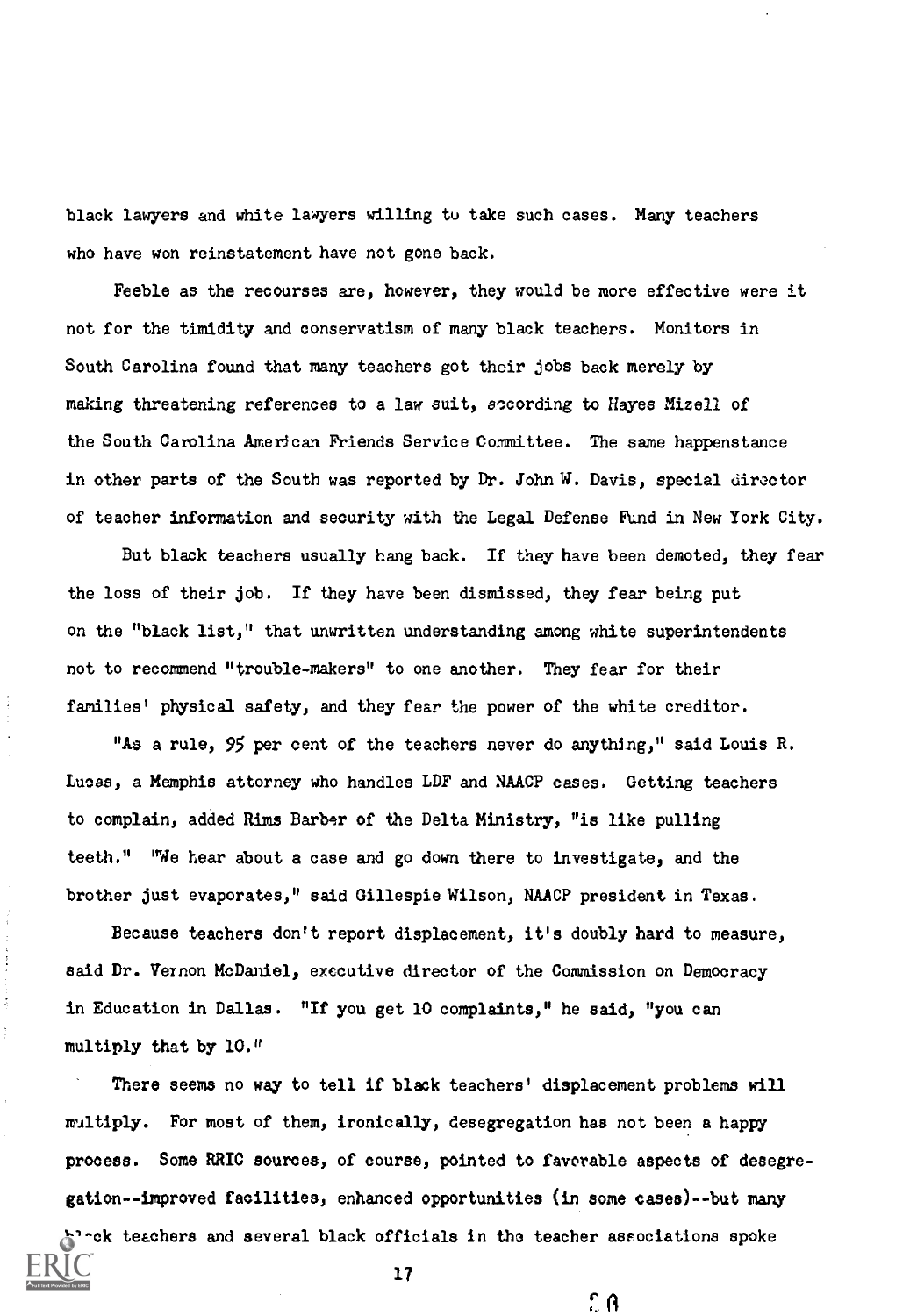black lawyers and white lawyers willing to take such cases. Many teachers who have won reinstatement have not gone back.

Feeble as the recourses are, however, they would be more effective were it not for the timidity and conservatism of many black teachers. Monitors in South Carolina found that many teachers got their jobs back merely by making threatening references to a law suit, according to Hayes Mizell of the South Carolina American Friends Service Committee. The same happenstance in other parts of the South was reported by Dr. John W. Davis, special director of teacher information and security with the Legal Defense Fund in New York City.

But black teachers usually hang back. If they have been demoted, they fear the loss of their job. If they have been dismissed, they fear being put on the "black list," that unwritten understanding among white superintendents not to recommend "trouble-makers" to one another. They fear for their families' physical safety, and they fear the power of the white creditor.

"As a rule, 95 per cent of the teachers never do anything," said Louis R. Lucas, a Memphis attorney who handles LDF and NAACP cases. Getting teachers to complain, added Rims Barber of the Delta Ministry, "is like pulling teeth." "We hear about a case and go down there to investigate, and the brother just evaporates," said Gillespie Wilson, NAACP president in Texas.

Because teachers don't report displacement, it's doubly hard to measure, said Dr. Vernon McDaniel, executive director of the Commission on Democracy in Education in Dallas. "If you get 10 complaints," he said, "you can multiply that by 10."

Î

There seems no way to tell if black teachers' displacement problems will multiply. For most of them, ironically, desegregation has not been a happy process. Some RRIC sources, of course, pointed to favorable aspects of desegregation--improved facilities, enhanced opportunities (in some cases)--but many black teachers and several black officials in the teacher associations spoke

 $\hat{c}$   $\theta$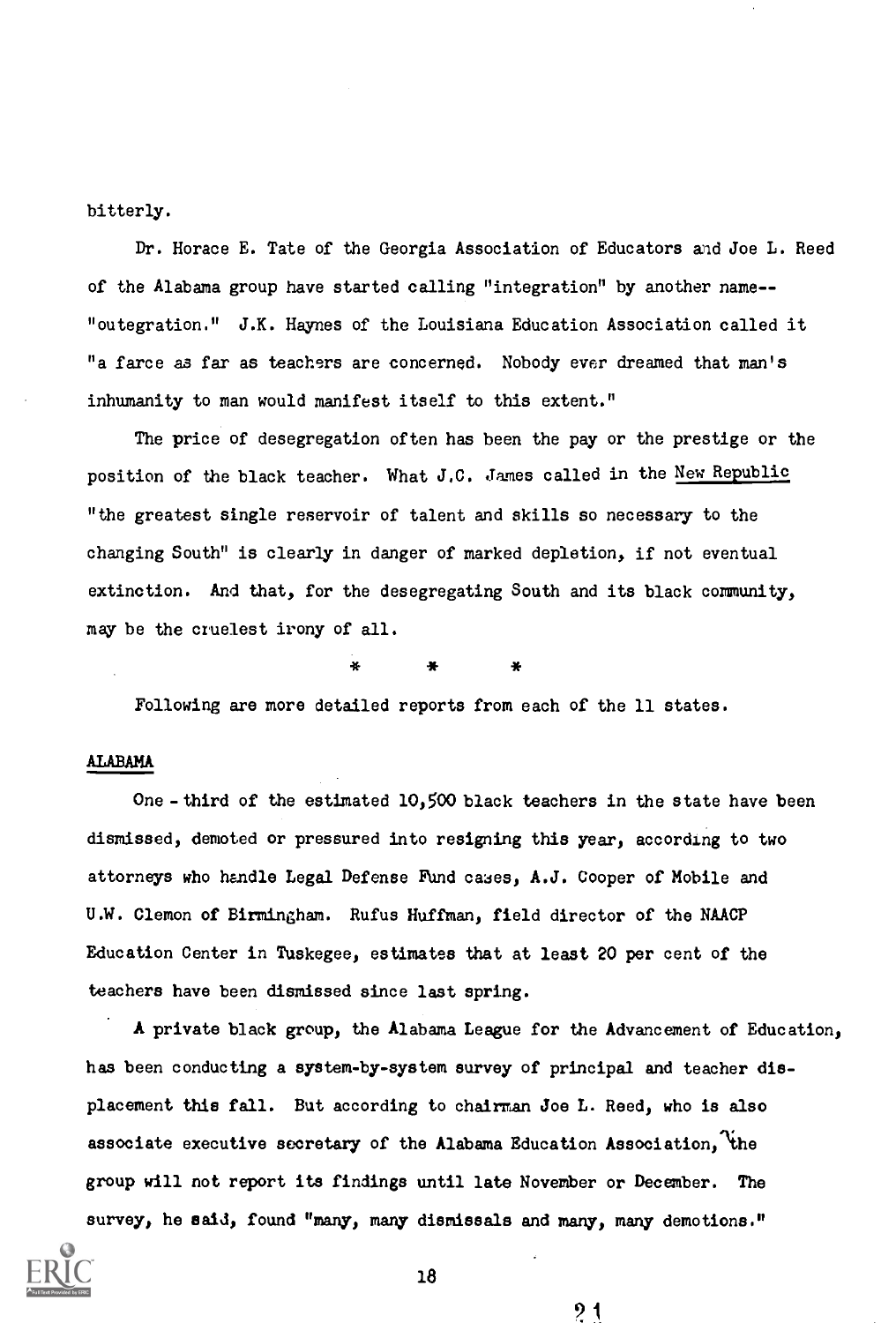bitterly.

Dr. Horace E. Tate of the Georgia Association of Educators and Joe L. Reed of the Alabama group have started calling "integration" by another name-- "outegration." J.K. Haynes of the Louisiana Education Association called it "a farce as far as teachers are concerned. Nobody ever dreamed that man's inhumanity to man would manifest itself to this extent."

The price of desegregation often has been the pay or the prestige or the position of the black teacher. What J.C. James called in the New Republic "the greatest single reservoir of talent and skills so necessary to the changing South" is clearly in danger of marked depletion, if not eventual extinction. And that, for the desegregating South and its black community, may be the cruelest irony of all.

\* \* \*

Following are more detailed reports from each of the 11 states.

# ALABAMA

One - third of the estimated 10,500 black teachers in the state have been dismissed, demoted or pressured into resigning this year, according to two attorneys who handle Legal Defense Fund cases, A.J. Cooper of Mobile and U.W. Clemon of Birmingham. Rufus Huffman, field director of the NAACP Education Center in Tuskegee, estimates that at least 20 per cent of the teachers have been dismissed since last spring.

A private black group, the Alabama League for the Advancement of Education, has been conducting a system-by-system survey of principal and teacher displacement this fall. But according to chairman Joe L. Reed, who is also associate executive secretary of the Alabama Education Association, the group will not report its findings until late November or December. The survey, he said, found "many, many dismissals and many, many demotions."



18

 $2<sub>1</sub>$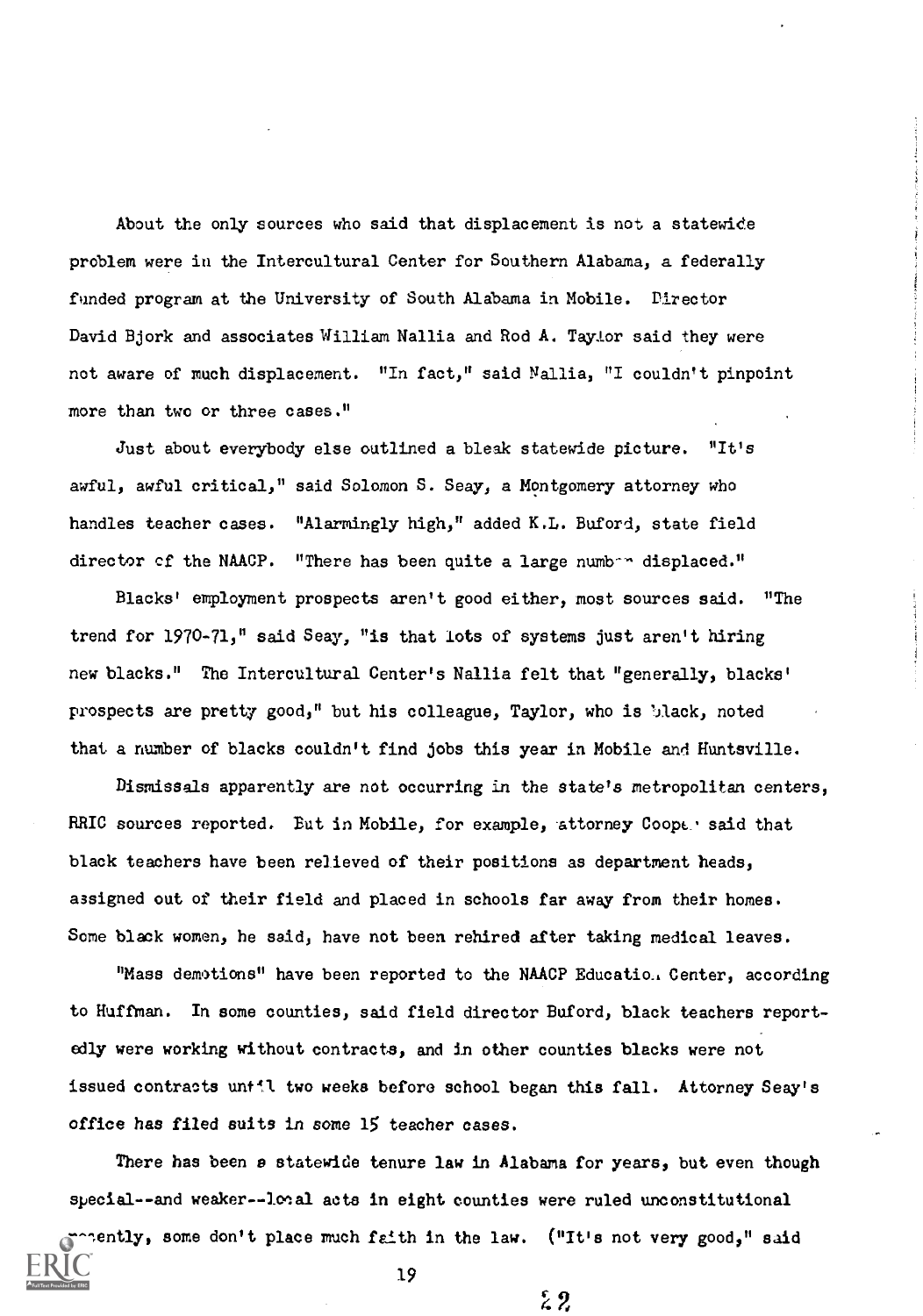About the only sources who said that displacement is not a statewide problem were in the Intercultural Center for Southern Alabama, a federally funded program at the University of South Alabama in Mobile. Director David Bjork and associates William Nallia and Rod A. Taylor said they were not aware of much displacement. "In fact," said Nellie, "I couldn't pinpoint more than two or three cases."

Just about everybody else outlined a bleak statewide picture. "It's awful, awful critical," said Solomon S. Seay, a Montgomery attorney who handles teacher cases. "Alarmingly high," added K.L. Buford, state field director of the NAACP. "There has been quite a large number displaced."

Blacks' employment prospects aren't good either, most sources said. "The trend for 1970-71," said Seay, "is that lots of systems just aren't hiring new blacks." The Intercultural Center's Nallia felt that "generally, blacks' prospects are pretty good," but his colleague, Taylor, who is 'Jlack, noted that a number of blacks couldn't find jobs this year in Mobile and Huntsville.

Dismissals apparently are not occurring in the state's metropolitan centers, RRIC sources reported. But in Mobile, for example, attorney Coope. said that black teachers have been relieved of their positions as department heads, assigned out of their field and placed in schools far away from their homes. Some black women, he said, have not been rehired after taking medical leaves.

"Mass demotions" have been reported to the NAACP Educatio, Center, according to Huffman. In some counties, said field director Buford, black teachers reportedly were working without contracts, and in other counties blacks were not issued contracts until two weeks before school began this fall. Attorney Seay's office has filed suits in some 15 teacher eases.

There has been a statewide tenure law in Alabama for years, but even though special--and weaker--looal acts in eight counties were ruled unconstitutional

recently, some don't place much faith in the law. ("It's not very good," said 19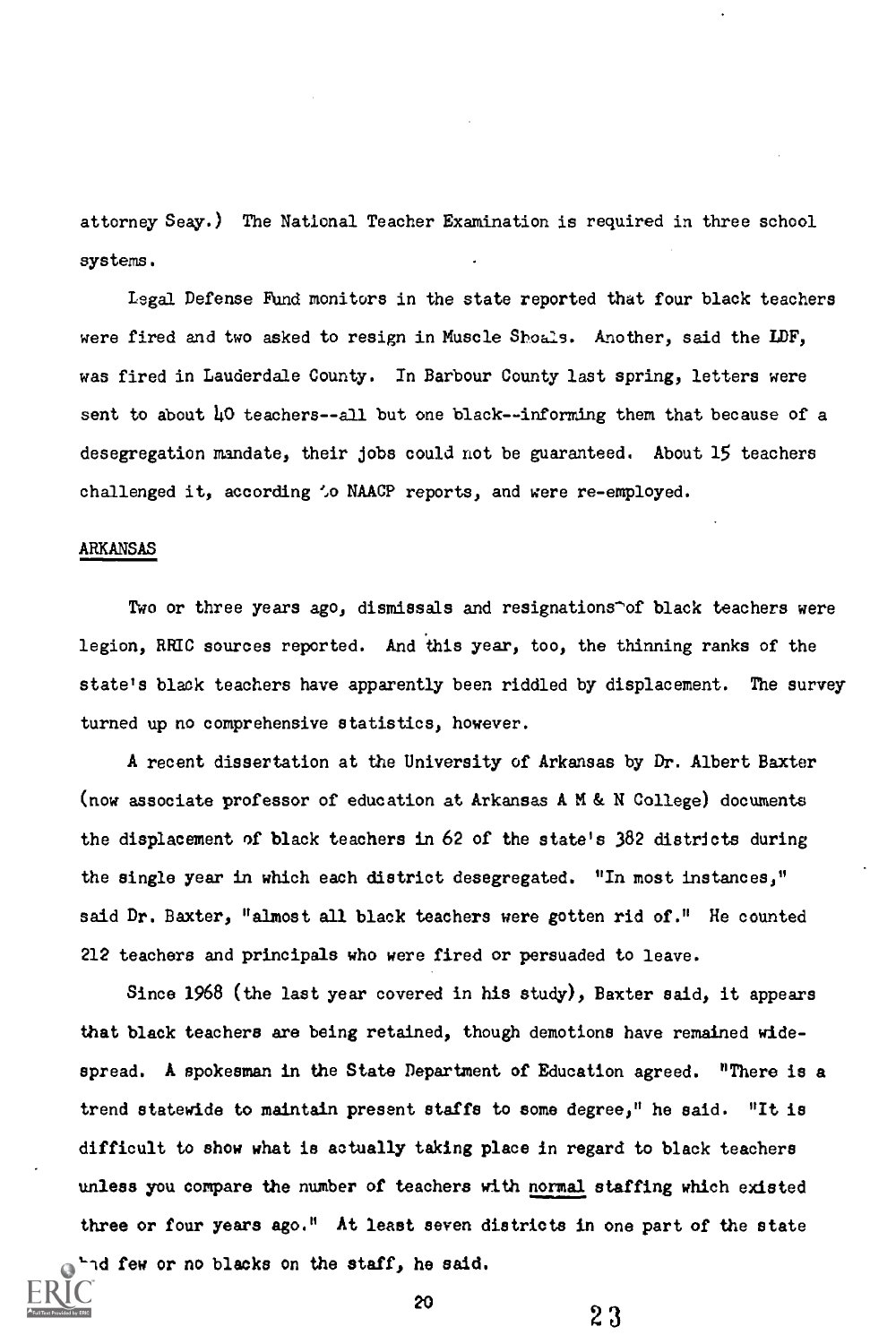attorney Seay.) The National Teacher Examination is required in three school systems.

Legal Defense Fund monitors in the state reported that four black teachers were fired and two asked to resign in Muscle Shoals. Another, said the LDF, was fired in Lauderdale County. In Barbour County last spring, letters were sent to about 40 teachers--all but one black--informing them that because of a desegregation mandate, their jobs could not be guaranteed. About 15 teachers challenged it, according 'o NAACP reports, and were re-employed.

# ARKANSAS

Two or three years ago, dismissals and resignations^of black teachers were legion, RRIC sources reported. And this year, too, the thinning ranks of the state's black teachers have apparently been riddled by displacement. The survey turned up no comprehensive statistics, however.

A recent dissertation at the University of Arkansas by Dr. Albert Baxter (now associate professor of education at Arkansas A M & N College) documents the displacement of black teachers in 62 of the state's 382 districts during the single year in which each district desegregated. "In most instances," said Dr. Baxter, "almost all black teachers were gotten rid of." He counted 212 teachers and principals who were fired or persuaded to leave.

Since 1968 (the last year covered in his study), Baxter said, it appears that black teachers are being retained, though demotions have remained widespread. A spokesman in the State Department of Education agreed. "There is a trend statewide to maintain present staffs to some degree," he said. "It is difficult to show what is actually taking place in regard to black teachers unless you compare the number of teachers with normal staffing which existed three or four years ago." At least seven districts in one part of the state had few or no blacks on the staff, he said.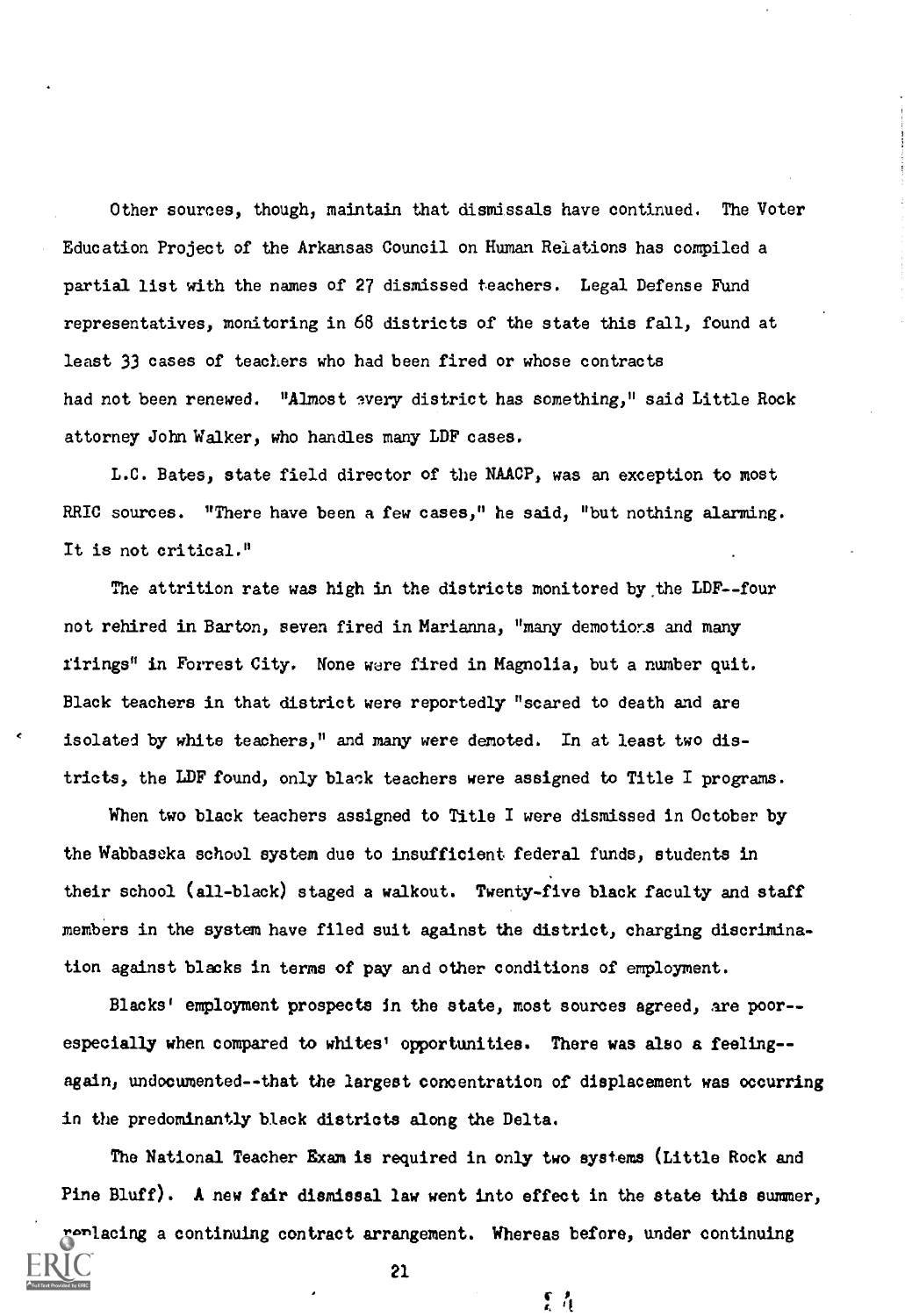Other sources, though, maintain that dismissals have continued. The Voter Education Project of the Arkansas Council on Human Relations has compiled a partial list with the names of 27 dismissed teachers. Legal Defense Fund representatives, monitoring in 68 districts of the state this fall, found at least 33 cases of teachers who had been fired or whose contracts had not been renewed. "Almost every district has something," said Little Rock attorney John Walker, who handles many LDF cases.

L.C. Bates, state field director of the NAACP, was an exception to most RRIC sources. "There have been a few cases," he said, "but nothing alarming. It is not critical."

The attrition rate was high in the districts monitored by the LDF--four not rehired in Barton, seven fired in Marianna, "many demotions and many firings" in Forrest City. None were fired in Magnolia, but a number quit. Black teachers in that district were reportedly "scared to death and are isolated by white teachers," and many were demoted. In at least two districts, the LDF found, only black teachers were assigned to Title I programs.

When two black teachers assigned to Title I were dismissed in October by the Wabbaseka school system due to insufficient federal funds, students in their school (all-black) staged a walkout. Twenty-five black faculty and staff members in the system have filed suit against the district, charging discrimination against blacks in terms of pay and other conditions of employment.

Blacks' employment prospects in the state, most sources agreed, are poor- especially when compared to whites' opportunities. There was also a feeling-again, undocumented--that the largest concentration of displacement was occurring in the predominantly black districts along the Delta.

The National Teacher Exam is required in only two systems (Little Rock and Pine Bluff). A new fair dismissal law went into effect in the state this summer, replacing a continuing contract arrangement. Whereas before, under continuing

 $\mathcal{L}$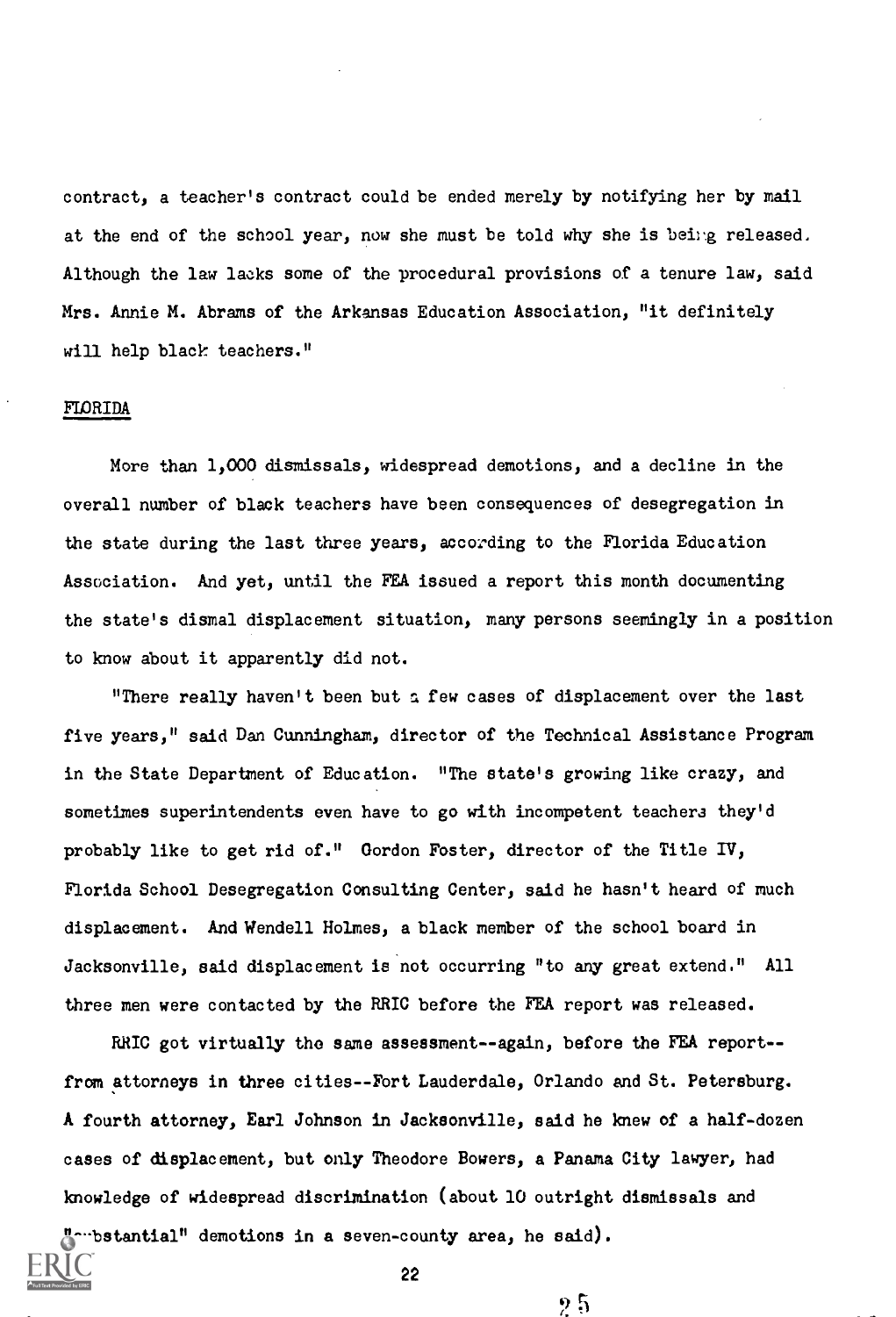contract, a teacher's contract could be ended merely by notifying her by mail at the end of the school year, now she must be told why she is being released. Although the law lacks some of the procedural provisions of a tenure law, said Mrs. Annie M. Abrams of the Arkansas Education Association, "it definitely will help black teachers."

# FLORIDA

More than 1,000 dismissals, widespread demotions, and a decline in the overall number of black teachers have been consequences of desegregation in the state during the last three years, according to the Florida Education Association. And yet, until the FEA issued a report this month documenting the state's dismal displacement situation, many persons seemingly in a position to know about it apparently did not.

"There really haven't been but a few cases of displacement over the last five years," said Dan Cunningham, director of the Technical Assistance Program in the State Department of Education. "The state's growing like crazy, and sometimes superintendents even have to go with incompetent teachers they'd probably like to get rid of." Gordon Foster, director of the Title IV, Florida School Desegregation Consulting Center, said he hasn't heard of much displacement. And Wendell Holmes, a black member of the school board in Jacksonville, said displacement is not occurring "to any great extend." All three men were contacted by the RRIC before the FEA report was released.

RRIC got virtually the same assessment--again, before the FEA report-from attorneys in three cities--Fort Lauderdale, Orlando and St. Petersburg. A fourth attorney, Earl Johnson in Jacksonville, said he knew of a half-dozen cases of displacement, but only Theodore Bowers, a Panama City lawyer, had knowledge of widespread discrimination (about 10 outright dismissals and "whistantial" demotions in a seven-county area, he said).

22

 $2.5$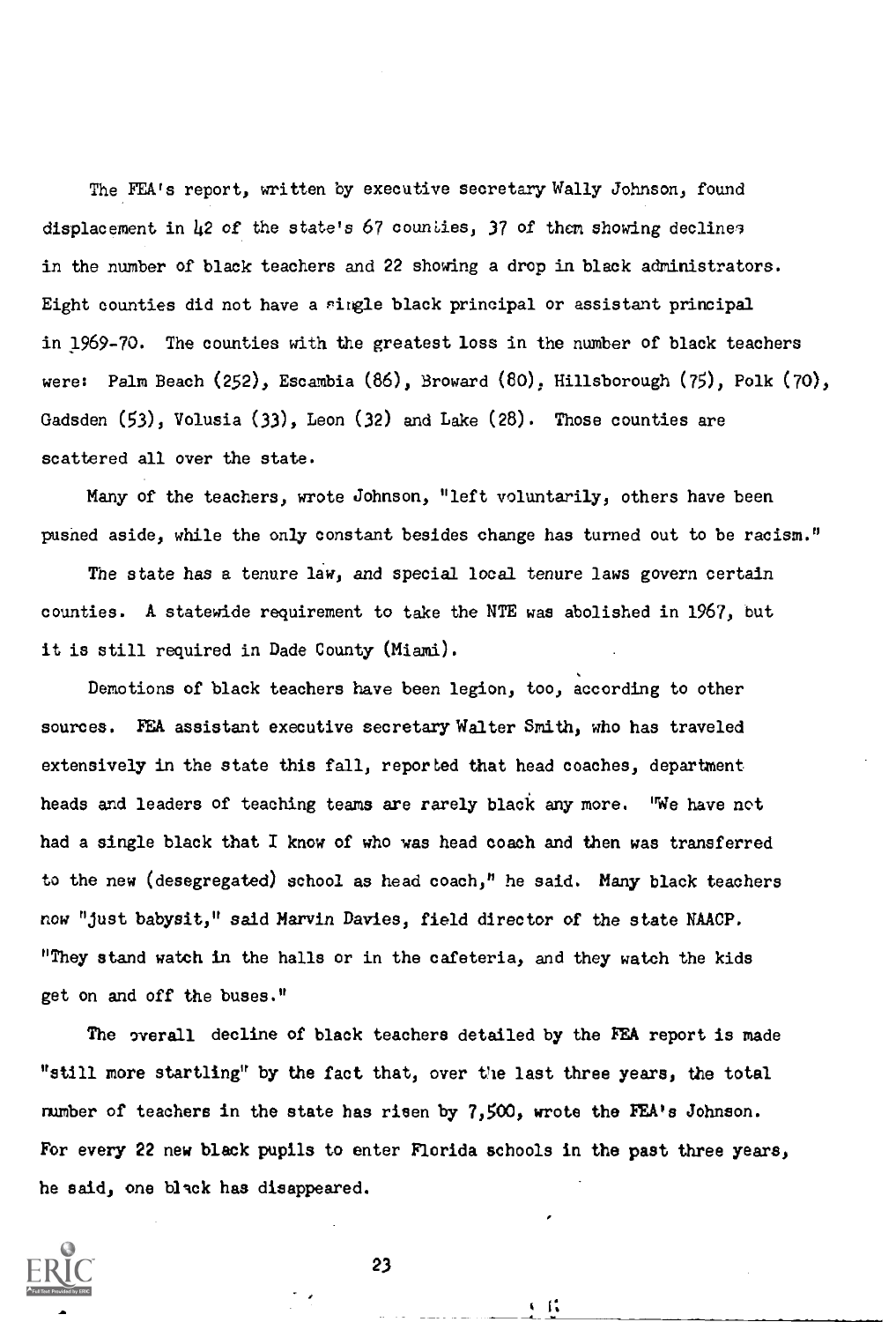The FEA's report, written by executive secretary Wally Johnson, found displacement in  $\mu$ 2 of the state's 67 counties, 37 of them showing declines in the number of black teachers and 22 showing a drop in black administrators. Eight counties did not have a single black principal or assistant principal in 1969-70. The counties with the greatest loss in the number of black teachers were: Palm Beach (252), Escambia (86), Broward (80), Hillsborough (75), Polk (70), Gadsden (53), Volusia (33), Leon (32) and Lake (28). Those counties are scattered all over the state.

Many of the teachers, wrote Johnson, "left voluntarily, others have been pushed aside, while the only constant besides change has turned out to be racism."

The state has a tenure law, and special local tenure laws govern certain counties. A statewide requirement to take the NTE was abolished in 1967, but it is still required in Dade County (Miami).

Demotions of black teachers have been legion, too, according to other sources. FEA assistant executive secretary Walter Smith, who has traveled extensively in the state this fall, reported that head coaches, department heads and leaders of teaching teams are rarely black any more. "We have not had a single black that I know of who was head coach and then was transferred to the new (desegregated) school as head coach," he said. Many black teachers now "just babysit," said Marvin Davies, field director of the state NAACP. "They stand watch in the halls or in the cafeteria, and they watch the kids get on and off the buses."

The overall decline of black teachers detailed by the FEA report is made "still more startling" by the fact that, over the last three years, the total number of teachers in the state has risen by 7,500, wrote the FEA's Johnson. For every 22 new black pupils to enter Florida schools in the past three years, he said, one black has disappeared.



23

G IV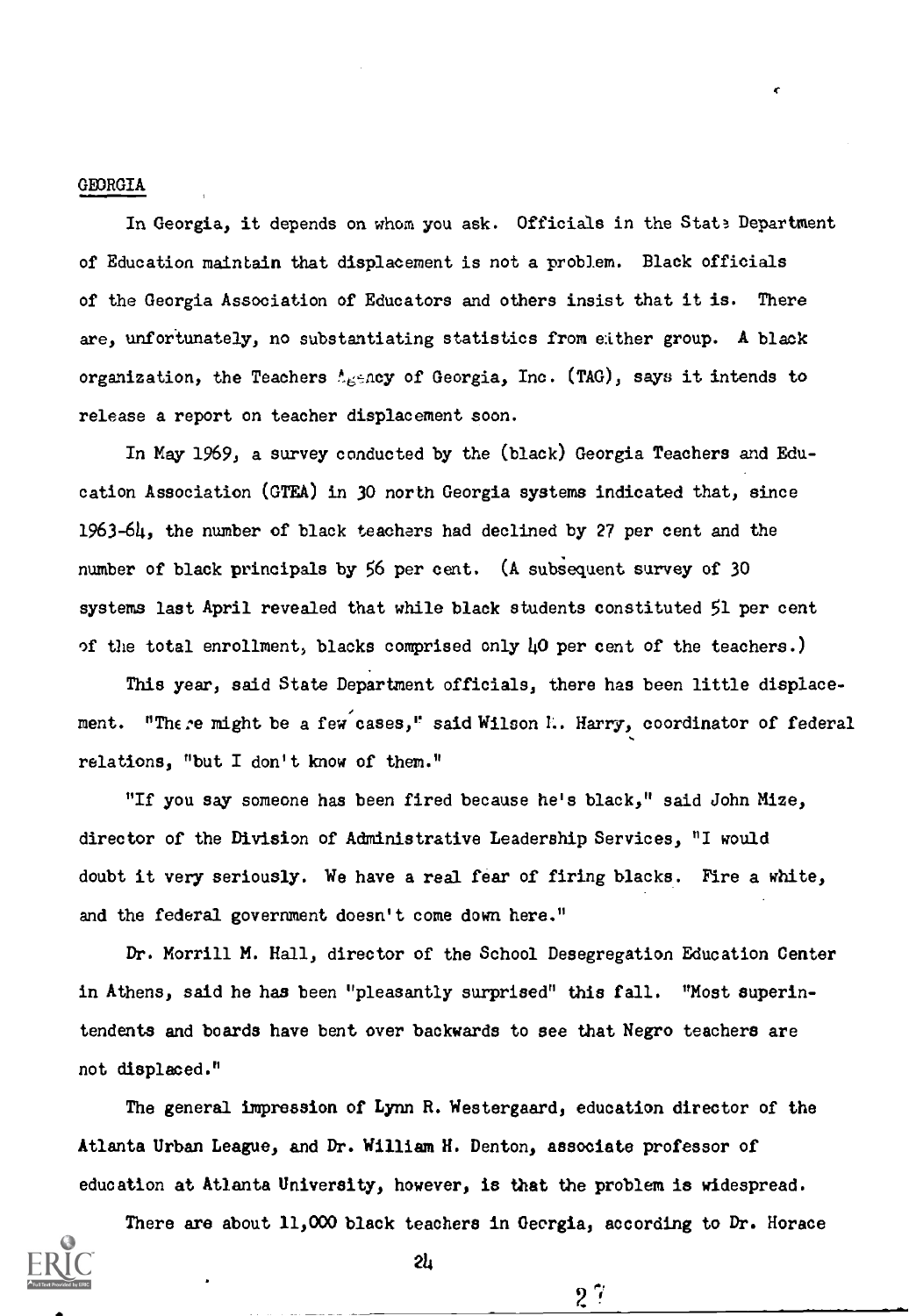### GEORGIA

In Georgia, it depends on whom you ask. Officials in the State Department of Education maintain that displacement is not a problem. Black officials of the Georgia Association of Educators and others insist that it is. There are, unfortunately, no substantiating statistics from either group. A black organization, the Teachers  $\Lambda_{\rm E}$ sncy of Georgia, Inc. (TAG), says it intends to release a report on teacher displacement soon.

In May 1969, a survey conducted by the (black) Georgia Teachers and Education Association (GTEA) in 30 north Georgia systems indicated that, since 1963-64, the number of black teachers had declined by 27 per cent and the number of black principals by 56 per cent. (A subsequent survey of 30 systems last April revealed that while black students constituted 51 per cent of the total enrollment, blacks comprised only  $\mu$ O per cent of the teachers.)

This year, said State Department officials, there has been little displacement. "There might be a few cases," said Wilson I. Harry, coordinator of federal relations, "but I don't know of them."

"If you say someone has been fired because he's black," said John Mize, director of the Division of Administrative Leadership Services, "I would doubt it very seriously. We have a real fear of firing blacks. Fire a white, and the federal government doesn't come down here."

Dr. Morrill M. Hall, director of the School Desegregation Education Center in Athens, said he has been "pleasantly surprised" this fall. "Most superintendents and boards have bent over backwards to see that Negro teachers are not displaced."

The general impression of Lynn R. Westergaard, education director of the Atlanta Urban League, and Dr. William H. Denton, associate professor of education at Atlanta University, however, is that the problem is widespread.

There are about 11,000 black teachers in Georgia, according to Dr. Horace

 $2^{\gamma}$ 

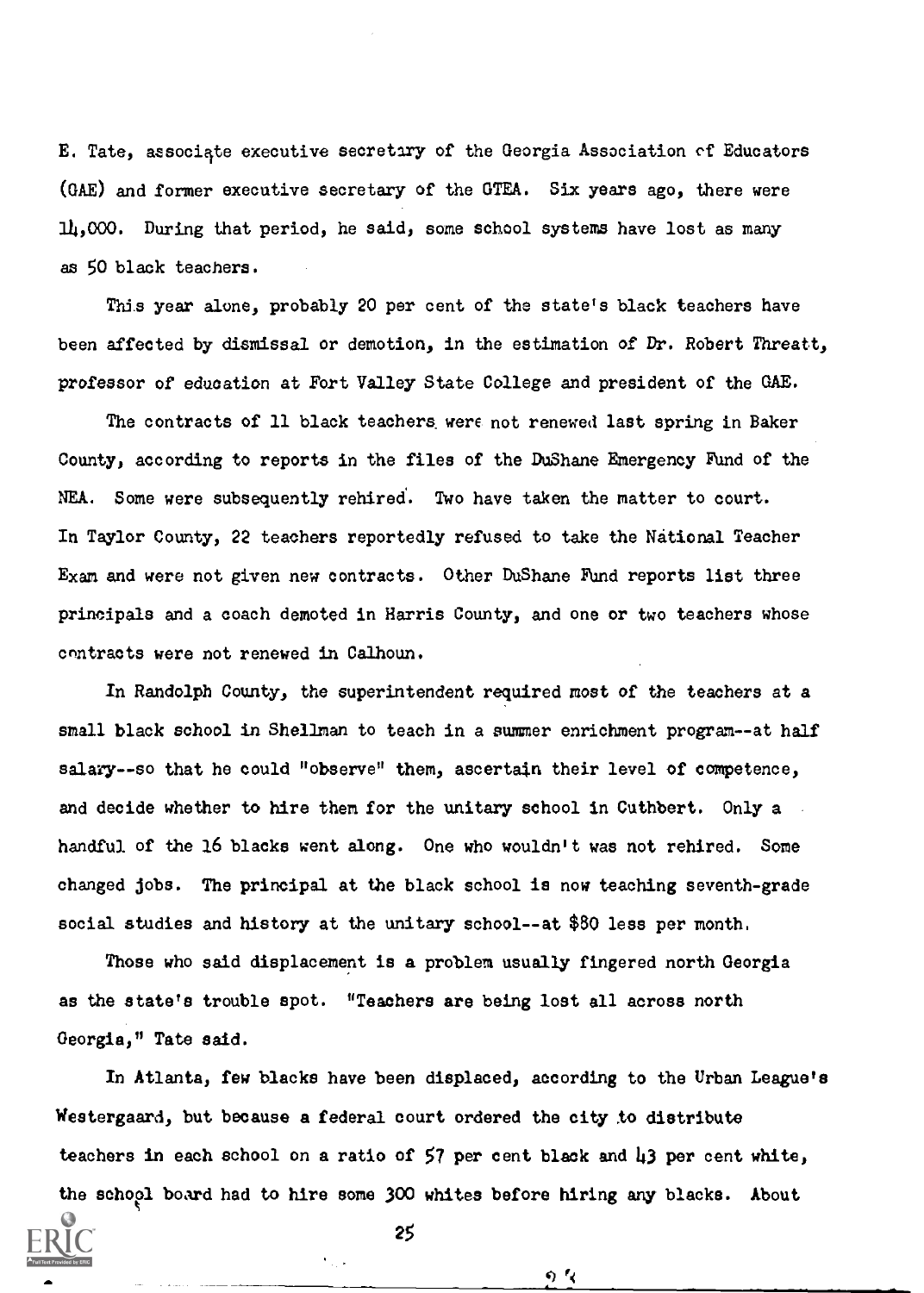E. Tate, associate executive secretiry of the Georgia Association of Educators (GAE) and former executive secretary of the GTEA. Six years ago, there were 14,000. During that period, he said, some school systems have lost as many as 50 black teachers.

This year alone, probably 20 per cent of the state's black teachers have been affected by dismissal or demotion, in the estimation of Dr. Robert Threatt, professor of education at Fort Valley State College and president of the GAE.

The contracts of 11 black teachers were not renewed last spring in Baker County, according to reports in the files of the DuShane Emergency Fund of the NEA. Some were subsequently rehired. Two have taken the matter to court. In Taylor County, 22 teachers reportedly refused to take the National Teacher Exam and were not given new contracts. Other DuShane FUnd reports list three principals and a coach demoted in Harris County, and one or two teachers whose contracts were not renewed in Calhoun.

In Randolph County, the superintendent required most of the teachers at a small black school in Shellman to teach in a summer enrichment program--at half salary--so that he could "observe" them, ascertain their level of competence, and decide whether to hire them for the unitary school in Cuthbert. Only a handful of the 16 blacks went along. One who wouldn't was not rehired. Some changed jobs. The principal at the black school is now teaching seventh-grade social studies and history at the unitary school--at \$80 less per month.

Those who said displacement is a problem usually fingered north Georgia as the state's trouble spot. "Teachers are being lost all across north Georgia," Tate said.

In Atlanta, few blacks have been displaced, according to the Urban League's Westergaard, but because a federal court ordered the city to distribute teachers in each school on a ratio of 57 per cent black and  $\mu$ 3 per cent white, the school board had to hire some 300 whites before hiring any blacks. About

25

 $0<sub>1</sub>$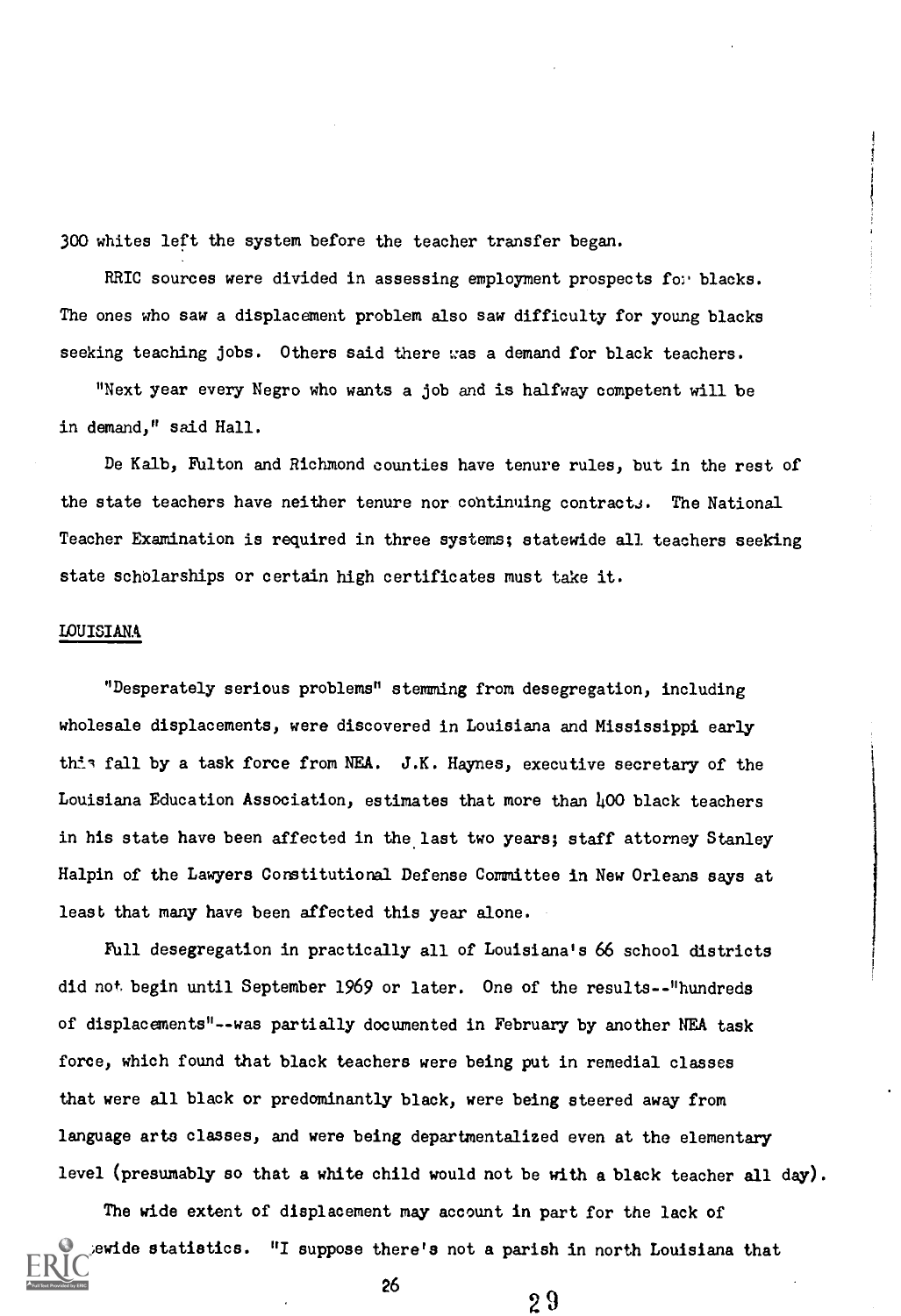300 whites left the system before the teacher transfer began.

RRIC sources were divided in assessing employment prospects for blacks. The ones who saw a displacement problem also saw difficulty for young blacks seeking teaching jobs. Others said there was a demand for black teachers.

"Next year every Negro who wants a job and is halfway competent will be in demand," said Hall.

De Kalb, Fulton and Richmond counties have tenure rules, but in the rest of the state teachers have neither tenure nor cohtinuing contracts. The National Teacher Examination is required in three systems; statewide all teachers seeking state scholarships or certain high certificates must take it.

#### LOUISIANA

"Desperately serious problems" stemming from desegregation, including wholesale displacements, were discovered in Louisiana and Mississippi early this fall by a task force from NEA. J.K. Haynes, executive secretary of the Louisiana Education Association, estimates that more than 400 black teachers in his state have been affected in the last two years; staff attorney Stanley Halpin of the Lawyers Constitutional. Defense Committee in New Orleans says at least that many have been affected this year alone.

Full desegregation in practically all of Louisiana's 66 school districts did not begin until September 1969 or later. One of the results--"hundreds of displacements"--was partially documented in February by another NEA task force, which found that black teachers were being put in remedial classes that were all black or predominantly black, were being steered away from language arts classes, and were being departmentalized even at the elementary level (presumably so that a white child would not be with a black teacher all day).

The wide extent of displacement may account in part for the lack of ewide statistics. "I suppose there's not a parish in north Louisiana that  $2<sup>6</sup>$  29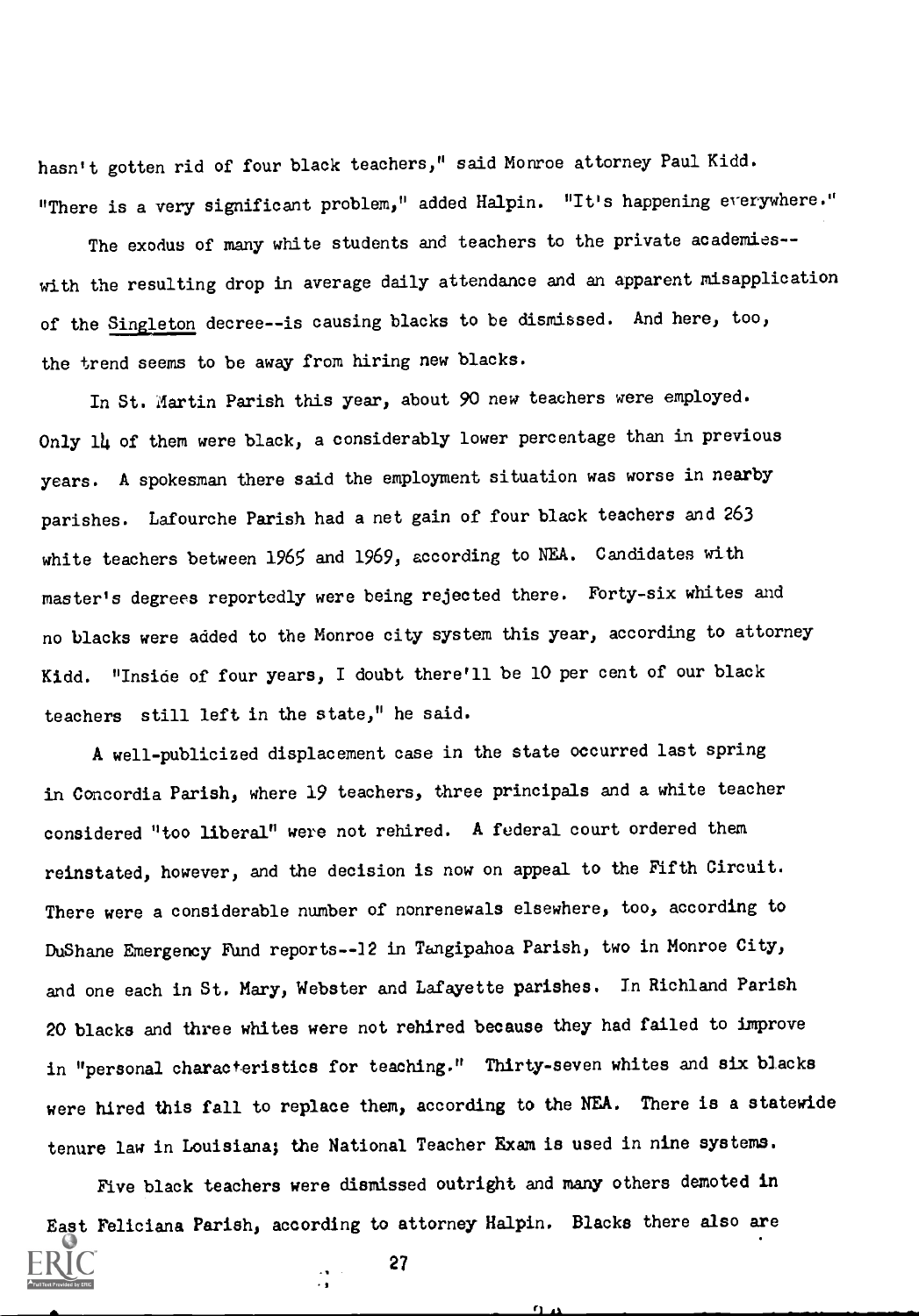hasn't gotten rid of four black teachers," said Monroe attorney Paul Kidd. "There is a very significant problem," added Halpin. "It's happening everywhere."

The exodus of many white students and teachers to the private academies-with the resulting drop in average daily attendance and an apparent misapplication of the Singleton decree--is causing blacks to be dismissed. And here, too, the trend seems to be away from hiring new blacks.

In St. Martin Parish this year, about 90 new teachers were employed. Only 14 of them were black, a considerably lower percentage than in previous years. A spokesman there said the employment situation was worse in nearby parishes. Lafourche Parish had a net gain of four black teachers and 263 white teachers between 1965 and 1969, according to NEA. Candidates with master's degrees reportedly were being rejected there. Forty-six whites and no blacks were added to the Monroe city system this year, according to attorney Kidd. "Inside of four years, I doubt there'll be 10 per cent of our black teachers still left in the state," he said.

A well-publicized displacement case in the state occurred last spring in Concordia Parish, where 19 teachers, three principals and a white teacher considered "too liberal" were not rehired. A federal court ordered them reinstated, however, and the decision is now on appeal to the Fifth Circuit. There were a considerable number of nonrenewals elsewhere, too, according to DuShane Emergency Fund reports-12 in Tangipahoa Parish, two in Monroe City, and one each in St. Mary, Webster and Lafayette parishes. In Richland Parish 20 blacks and three whites were not rehired because they had failed to improve in "personal characteristics for teaching." Thirty-seven whites and six blacks were hired this fall to replace them, according to the NEA. There is a statewide tenure law in Louisiana; the National Teacher Exam is used in nine systems.

Five black teachers were dismissed outright and many others demoted in East Feliciana Parish, according to attorney Halpin. Blacks there also are

 $\mathbf{r}$ 

27

 $\frac{1}{2}$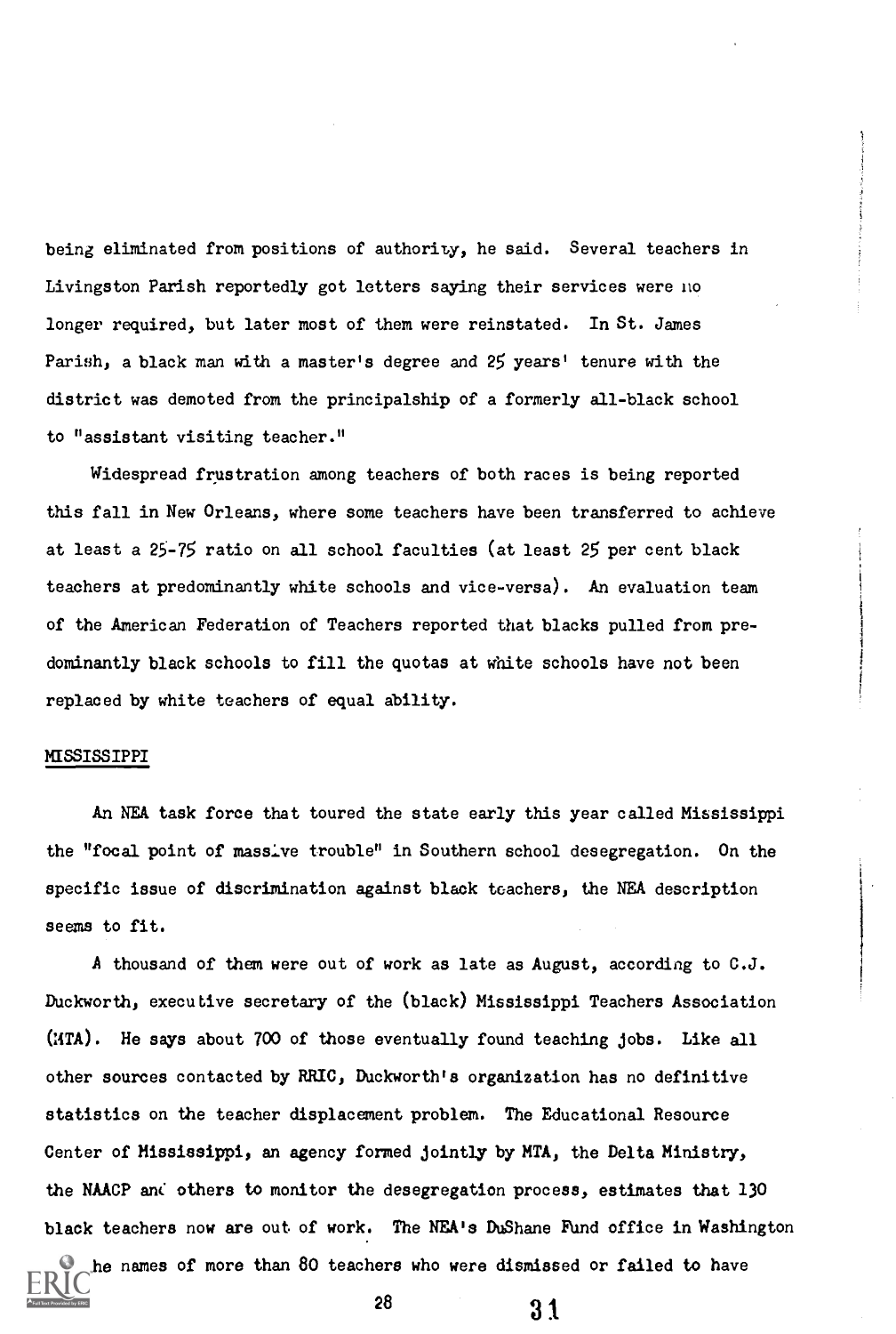being eliminated from positions of authority, he said. Several teachers in Livingston Parish reportedly got letters saying their services were no longer required, but later most of them were reinstated. In St. James Parish, a black man with a master's degree and 25 years' tenure with the district was demoted from the principalship of a formerly all-black school to "assistant visiting teacher."

Widespread frustration among teachers of both races is being reported this fall in New Orleans, where some teachers have been transferred to achieve at least a 25-75 ratio on all school faculties (at least 25 per cent black teachers at predominantly white schools and vice-versa). An evaluation team of the American Federation of Teachers reported that blacks pulled from predominantly black schools to fill the quotas at white schools have not been replaced by white teachers of equal ability.

#### MISSISSIPPI

An NEA task force that toured the state early this year called Mississippi the "focal point of massive trouble" in Southern school desegregation. On the specific issue of discrimination against black teachers, the NEA description seems to fit.

A thousand of them were out of work as late as August, according to C.J. Duckworth, executive secretary of the (black) Mississippi Teachers Association (:4TA). He says about 700 of those eventually found teaching jobs. Like all other sources contacted by RRIC, Duckworth's organization has no definitive statistics on the teacher displacement problem. The Educational Resource Center of Mississippi, an agency formed jointly by MTA, the Delta Ministry, the NAACP and others to monitor the desegregation process, estimates that 130 black teachers now are out of work. The NEA's DuShane Fund office in Washington he names of more than 80 teachers who were dismissed or failed to have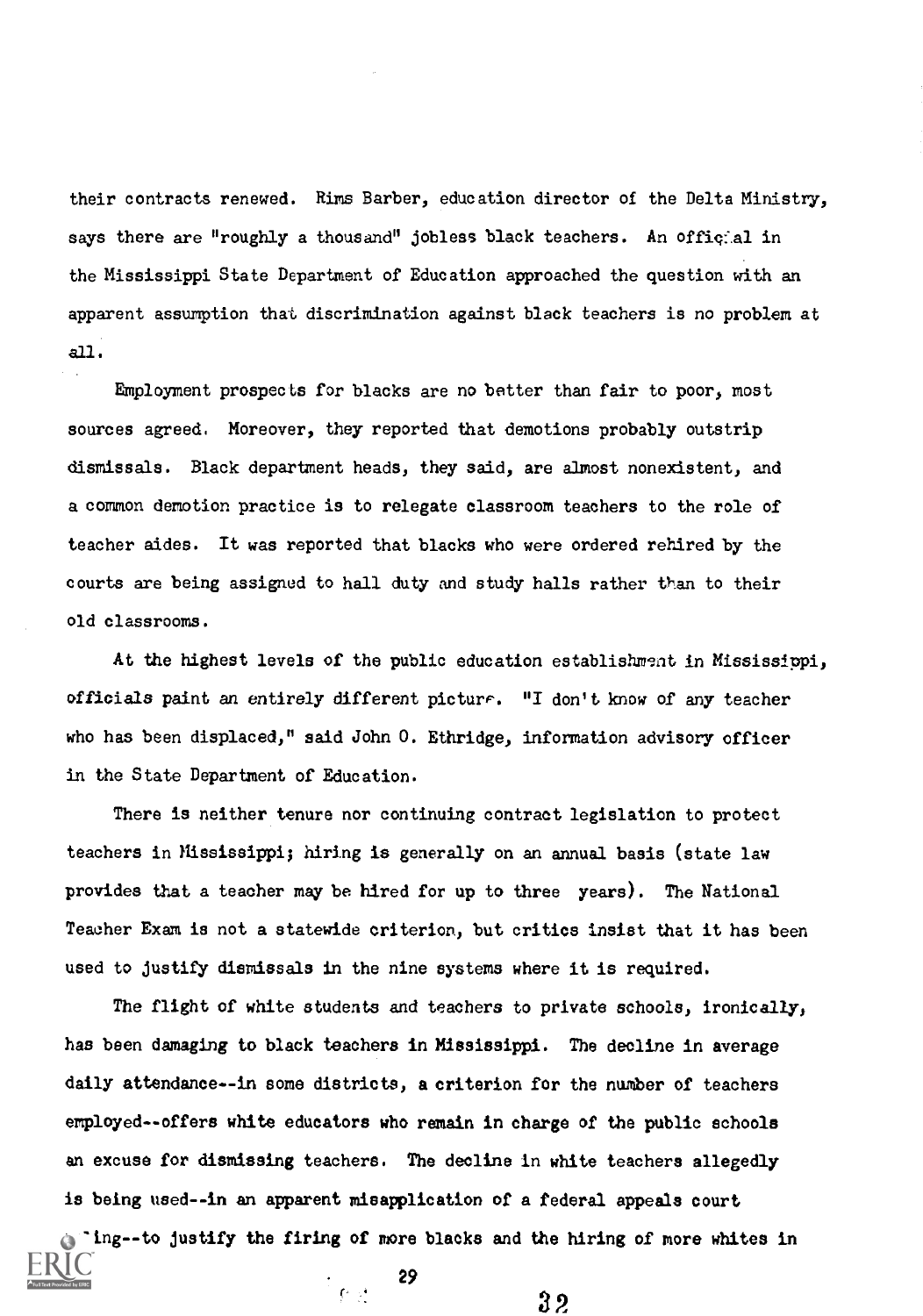their contracts renewed. Rims Barber, education director of the Delta Ministry, says there are "roughly a thousand" jobless black teachers. An official in the Mississippi State Department of Education approached the question with an apparent assumption that discrimination against black teachers is no problem at all.

Employment prospects for blacks are no better than fair to poor, most sources agreed. Moreover, they reported that demotions probably outstrip dismissals. Black department heads, they said, are almost nonexistent, and a common demotion practice is to relegate classroom teachers to the role of teacher aides. It was reported that blacks who were ordered rehired by the courts are being assigned to hall duty and study halls rather than to their old classrooms.

At the highest levels of the public education establishment in Mississippi, officials paint an entirely different picture. "I don't know of any teacher who has been displaced," said John 0. Ethridge, information advisory officer in the State Department of Education.

There is neither tenure nor continuing contract legislation to protect teachers in Mississippi; hiring is generally on an annual basis (state law provides that a teacher may be hired for up to three years). The National Teacher Exam is not a statewide criterion, but critics insist that it has been used to justify dismissals in the nine systems where it is required.

The flight of white students and teachers to private schools, ironically, has been damaging to black teachers in Mississippi. The decline in average daily attendance--in some districts, a criterion for the number of teachers employed--offers white educators who remain in charge of the public schools an excuse for dismissing teachers. The decline in white teachers allegedly is being used--in an apparent misapplication of a federal appeals court  $\pi$  ing--to justify the firing of more blacks and the hiring of more whites in

29

 $\mathbf{C} \rightarrow \mathbf{C}$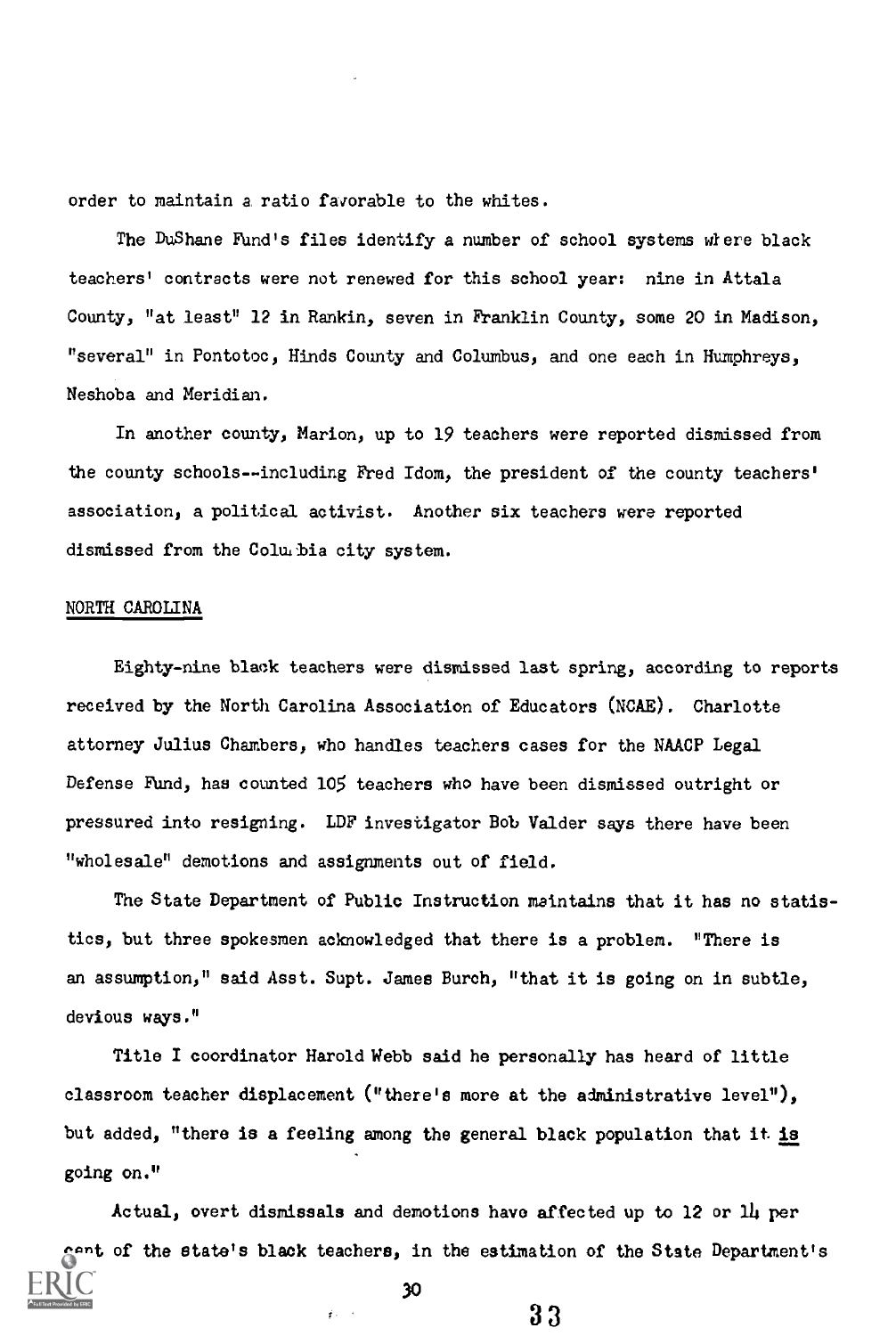order to maintain a ratio favorable to the whites.

The DuShane Rind's files identify a number of school systems wiere black teachers' contracts were not renewed for this school year: nine in Attala County, "at least" 12 in Rankin, seven in Franklin County, some 20 in Madison, "several" in Pontotoc, Hinds County and Columbus, and one each in Humphreys, Neshoba and Meridian.

In another county, Marion, up to 19 teachers were reported dismissed from the county schools--including Fred Idom, the president of the county teachers' association, a political activist. Another six teachers were reported dismissed from the Colubia city system.

# NORTH CAROLINA

Eighty-nine black teachers were dismissed last spring, according to reports received by the North Carolina Association of Educators (NCAE). Charlotte attorney Julius Chambers, who handles teachers cases for the NAACP Legal Defense Fund, has counted 105 teachers who have been dismissed outright or pressured into resigning. LDF investigator Bob Valder says there have been "wholesale" demotions and assignments out of field.

The State Department of Public Instruction maintains that it has no statistics, but three spokesmen acknowledged that there is a problem. "There is an assumption," said Asst. Supt. James Burch, "that it is going on in subtle, devious ways."

Title I coordinator Harold Webb said he personally has heard of little classroom teacher displacement ("there's more at the administrative level"), but added, "there is a feeling among the general black population that it is going on."

Actual, overt dismissals and demotions have affected up to 12 or 1I per cent of the state's black teachers, in the estimation of the State Department's

30

 $\hat{f}$  .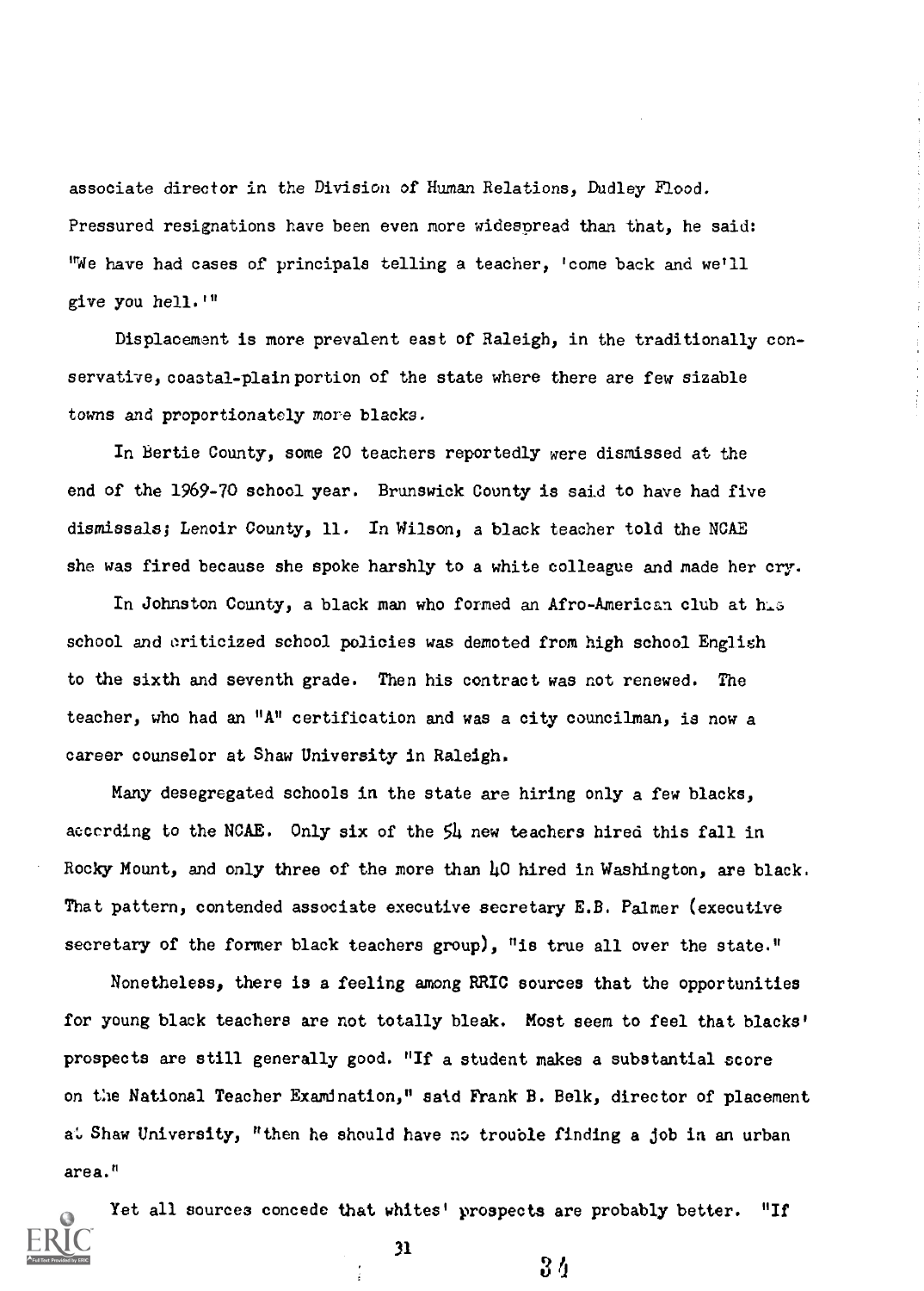associate director in the Division of Human Relations, Dudley Flood. Pressured resignations have been even more widespread than that, he said: "We have had cases of principals telling a teacher, 'come back and we'll give you hell.'"

Displacement is more prevalent east of Raleigh, in the traditionally conservative, coastal-plain portion of the state where there are few sizable towns and proportionately more blacks.

In Bertie County, some 20 teachers reportedly were dismissed at the end of the 1969-70 school year. Brunswick County is said to have had five dismissals; Lenoir County, 11. In Wilson, a black teacher told the NCAE she was fired because she spoke harshly to a white colleague and made her cry.

In Johnston County, a black man who formed an Afro-American club at his school and criticized school policies was demoted from high school English to the sixth and seventh grade. Then his contract was not renewed. The teacher, who had an "A" certification and was a city councilman, is now a career counselor at Shaw University in Raleigh.

Many desegregated schools in the state are hiring only a few blacks, according to the NCAE. Only six of the 54 new teachers hired this fall in Rocky Mount, and only three of the more than 40 hired in Washington, are black. That pattern, contended associate executive secretary E.B. Palmer (executive secretary of the former black teachers group), "is true all over the state."

Nonetheless, there is a feeling among RRIC sources that the opportunities for young black teachers are not totally bleak. Most seem to feel that blacks' prospects are still generally good. "If a student makes a substantial score on the National Teacher Examination," said Frank B. Belk, director of placement at Shaw University, "then he should have no trouble finding a job in an urban area."



Yet all sources concede that whites' prospects are probably better. "If

31

 $3<sub>4</sub>$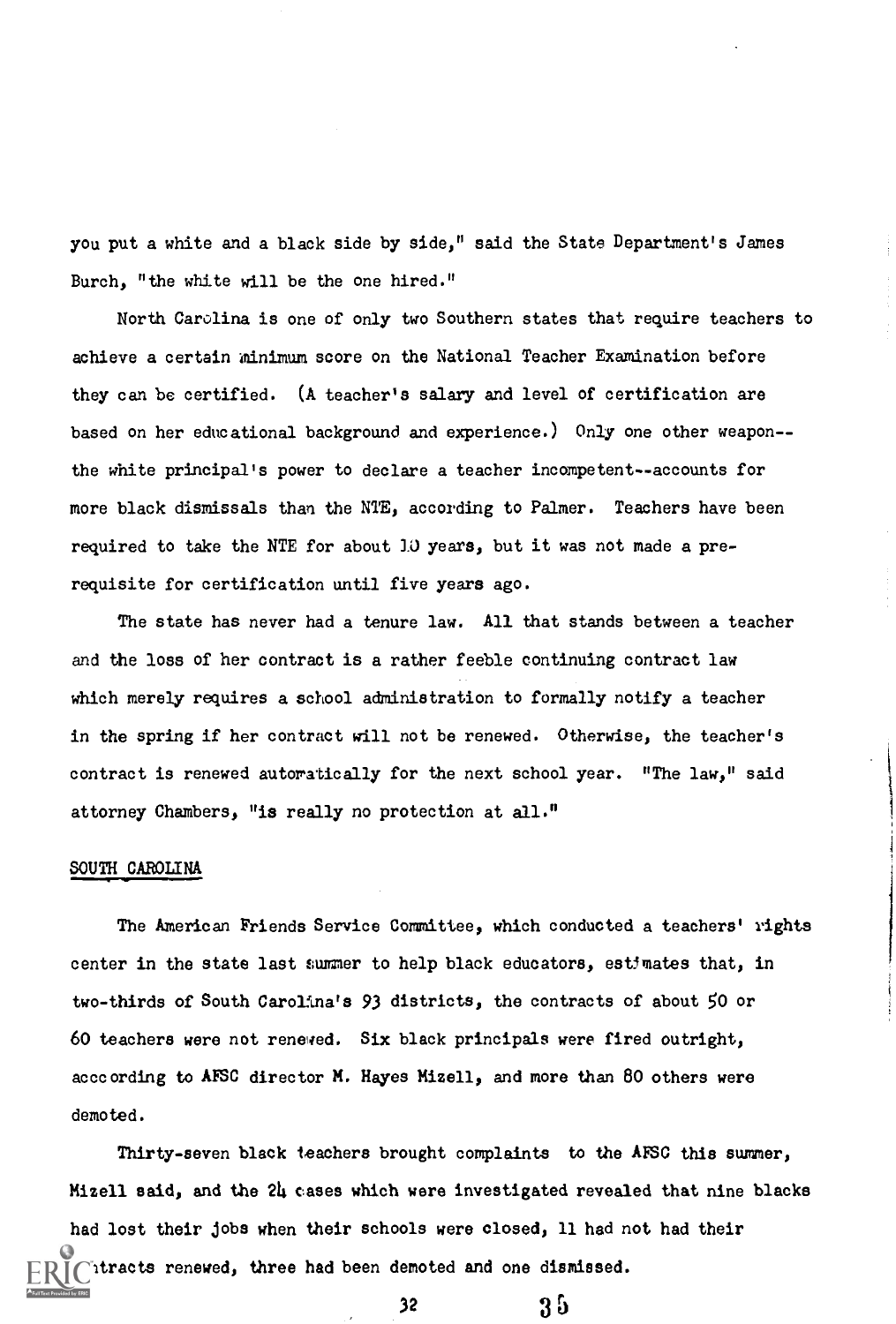you put a white and a black side by side," said the State Department's James Burch, "the white will be the one hired."

North Carolina is one of only two Southern states that require teachers to achieve a certain minimum score on the National Teacher Examination before they can be certified. (A teacher's salary and level of certification are based on her educational background and experience.) Only one other weapon- the white principal's power to declare a teacher incompetent--accounts for more black dismissals than the NTE, according to Palmer. Teachers have been required to take the NTE for about 10 years, but it was not made a prerequisite for certification until five years ago.

The state has never had a tenure law. All that stands between a teacher and the loss of her contract is a rather feeble continuing contract law which merely requires a school administration to formally notify a teacher in the spring if her contract will not be renewed. Otherwise, the teacher's contract is renewed autoratically for the next school year. "The law," said attorney Chambers, "is really no protection at all."

# SOUTH CAROLINA

The American Friends Service Committee, which conducted a teachers' rights center in the state last summer to help black educators, estimates that, in two-thirds of South Carolina's 93 districts, the contracts of about 50 or 60 teachers were not renewed. Six black principals were fired outright, acccording to AFSC director M. Hayes Mizell, and more than 80 others were demoted.

Thirty-seven black teachers brought complaints to the AFSC this summer, Mizell said, and the 24 cases which were investigated revealed that nine blacks had lost their jobs when their schools were closed, 11 had not had their htracts renewed, three had been demoted and one dismissed.

35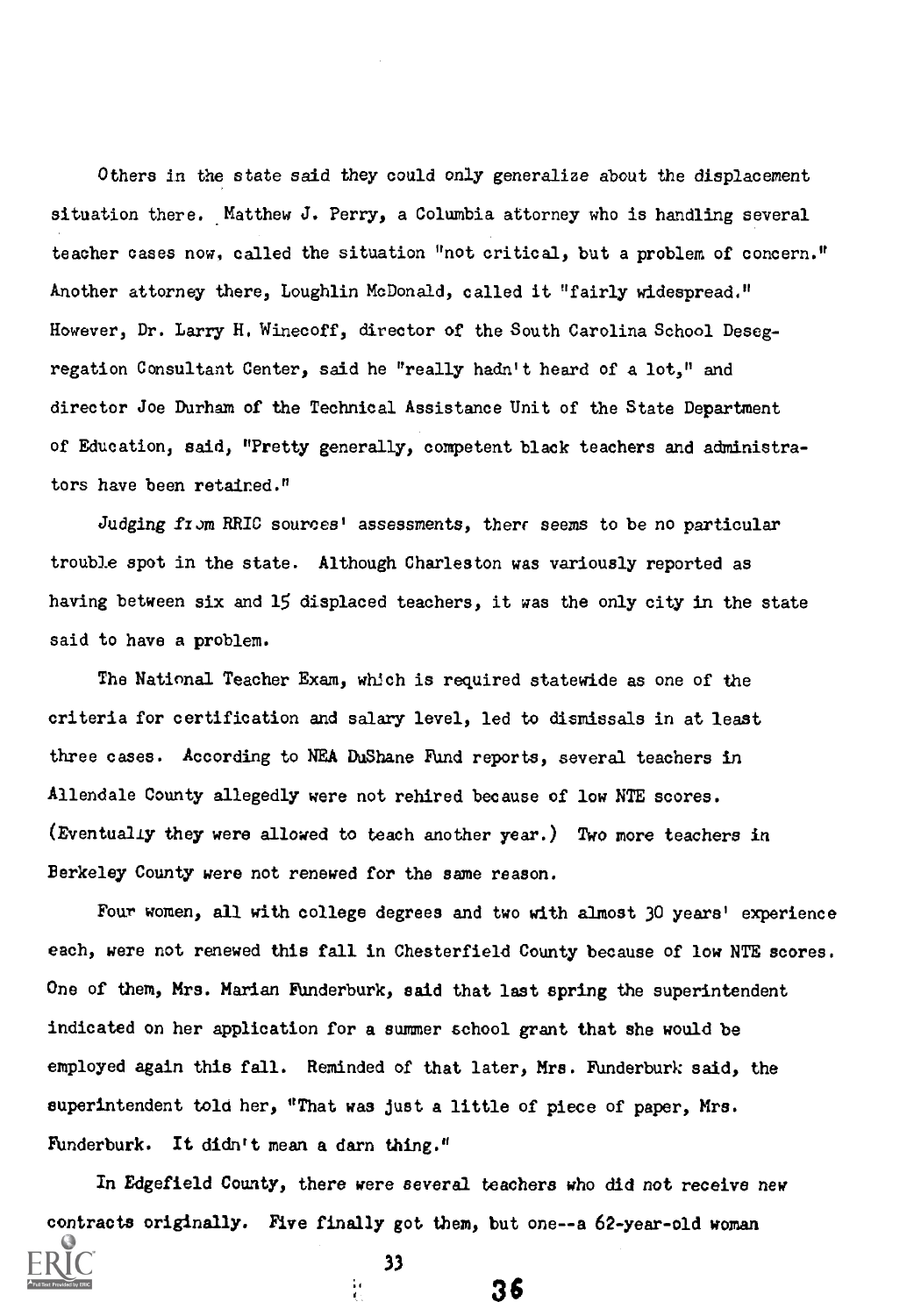Others in the state said they could only generalize about the displacement situation there. Matthew J. Perry, a Columbia attorney who is handling several teacher cases now, called the situation "not critical, but a problem of concern." Another attorney there, Loughlin McDonald, called it "fairly widespread." However, Dr. Larry H. Winecoff, director of the South Carolina School Desegregation Consultant Center, said he "really hadn't heard of a lot," and director Joe Durham of the Technical Assistance Unit of the State Department of Education, said, "Pretty generally, competent black teachers and administrators have been retained."

Judging from RRIC sources' assessments, there seems to be no particular trouble spot in the state. Although Charleston was variously reported as having between six and 15 displaced teachers, it was the only city in the state said to have a problem.

The National Teacher Exam, which is required statewide as one of the criteria for certification and salary level, led to dismissals in at least three cases. According to NEA DuShane Fund reports, several teachers in Allendale County allegedly were not rehired because of low NTE scores. (Eventualiy they were allowed to teach another year.) Two more teachers in Berkeley County were not renewed for the same reason.

Four women, all with college degrees and two with almost 30 years' experience each, were not renewed this fall in Chesterfield County because of low NTE scores. One of them, Mrs. Marian Funderburk, said that last spring the superintendent indicated on her application for a summer school grant that she would be employed again this fall. Reminded of that later, Mrs. Funderburk said, the superintendent told her, "That was just a little of piece of paper, Mrs. Funderburk. It didn't mean a darn thing."

In Edgefield County, there were several teachers who did not receive new contracts originally. Five finally got them, but one--a 62-year-old woman

33

ia<br>C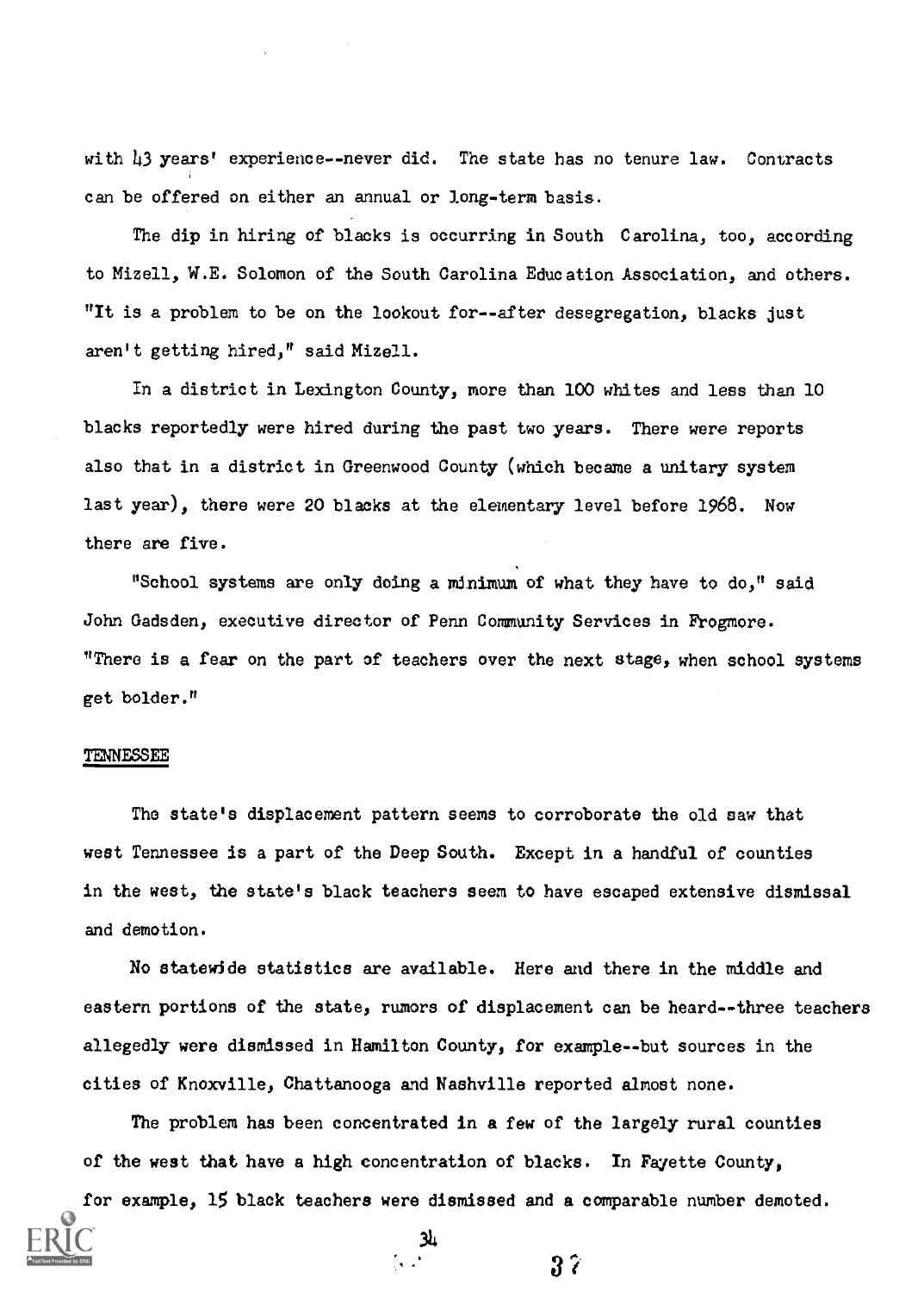with 43 years' experience--never did. The state has no tenure law. Contracts can be offered on either an annual or long-term basis.

The dip in hiring of blacks is occurring in South Carolina, too, according to Mizell, W.E. Solomon of the South Carolina Education Association, and others. "It is a problem to be on the lookout for--after desegregation, blacks just aren't getting hired," said Mizell.

In a district in Lexington County, more than 100 whites and less than 10 blacks reportedly were hired during the past two years. There were reports also that in a district in Greenwood County (which became a unitary system last year), there were 20 blacks at the elementary level before 1968. Now there are five.

"School systems are only doing a minimum of what they have to do," said John Gadsden, executive director of Penn Community Services in Frogmore. "There is a fear on the part of teachers over the next stage, when school systems get bolder."

#### TENNESSEE

The state's displacement pattern seems to corroborate the old saw that west Tennessee is a part of the Deep South. Except in a handful of counties in the west, the state's black teachers seem to have escaped extensive dismissal and demotion.

No statewide statistics are available. Here and there in the middle and eastern portions of the state, rumors of displacement can be heard--three teachers allegedly were dismissed in Hamilton County, for example--but sources in the cities of Knoxville, Chattanooga and Nashville reported almost none.

The problem has been concentrated in a few of the largely rural counties of the west that have a high concentration of blacks. In Fayette County,

for example, 15 black teachers were dismissed and a comparable number demoted.

34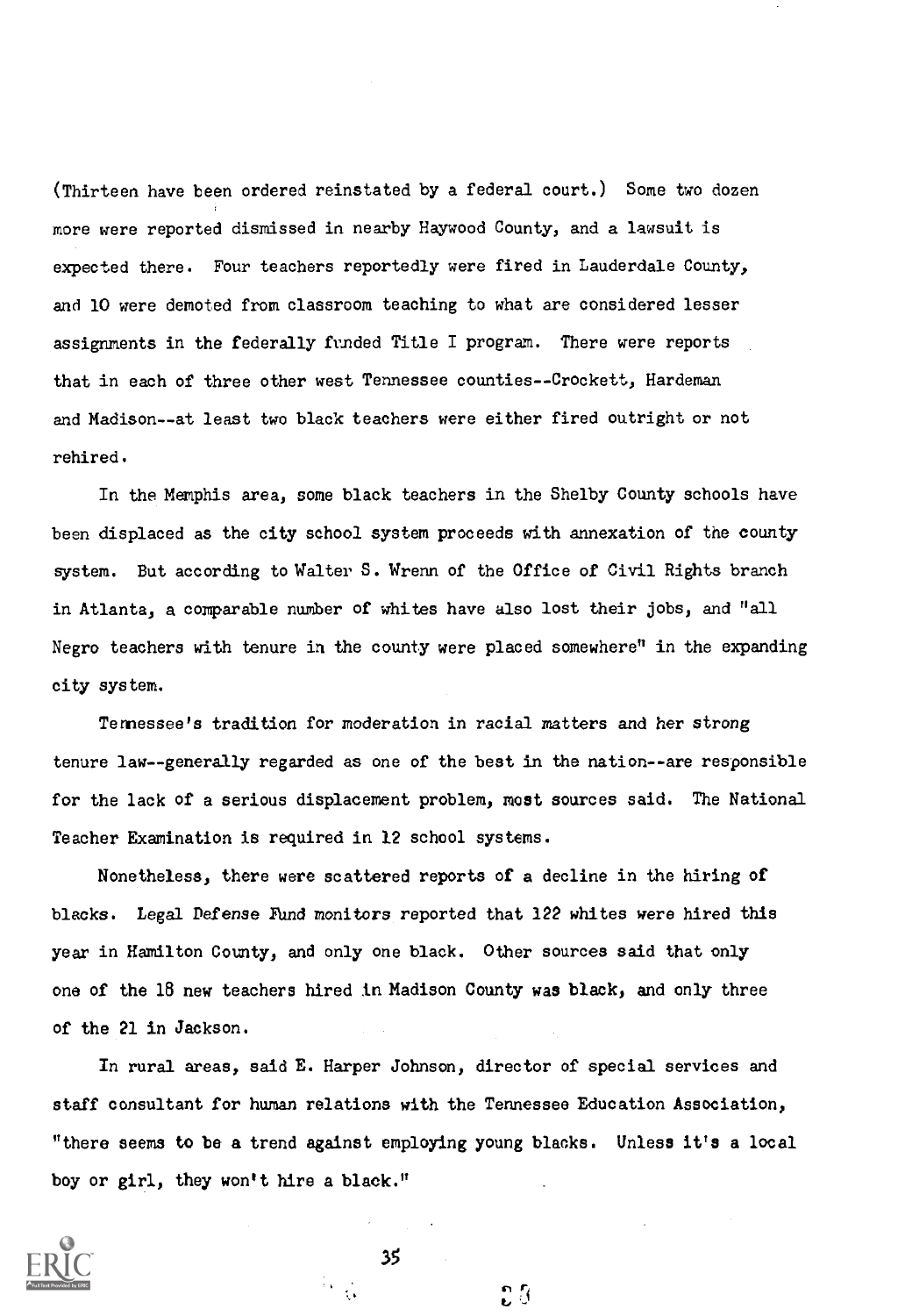(Thirteen have been ordered reinstated by a federal court.) Some two dozen more were reported dismissed in nearby Haywood County, and a lawsuit is expected there. Four teachers reportedly were fired in Lauderdale County, and 10 were demoted from classroom teaching to what are considered lesser assignments in the federally funded Title I program. There were reports that in each of three other west Tennessee counties--Crockett, Hardeman and Madison--at least two black teachers were either fired outright or not rehired.

In the Memphis area, some black teachers in the Shelby County schools have been displaced as the city school system proceeds with annexation of the county system. But according to Walter S. Wrenn of the Office of Civil Rights branch in Atlanta, a comparable number of whites have also lost their jobs, and "all Negro teachers with tenure in the county were placed somewhere" in the expanding city system.

Tennessee's tradition for moderation in racial matters and her strong tenure law--generally regarded as one of the best in the nation--are responsible for the lack of a serious displacement problem, most sources said. The National Teacher Examination is required in 12 school systems.

Nonetheless, there were scattered reports of a decline in the hiring of blacks. Legal Defense Fund monitors reported that 122 whites were hired this year in Hamilton County, and only one black. Other sources said that only one of the 18 new teachers hired in Madison County was black, and only three of the 21 in Jackson.

In rural areas, said E. Harper Johnson, director of special services and staff consultant for human relations with the Tennessee Education Association, "there seems to be a trend against employing young blacks. Unless it's a local boy or girl, they won't hire a black."



35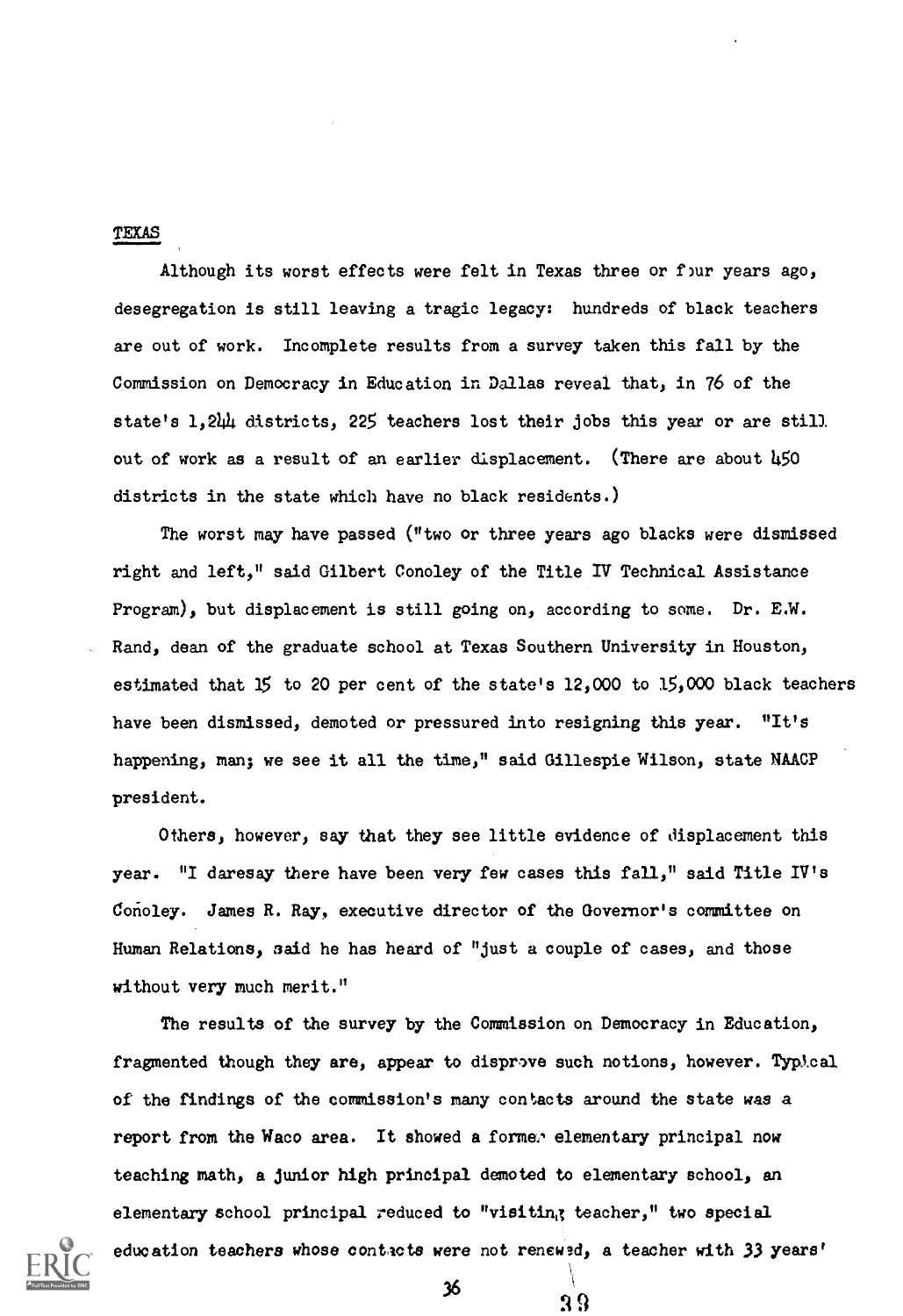#### TEXAS

Although its worst effects were felt in Texas three or four years ago, desegregation is still leaving a tragic legacy: hundreds of black teachers are out of work. Incomplete results from a survey taken this fall by the Commission on Democracy in Education in Dallas reveal that, in 76 of the state's 1,244 districts, 225 teachers lost their jobs this year or are still out of work as a result of an earlier displacement. (There are about 450 districts in the state which have no black residents.)

The worst may have passed ("two or three years ago blacks were dismissed right and left," said Gilbert Conoley of the Title IV Technical Assistance Program), but displacement is still going on, according to some. Dr. E.W. Rand, dean of the graduate school at Texas Southern University in Houston, estimated that 15 to 20 per cent of the state's 12,000 to 15,000 black teachers have been dismissed, demoted or pressured into resigning this year. "It's happening, man; we see it all the time," said Gillespie Wilson, state NAACP president.

Others, however, say that they see little evidence of displacement this year. "I daresay there have been very few cases this fall," said Title IV's Conoley. James R. Ray, executive director of the Governor's committee on Human Relations, said he has heard of "just a couple of cases, and those without very much merit."

The results of the survey by the Commission on Democracy in Education, fragmented though they are, appear to disprove such notions, however. Typical of the findings of the commission's many contacts around the state was a report from the Waco area. It showed a former elementary principal now teaching math, a junior high principal demoted to elementary school, an elementary school principal reduced to "visiting teacher," two special education teachers whose contacts were not renewed, a teacher with 33 Years'

 $3^6$   $3^9$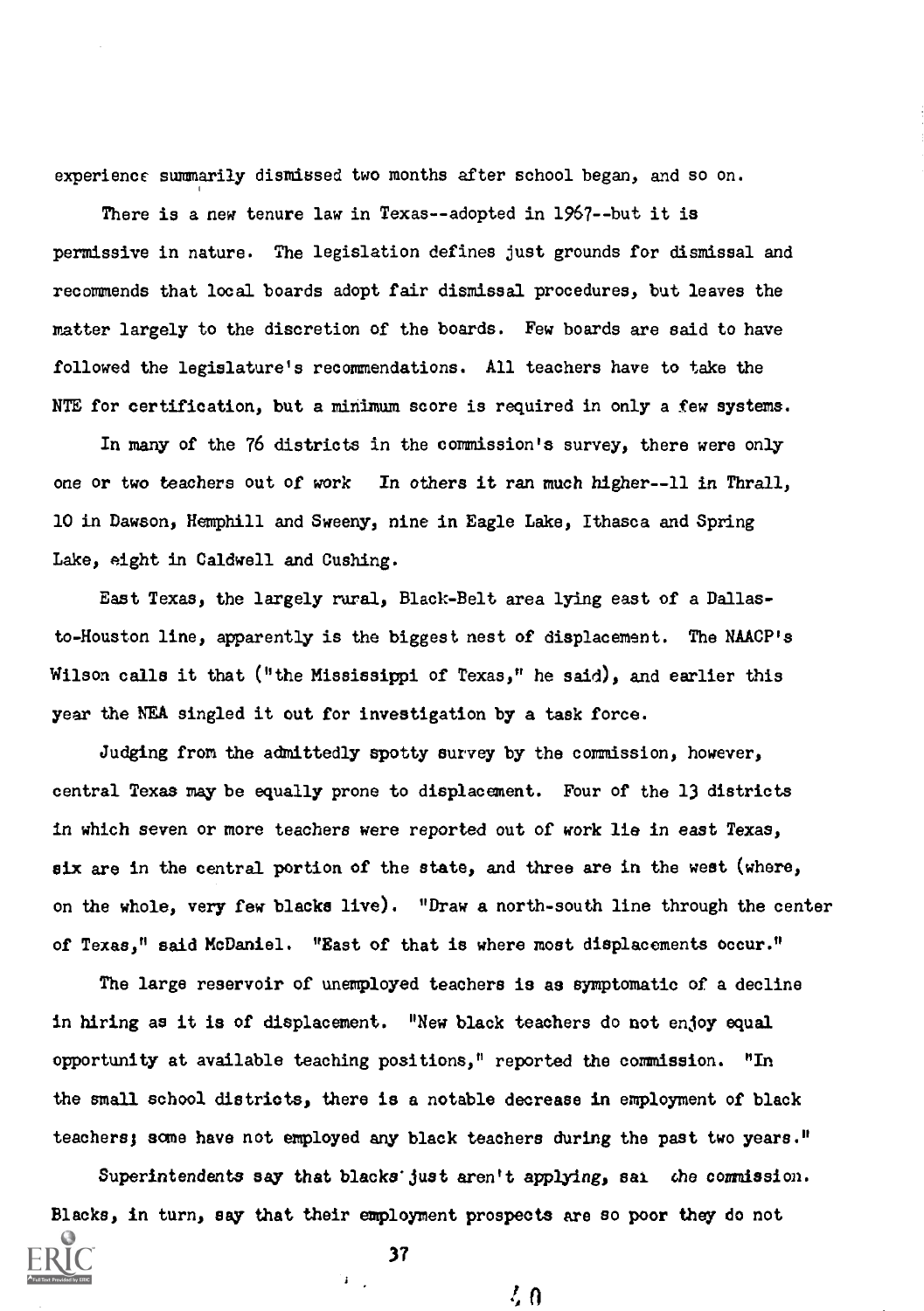experience summarily dismissed two months after school began, and so on.

There is a new tenure law in Texas--adopted in 1967--but it is permissive in nature. The legislation defines just grounds for dismissal and recommends that local boards adopt fair dismissal procedures, but leaves the matter largely to the discretion of the boards. Few boards are said to have followed the legislature's recommendations. All teachers have to take the NTE for certification, but a minimum score is required in only a few systems.

In many of the 76 districts in the commission's survey, there were only one or two teachers out of work In others it ran much higher--11 in Thrall, 10 in Dawson, Hemphill and Sweeny, nine in Eagle Lake, Ithasca and Spring Lake, eight in Caldwell and Cushing.

East Texas, the largely rural, Black-Belt area lying east of a Dallasto-Houston line, apparently is the biggest nest of displacement. The NAACP's Wilson calls it that ("the Mississippi of Texas," he said), and earlier this year the NEA singled it out for investigation by a task force.

Judging from the admittedly spotty survey by the commission, however, central Texas may be equally prone to displacement. Four of the 13 districts in which seven or more teachers were reported out of work lie in east Texas, six are in the central portion of the state, and three are in the west (where, on the whole, very few blacks live). "Draw a north-south line through the center of Texas," said McDaniel. "East of that is where most displacements occur."

The large reservoir of unemployed teachers is as symptomatic of a decline in hiring as it is of displacement. "New black teachers do not enjoy equal opportunity at available teaching positions," reported the commission. "In the small school districts, there is a notable decrease in employment of black teachers; some have not employed any black teachers during the past two years."

Superintendents say that blacks just aren't applying, sai the commission. Blacks, in turn, say that their employment prospects are so poor they do not

37

 $\mathbf{F}^{\dagger}$ 

 $\ell_0$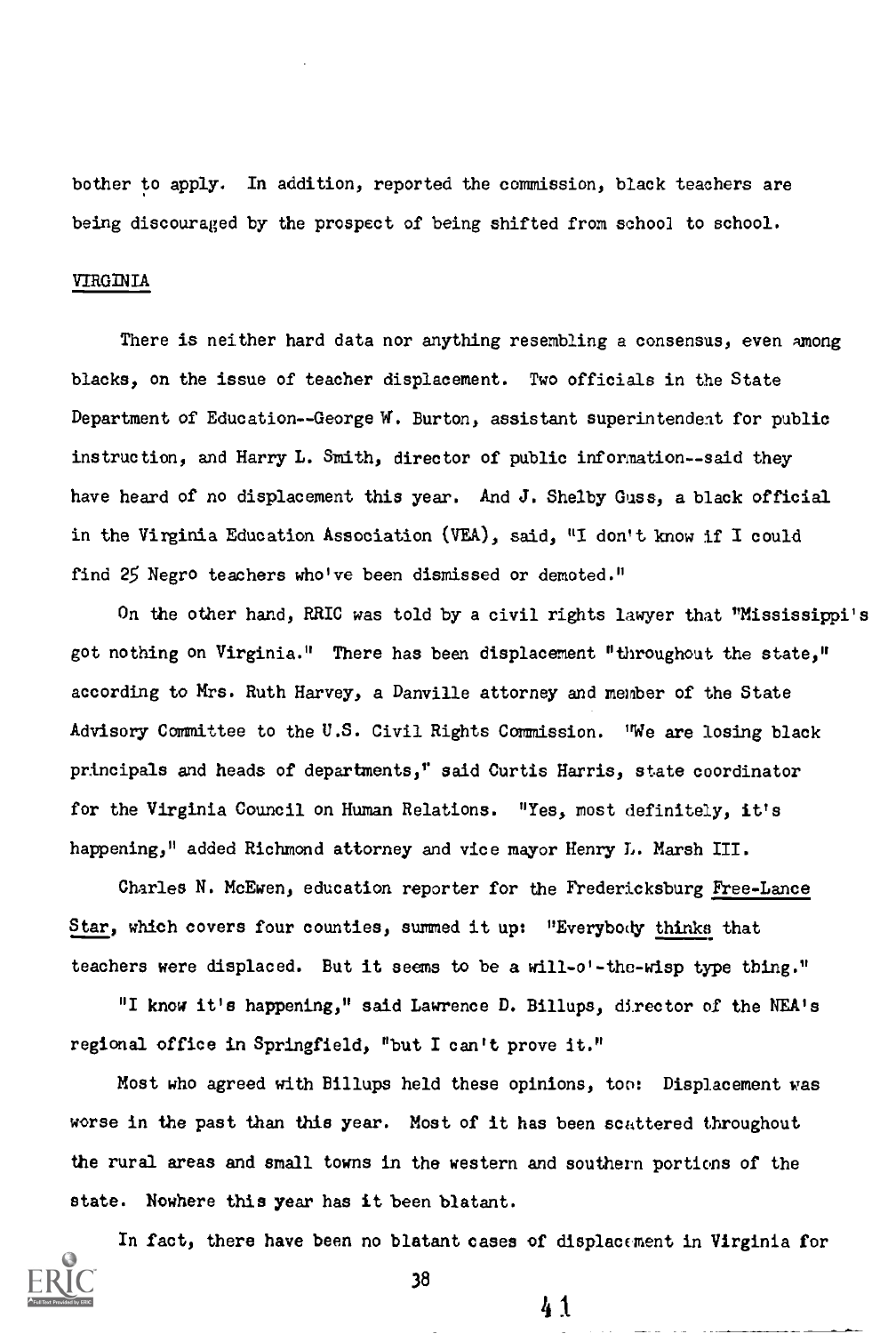bother to apply. In addition, reported the commission, black teachers are being discouraged by the prospect of being shifted from school to school.

# VIRGINIA

There is neither hard data nor anything resembling a consensus, even Among blacks, on the issue of teacher displacement. Two officials in the State Department of Education--George W. Burton, assistant superintendent for public instruction, and Harry L. Smith, director of public information--said they have heard of no displacement this year. And J. Shelby Guss, a black official in the Virginia Education Association (VEA), said, "I don't know if I could find 25 Negro teachers who've been dismissed or demoted."

On the other hand, RRIC was told by a civil rights lawyer that "Mississippi's got nothing on Virginia." There has been displacement "throughout the state," according to Mrs. Ruth Harvey, a Danville attorney and member of the State Advisory Committee to the U.S. Civil Rights Commission. "We are losing black principals and heads of departments," said Curtis Harris, state coordinator for the Virginia Council on Human Relations. "Yes, most definitely, it's happening," added Richmond attorney and vice mayor Henry L. Marsh III.

Charles N. McEwen, education reporter for the Fredericksburg Free-Lance Star, which covers four counties, summed it up: "Everybody thinks that teachers were displaced. But it seems to be a will-o'-the-wisp type thing."

"I know it's happening," said Lawrence D. Billups, director of the NEA's regional office in Springfield, "but I can't prove it."

Most who agreed with Billups held these opinions, too: Displacement was worse in the past than this year. Most of it has been scattered throughout the rural areas and small towns in the western and southern portions of the state. Nowhere this year has it been blatant.

In fact, there have been no blatant cases of displacement in Virginia for

41